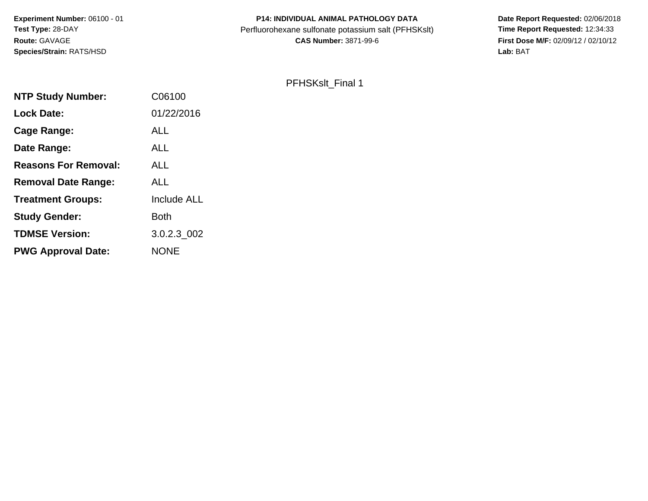**Experiment Number:** 06100 - 01**Test Type:** 28-DAY**Route:** GAVAGE**Species/Strain:** RATS/HSD

### **P14: INDIVIDUAL ANIMAL PATHOLOGY DATA**Perfluorohexane sulfonate potassium salt (PFHSKslt)<br>**CAS Number:** 3871-99-6

 **Date Report Requested:** 02/06/2018 **First Dose M/F:** 02/09/12 / 02/10/12<br>Lab: BAT **Lab:** BAT

### PFHSKslt\_Final 1

| C06100             |
|--------------------|
| 01/22/2016         |
| ALL                |
| ALL                |
| ALL                |
| <b>ALL</b>         |
| <b>Include ALL</b> |
| <b>Both</b>        |
| 3.0.2.3_002        |
| <b>NONE</b>        |
|                    |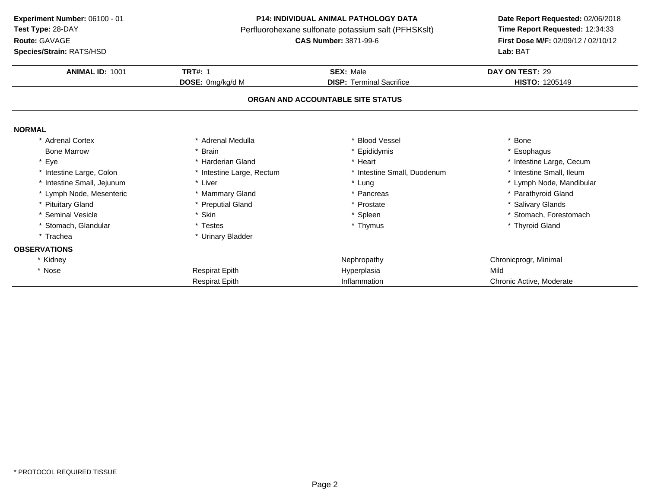**Route:** GAVAGE

**Species/Strain:** RATS/HSD

#### **P14: INDIVIDUAL ANIMAL PATHOLOGY DATA**

Perfluorohexane sulfonate potassium salt (PFHSKslt)<br>**CAS Number:** 3871-99-6

|                           |                                 | Lab: BAT                          |
|---------------------------|---------------------------------|-----------------------------------|
| <b>TRT#: 1</b>            | <b>SEX: Male</b>                | DAY ON TEST: 29                   |
| DOSE: 0mg/kg/d M          | <b>DISP:</b> Terminal Sacrifice | HISTO: 1205149                    |
|                           |                                 |                                   |
|                           |                                 |                                   |
| * Adrenal Medulla         | * Blood Vessel                  | * Bone                            |
| * Brain                   | * Epididymis                    | * Esophagus                       |
| * Harderian Gland         | * Heart                         | * Intestine Large, Cecum          |
| * Intestine Large, Rectum | * Intestine Small, Duodenum     | * Intestine Small, Ileum          |
| * Liver                   | * Lung                          | * Lymph Node, Mandibular          |
| * Mammary Gland           | * Pancreas                      | * Parathyroid Gland               |
| * Preputial Gland         | * Prostate                      | * Salivary Glands                 |
| * Skin                    | * Spleen                        | * Stomach, Forestomach            |
| * Testes                  | * Thymus                        | * Thyroid Gland                   |
| * Urinary Bladder         |                                 |                                   |
|                           |                                 |                                   |
|                           | Nephropathy                     | Chronicprogr, Minimal             |
| <b>Respirat Epith</b>     | Hyperplasia                     | Mild                              |
| <b>Respirat Epith</b>     | Inflammation                    | Chronic Active, Moderate          |
|                           |                                 | ORGAN AND ACCOUNTABLE SITE STATUS |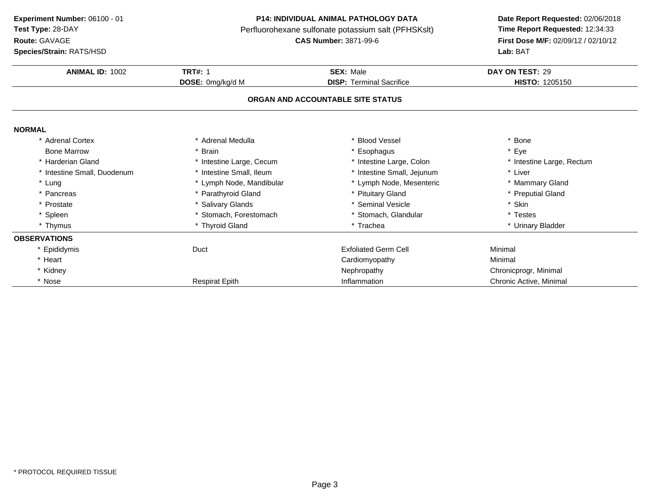**Route:** GAVAGE

**Species/Strain:** RATS/HSD

#### **P14: INDIVIDUAL ANIMAL PATHOLOGY DATA**

Perfluorohexane sulfonate potassium salt (PFHSKslt)<br>**CAS Number:** 3871-99-6

| <b>ANIMAL ID: 1002</b>      | <b>TRT#: 1</b>           | <b>SEX: Male</b>                  | DAY ON TEST: 29           |
|-----------------------------|--------------------------|-----------------------------------|---------------------------|
|                             | <b>DOSE:</b> 0mg/kg/d M  | <b>DISP:</b> Terminal Sacrifice   | <b>HISTO: 1205150</b>     |
|                             |                          | ORGAN AND ACCOUNTABLE SITE STATUS |                           |
| <b>NORMAL</b>               |                          |                                   |                           |
| * Adrenal Cortex            | * Adrenal Medulla        | <b>Blood Vessel</b>               | * Bone                    |
| <b>Bone Marrow</b>          | * Brain                  | Esophagus                         | * Eye                     |
| * Harderian Gland           | * Intestine Large, Cecum | * Intestine Large, Colon          | * Intestine Large, Rectum |
| * Intestine Small, Duodenum | * Intestine Small, Ileum | * Intestine Small, Jejunum        | * Liver                   |
| * Lung                      | * Lymph Node, Mandibular | * Lymph Node, Mesenteric          | * Mammary Gland           |
| * Pancreas                  | * Parathyroid Gland      | * Pituitary Gland                 | * Preputial Gland         |
| * Prostate                  | * Salivary Glands        | * Seminal Vesicle                 | * Skin                    |
| * Spleen                    | * Stomach, Forestomach   | * Stomach, Glandular              | * Testes                  |
| * Thymus                    | * Thyroid Gland          | * Trachea                         | * Urinary Bladder         |
| <b>OBSERVATIONS</b>         |                          |                                   |                           |
| * Epididymis                | Duct                     | <b>Exfoliated Germ Cell</b>       | Minimal                   |
| * Heart                     |                          | Cardiomyopathy                    | Minimal                   |
| * Kidney                    |                          | Nephropathy                       | Chronicprogr, Minimal     |
| * Nose                      | <b>Respirat Epith</b>    | Inflammation                      | Chronic Active, Minimal   |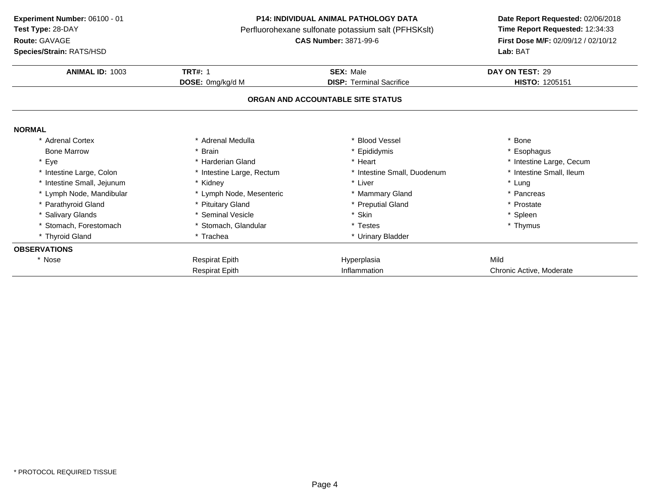**Route:** GAVAGE

**Species/Strain:** RATS/HSD

#### **P14: INDIVIDUAL ANIMAL PATHOLOGY DATA**

Perfluorohexane sulfonate potassium salt (PFHSKslt)<br>**CAS Number:** 3871-99-6

| <b>ANIMAL ID: 1003</b>     | <b>TRT#: 1</b>            | <b>SEX: Male</b>                  | DAY ON TEST: 29          |
|----------------------------|---------------------------|-----------------------------------|--------------------------|
|                            | DOSE: 0mg/kg/d M          | <b>DISP:</b> Terminal Sacrifice   | <b>HISTO: 1205151</b>    |
|                            |                           | ORGAN AND ACCOUNTABLE SITE STATUS |                          |
| <b>NORMAL</b>              |                           |                                   |                          |
| * Adrenal Cortex           | * Adrenal Medulla         | <b>Blood Vessel</b>               | * Bone                   |
| <b>Bone Marrow</b>         | * Brain                   | Epididymis                        | * Esophagus              |
| * Eye                      | * Harderian Gland         | * Heart                           | * Intestine Large, Cecum |
| * Intestine Large, Colon   | * Intestine Large, Rectum | * Intestine Small, Duodenum       | * Intestine Small, Ileum |
| * Intestine Small, Jejunum | * Kidney                  | * Liver                           | * Lung                   |
| * Lymph Node, Mandibular   | * Lymph Node, Mesenteric  | * Mammary Gland                   | * Pancreas               |
| * Parathyroid Gland        | * Pituitary Gland         | * Preputial Gland                 | * Prostate               |
| * Salivary Glands          | * Seminal Vesicle         | Skin                              | * Spleen                 |
| * Stomach, Forestomach     | * Stomach, Glandular      | Testes                            | * Thymus                 |
| * Thyroid Gland            | * Trachea                 | * Urinary Bladder                 |                          |
| <b>OBSERVATIONS</b>        |                           |                                   |                          |
| * Nose                     | <b>Respirat Epith</b>     | Hyperplasia                       | Mild                     |
|                            | <b>Respirat Epith</b>     | Inflammation                      | Chronic Active, Moderate |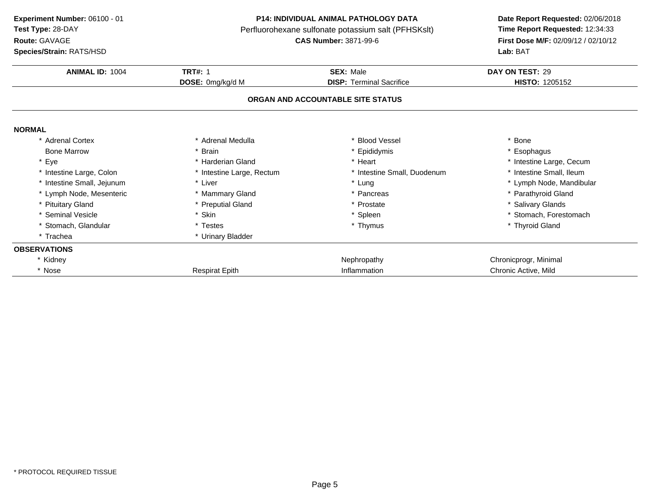**Route:** GAVAGE

**Species/Strain:** RATS/HSD

#### **P14: INDIVIDUAL ANIMAL PATHOLOGY DATA**

Perfluorohexane sulfonate potassium salt (PFHSKslt)<br>**CAS Number:** 3871-99-6

| <b>Species/Strain: RATS/HSD</b> |                           |                                   | <b>Lab: BAT</b>          |
|---------------------------------|---------------------------|-----------------------------------|--------------------------|
| <b>ANIMAL ID: 1004</b>          | <b>TRT#: 1</b>            | <b>SEX: Male</b>                  | DAY ON TEST: 29          |
|                                 | DOSE: 0mg/kg/d M          | <b>DISP: Terminal Sacrifice</b>   | <b>HISTO: 1205152</b>    |
|                                 |                           | ORGAN AND ACCOUNTABLE SITE STATUS |                          |
| <b>NORMAL</b>                   |                           |                                   |                          |
| * Adrenal Cortex                | * Adrenal Medulla         | * Blood Vessel                    | * Bone                   |
| <b>Bone Marrow</b>              | Brain                     | * Epididymis                      | * Esophagus              |
| * Eye                           | * Harderian Gland         | * Heart                           | * Intestine Large, Cecum |
| * Intestine Large, Colon        | * Intestine Large, Rectum | * Intestine Small, Duodenum       | * Intestine Small, Ileum |
| * Intestine Small, Jejunum      | * Liver                   | * Lung                            | * Lymph Node, Mandibular |
| * Lymph Node, Mesenteric        | * Mammary Gland           | * Pancreas                        | * Parathyroid Gland      |
| * Pituitary Gland               | * Preputial Gland         | * Prostate                        | * Salivary Glands        |
| * Seminal Vesicle               | * Skin                    | * Spleen                          | * Stomach, Forestomach   |
| * Stomach, Glandular            | * Testes                  | * Thymus                          | * Thyroid Gland          |
| * Trachea                       | * Urinary Bladder         |                                   |                          |
| <b>OBSERVATIONS</b>             |                           |                                   |                          |
| * Kidney                        |                           | Nephropathy                       | Chronicprogr, Minimal    |
| * Nose                          | <b>Respirat Epith</b>     | Inflammation                      | Chronic Active, Mild     |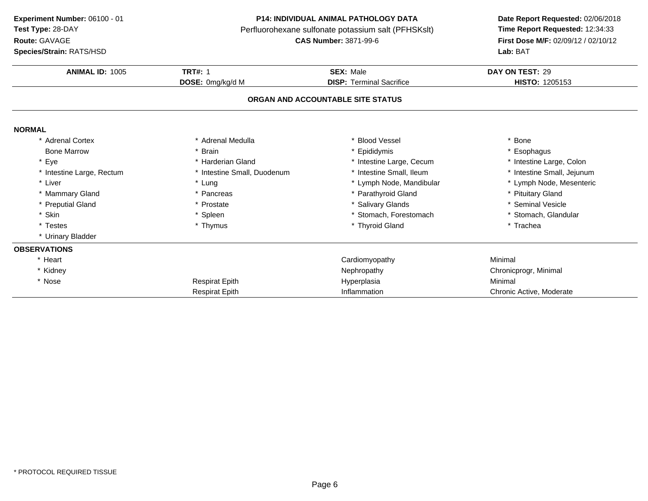**Route:** GAVAGE

**Species/Strain:** RATS/HSD

#### **P14: INDIVIDUAL ANIMAL PATHOLOGY DATA**

Perfluorohexane sulfonate potassium salt (PFHSKslt)<br>**CAS Number:** 3871-99-6

| <b>Species/Strain: RATS/HSD</b> |                             |                                   | Lab: BAT                   |
|---------------------------------|-----------------------------|-----------------------------------|----------------------------|
| <b>ANIMAL ID: 1005</b>          | <b>TRT#: 1</b>              | <b>SEX: Male</b>                  | DAY ON TEST: 29            |
|                                 | DOSE: 0mg/kg/d M            | <b>DISP: Terminal Sacrifice</b>   | HISTO: 1205153             |
|                                 |                             | ORGAN AND ACCOUNTABLE SITE STATUS |                            |
| <b>NORMAL</b>                   |                             |                                   |                            |
| * Adrenal Cortex                | * Adrenal Medulla           | * Blood Vessel                    | * Bone                     |
| <b>Bone Marrow</b>              | * Brain                     | * Epididymis                      | * Esophagus                |
| * Eye                           | * Harderian Gland           | * Intestine Large, Cecum          | * Intestine Large, Colon   |
| * Intestine Large, Rectum       | * Intestine Small, Duodenum | * Intestine Small, Ileum          | * Intestine Small, Jejunum |
| * Liver                         | * Lung                      | * Lymph Node, Mandibular          | * Lymph Node, Mesenteric   |
| * Mammary Gland                 | * Pancreas                  | * Parathyroid Gland               | * Pituitary Gland          |
| * Preputial Gland               | * Prostate                  | * Salivary Glands                 | * Seminal Vesicle          |
| * Skin                          | * Spleen                    | * Stomach, Forestomach            | * Stomach, Glandular       |
| * Testes                        | * Thymus                    | * Thyroid Gland                   | * Trachea                  |
| * Urinary Bladder               |                             |                                   |                            |
| <b>OBSERVATIONS</b>             |                             |                                   |                            |
| * Heart                         |                             | Cardiomyopathy                    | Minimal                    |
| * Kidney                        |                             | Nephropathy                       | Chronicprogr, Minimal      |
| * Nose                          | <b>Respirat Epith</b>       | Hyperplasia                       | Minimal                    |
|                                 | <b>Respirat Epith</b>       | Inflammation                      | Chronic Active, Moderate   |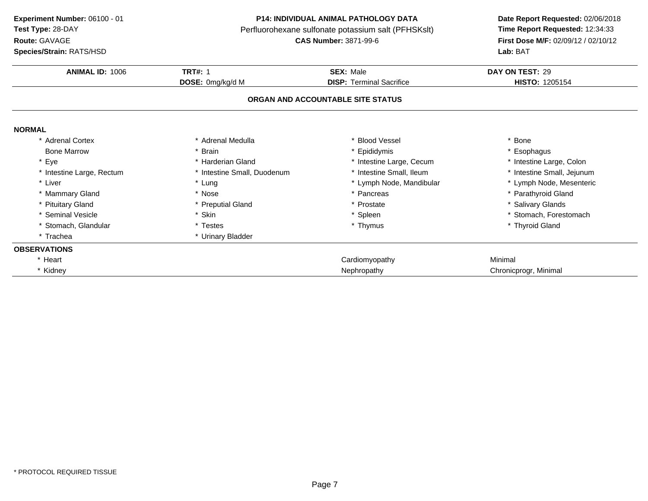**Route:** GAVAGE

**Species/Strain:** RATS/HSD

#### **P14: INDIVIDUAL ANIMAL PATHOLOGY DATA**

Perfluorohexane sulfonate potassium salt (PFHSKslt)<br>**CAS Number:** 3871-99-6

| <b>Species/Strain: RATS/HSD</b> |                             |                                   | <b>Lab:</b> BAT            |
|---------------------------------|-----------------------------|-----------------------------------|----------------------------|
| ANIMAL ID: 1006                 | <b>TRT#: 1</b>              | <b>SEX: Male</b>                  | DAY ON TEST: 29            |
|                                 | DOSE: 0mg/kg/d M            | <b>DISP: Terminal Sacrifice</b>   | HISTO: 1205154             |
|                                 |                             | ORGAN AND ACCOUNTABLE SITE STATUS |                            |
| <b>NORMAL</b>                   |                             |                                   |                            |
| * Adrenal Cortex                | * Adrenal Medulla           | * Blood Vessel                    | * Bone                     |
| <b>Bone Marrow</b>              | * Brain                     | * Epididymis                      | * Esophagus                |
| * Eye                           | * Harderian Gland           | * Intestine Large, Cecum          | * Intestine Large, Colon   |
| * Intestine Large, Rectum       | * Intestine Small, Duodenum | * Intestine Small, Ileum          | * Intestine Small, Jejunum |
| * Liver                         | * Lung                      | * Lymph Node, Mandibular          | * Lymph Node, Mesenteric   |
| * Mammary Gland                 | * Nose                      | * Pancreas                        | * Parathyroid Gland        |
| * Pituitary Gland               | * Preputial Gland           | * Prostate                        | * Salivary Glands          |
| * Seminal Vesicle               | * Skin                      | * Spleen                          | * Stomach. Forestomach     |
| * Stomach, Glandular            | * Testes                    | * Thymus                          | * Thyroid Gland            |
| * Trachea                       | * Urinary Bladder           |                                   |                            |
| <b>OBSERVATIONS</b>             |                             |                                   |                            |
| * Heart                         |                             | Cardiomyopathy                    | Minimal                    |
| * Kidney                        |                             | Nephropathy                       | Chronicprogr, Minimal      |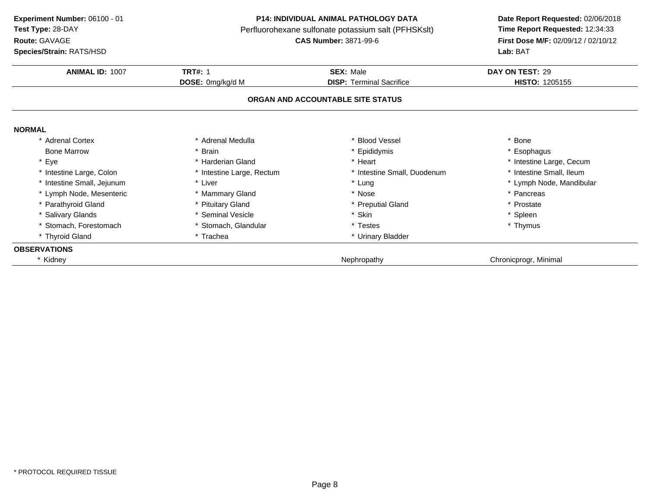**Route:** GAVAGE

**Species/Strain:** RATS/HSD

#### **P14: INDIVIDUAL ANIMAL PATHOLOGY DATA**

Perfluorohexane sulfonate potassium salt (PFHSKslt)<br>**CAS Number:** 3871-99-6

| <b>ANIMAL ID: 1007</b>     | <b>TRT#: 1</b>            | <b>SEX: Male</b>                  | DAY ON TEST: 29          |
|----------------------------|---------------------------|-----------------------------------|--------------------------|
|                            |                           |                                   |                          |
|                            | DOSE: 0mg/kg/d M          | <b>DISP: Terminal Sacrifice</b>   | <b>HISTO: 1205155</b>    |
|                            |                           | ORGAN AND ACCOUNTABLE SITE STATUS |                          |
| <b>NORMAL</b>              |                           |                                   |                          |
| * Adrenal Cortex           | * Adrenal Medulla         | * Blood Vessel                    | * Bone                   |
| <b>Bone Marrow</b>         | * Brain                   | * Epididymis                      | * Esophagus              |
| * Eye                      | * Harderian Gland         | * Heart                           | * Intestine Large, Cecum |
| * Intestine Large, Colon   | * Intestine Large, Rectum | * Intestine Small, Duodenum       | * Intestine Small, Ileum |
| * Intestine Small, Jejunum | * Liver                   | * Lung                            | * Lymph Node, Mandibular |
| * Lymph Node, Mesenteric   | * Mammary Gland           | * Nose                            | * Pancreas               |
| * Parathyroid Gland        | * Pituitary Gland         | * Preputial Gland                 | * Prostate               |
| * Salivary Glands          | * Seminal Vesicle         | * Skin                            | * Spleen                 |
| * Stomach, Forestomach     | * Stomach, Glandular      | * Testes                          | * Thymus                 |
| * Thyroid Gland            | * Trachea                 | * Urinary Bladder                 |                          |
| <b>OBSERVATIONS</b>        |                           |                                   |                          |
| Kidney                     |                           | Nephropathy                       | Chronicprogr, Minimal    |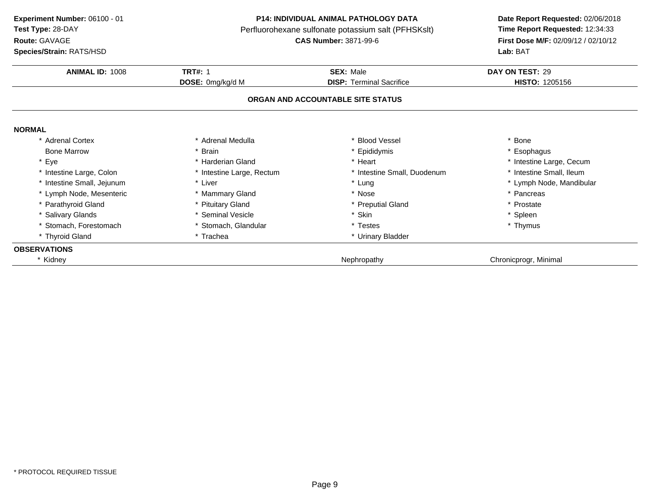**Route:** GAVAGE

**Species/Strain:** RATS/HSD

#### **P14: INDIVIDUAL ANIMAL PATHOLOGY DATA**

Perfluorohexane sulfonate potassium salt (PFHSKslt)<br>**CAS Number:** 3871-99-6

| <b>ANIMAL ID: 1008</b>     | <b>TRT#: 1</b>            | <b>SEX: Male</b>                  | DAY ON TEST: 29          |
|----------------------------|---------------------------|-----------------------------------|--------------------------|
|                            | DOSE: 0mg/kg/d M          | <b>DISP: Terminal Sacrifice</b>   | <b>HISTO: 1205156</b>    |
|                            |                           | ORGAN AND ACCOUNTABLE SITE STATUS |                          |
| <b>NORMAL</b>              |                           |                                   |                          |
| * Adrenal Cortex           | * Adrenal Medulla         | * Blood Vessel                    | * Bone                   |
| <b>Bone Marrow</b>         | * Brain                   | * Epididymis                      | * Esophagus              |
| * Eye                      | * Harderian Gland         | * Heart                           | * Intestine Large, Cecum |
| * Intestine Large, Colon   | * Intestine Large, Rectum | * Intestine Small, Duodenum       | * Intestine Small, Ileum |
| * Intestine Small, Jejunum | * Liver                   | * Lung                            | * Lymph Node, Mandibular |
| * Lymph Node, Mesenteric   | * Mammary Gland           | * Nose                            | * Pancreas               |
| * Parathyroid Gland        | * Pituitary Gland         | * Preputial Gland                 | * Prostate               |
| * Salivary Glands          | * Seminal Vesicle         | * Skin                            | * Spleen                 |
| Stomach, Forestomach       | * Stomach, Glandular      | * Testes                          | * Thymus                 |
| * Thyroid Gland            | * Trachea                 | * Urinary Bladder                 |                          |
| <b>OBSERVATIONS</b>        |                           |                                   |                          |
| * Kidney                   |                           | Nephropathy                       | Chronicprogr, Minimal    |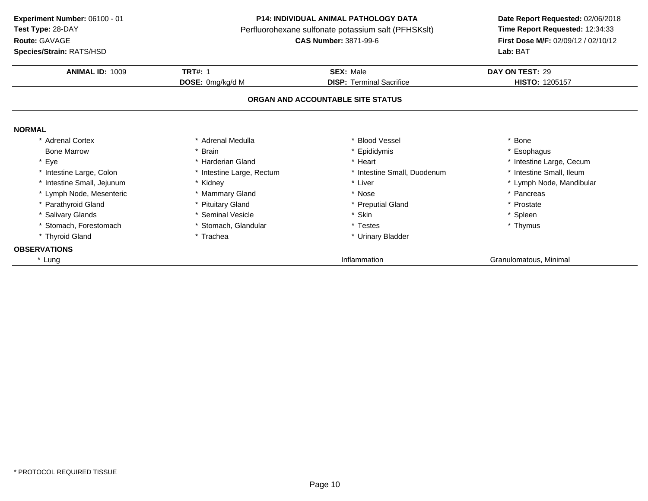**Route:** GAVAGE

**Species/Strain:** RATS/HSD

#### **P14: INDIVIDUAL ANIMAL PATHOLOGY DATA**

Perfluorohexane sulfonate potassium salt (PFHSKslt)<br>**CAS Number:** 3871-99-6

| <b>ANIMAL ID: 1009</b>     | <b>TRT#: 1</b>            | <b>SEX: Male</b>                  | DAY ON TEST: 29          |
|----------------------------|---------------------------|-----------------------------------|--------------------------|
|                            | DOSE: 0mg/kg/d M          | <b>DISP: Terminal Sacrifice</b>   | <b>HISTO: 1205157</b>    |
|                            |                           | ORGAN AND ACCOUNTABLE SITE STATUS |                          |
| <b>NORMAL</b>              |                           |                                   |                          |
| * Adrenal Cortex           | * Adrenal Medulla         | * Blood Vessel                    | * Bone                   |
| <b>Bone Marrow</b>         | * Brain                   | * Epididymis                      | * Esophagus              |
| * Eye                      | * Harderian Gland         | * Heart                           | * Intestine Large, Cecum |
| * Intestine Large, Colon   | * Intestine Large, Rectum | * Intestine Small, Duodenum       | * Intestine Small, Ileum |
| * Intestine Small, Jejunum | * Kidney                  | * Liver                           | * Lymph Node, Mandibular |
| * Lymph Node, Mesenteric   | * Mammary Gland           | * Nose                            | * Pancreas               |
| * Parathyroid Gland        | * Pituitary Gland         | * Preputial Gland                 | * Prostate               |
| <b>Salivary Glands</b>     | * Seminal Vesicle         | * Skin                            | * Spleen                 |
| * Stomach, Forestomach     | * Stomach, Glandular      | * Testes                          | * Thymus                 |
| * Thyroid Gland            | * Trachea                 | * Urinary Bladder                 |                          |
| <b>OBSERVATIONS</b>        |                           |                                   |                          |
| * Lung                     |                           | Inflammation                      | Granulomatous, Minimal   |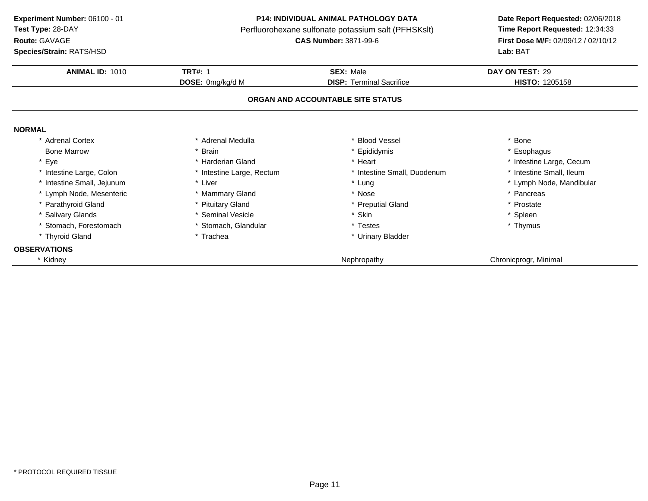**Route:** GAVAGE

**Species/Strain:** RATS/HSD

#### **P14: INDIVIDUAL ANIMAL PATHOLOGY DATA**

Perfluorohexane sulfonate potassium salt (PFHSKslt)<br>**CAS Number:** 3871-99-6

| <b>ANIMAL ID: 1010</b>     | <b>TRT#: 1</b>            | <b>SEX: Male</b>                  | DAY ON TEST: 29          |
|----------------------------|---------------------------|-----------------------------------|--------------------------|
|                            | DOSE: 0mg/kg/d M          | <b>DISP: Terminal Sacrifice</b>   | <b>HISTO: 1205158</b>    |
|                            |                           |                                   |                          |
|                            |                           | ORGAN AND ACCOUNTABLE SITE STATUS |                          |
| <b>NORMAL</b>              |                           |                                   |                          |
| * Adrenal Cortex           | * Adrenal Medulla         | * Blood Vessel                    | * Bone                   |
| <b>Bone Marrow</b>         | * Brain                   | * Epididymis                      | * Esophagus              |
| * Eye                      | * Harderian Gland         | * Heart                           | * Intestine Large, Cecum |
| * Intestine Large, Colon   | * Intestine Large, Rectum | * Intestine Small, Duodenum       | * Intestine Small, Ileum |
| * Intestine Small, Jejunum | * Liver                   | * Lung                            | * Lymph Node, Mandibular |
| * Lymph Node, Mesenteric   | * Mammary Gland           | * Nose                            | * Pancreas               |
| * Parathyroid Gland        | * Pituitary Gland         | * Preputial Gland                 | * Prostate               |
| * Salivary Glands          | * Seminal Vesicle         | * Skin                            | * Spleen                 |
| * Stomach, Forestomach     | * Stomach, Glandular      | * Testes                          | * Thymus                 |
| * Thyroid Gland            | * Trachea                 | * Urinary Bladder                 |                          |
| <b>OBSERVATIONS</b>        |                           |                                   |                          |
| Kidney                     |                           | Nephropathy                       | Chronicprogr, Minimal    |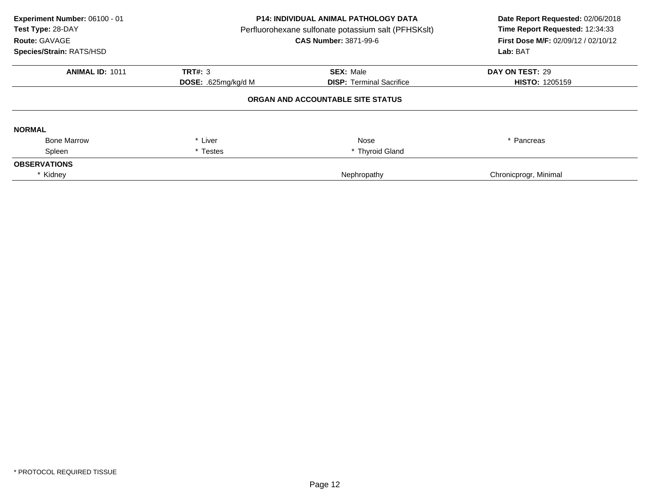| Experiment Number: 06100 - 01<br>Test Type: 28-DAY<br>Route: GAVAGE<br>Species/Strain: RATS/HSD | <b>P14: INDIVIDUAL ANIMAL PATHOLOGY DATA</b><br>Perfluorohexane sulfonate potassium salt (PFHSKslt)<br><b>CAS Number: 3871-99-6</b> |                                   | Date Report Requested: 02/06/2018<br>Time Report Requested: 12:34:33<br>First Dose M/F: 02/09/12 / 02/10/12<br>Lab: BAT |
|-------------------------------------------------------------------------------------------------|-------------------------------------------------------------------------------------------------------------------------------------|-----------------------------------|-------------------------------------------------------------------------------------------------------------------------|
| <b>ANIMAL ID: 1011</b>                                                                          | <b>TRT#: 3</b>                                                                                                                      | <b>SEX: Male</b>                  | DAY ON TEST: 29                                                                                                         |
|                                                                                                 | <b>DOSE:</b> .625mg/kg/d M                                                                                                          | <b>DISP:</b> Terminal Sacrifice   | <b>HISTO: 1205159</b>                                                                                                   |
|                                                                                                 |                                                                                                                                     | ORGAN AND ACCOUNTABLE SITE STATUS |                                                                                                                         |
| <b>NORMAL</b>                                                                                   |                                                                                                                                     |                                   |                                                                                                                         |
| <b>Bone Marrow</b>                                                                              | * Liver                                                                                                                             | Nose                              | * Pancreas                                                                                                              |
| Spleen                                                                                          | * Testes                                                                                                                            | * Thyroid Gland                   |                                                                                                                         |
| <b>OBSERVATIONS</b>                                                                             |                                                                                                                                     |                                   |                                                                                                                         |
| * Kidney                                                                                        |                                                                                                                                     | Nephropathy                       | Chronicprogr, Minimal                                                                                                   |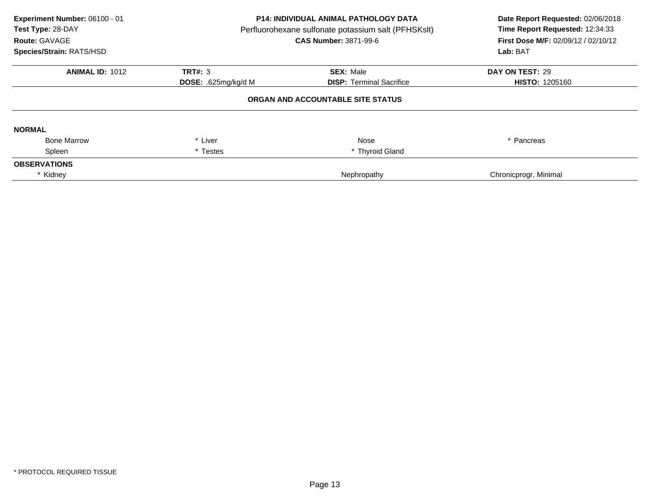| Experiment Number: 06100 - 01<br>Test Type: 28-DAY<br>Route: GAVAGE<br>Species/Strain: RATS/HSD | <b>P14: INDIVIDUAL ANIMAL PATHOLOGY DATA</b><br>Perfluorohexane sulfonate potassium salt (PFHSKslt)<br><b>CAS Number: 3871-99-6</b> |                                   | Date Report Requested: 02/06/2018<br>Time Report Requested: 12:34:33<br>First Dose M/F: 02/09/12 / 02/10/12<br>Lab: BAT |
|-------------------------------------------------------------------------------------------------|-------------------------------------------------------------------------------------------------------------------------------------|-----------------------------------|-------------------------------------------------------------------------------------------------------------------------|
| <b>ANIMAL ID: 1012</b>                                                                          | <b>TRT#: 3</b>                                                                                                                      | <b>SEX: Male</b>                  | DAY ON TEST: 29                                                                                                         |
|                                                                                                 | <b>DOSE:</b> .625mg/kg/d M                                                                                                          | <b>DISP:</b> Terminal Sacrifice   | <b>HISTO: 1205160</b>                                                                                                   |
|                                                                                                 |                                                                                                                                     | ORGAN AND ACCOUNTABLE SITE STATUS |                                                                                                                         |
| <b>NORMAL</b>                                                                                   |                                                                                                                                     |                                   |                                                                                                                         |
| <b>Bone Marrow</b>                                                                              | * Liver                                                                                                                             | Nose                              | * Pancreas                                                                                                              |
| Spleen                                                                                          | * Testes                                                                                                                            | * Thyroid Gland                   |                                                                                                                         |
| <b>OBSERVATIONS</b>                                                                             |                                                                                                                                     |                                   |                                                                                                                         |
| * Kidney                                                                                        |                                                                                                                                     | Nephropathy                       | Chronicprogr, Minimal                                                                                                   |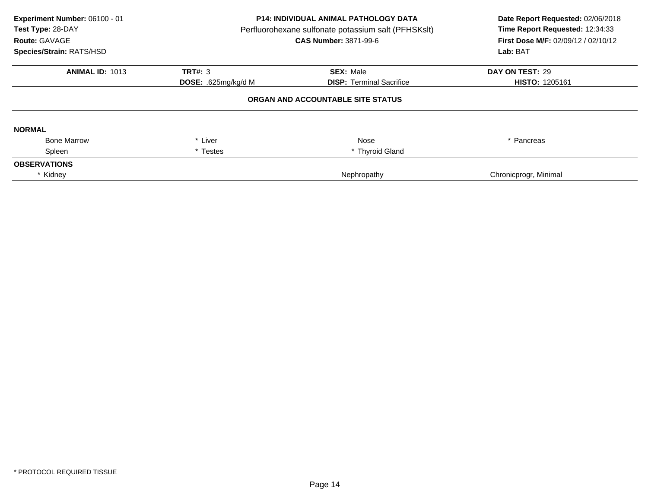| Experiment Number: 06100 - 01<br>Test Type: 28-DAY<br>Route: GAVAGE<br>Species/Strain: RATS/HSD | <b>P14: INDIVIDUAL ANIMAL PATHOLOGY DATA</b><br>Perfluorohexane sulfonate potassium salt (PFHSKslt)<br><b>CAS Number: 3871-99-6</b> |                                   | Date Report Requested: 02/06/2018<br>Time Report Requested: 12:34:33<br>First Dose M/F: 02/09/12 / 02/10/12<br>Lab: BAT |
|-------------------------------------------------------------------------------------------------|-------------------------------------------------------------------------------------------------------------------------------------|-----------------------------------|-------------------------------------------------------------------------------------------------------------------------|
| <b>ANIMAL ID: 1013</b>                                                                          | <b>TRT#: 3</b>                                                                                                                      | <b>SEX: Male</b>                  | DAY ON TEST: 29                                                                                                         |
|                                                                                                 | DOSE: .625mg/kg/d M                                                                                                                 | <b>DISP:</b> Terminal Sacrifice   | <b>HISTO: 1205161</b>                                                                                                   |
|                                                                                                 |                                                                                                                                     | ORGAN AND ACCOUNTABLE SITE STATUS |                                                                                                                         |
| <b>NORMAL</b>                                                                                   |                                                                                                                                     |                                   |                                                                                                                         |
| <b>Bone Marrow</b>                                                                              | * Liver                                                                                                                             | Nose                              | * Pancreas                                                                                                              |
| Spleen                                                                                          | * Testes                                                                                                                            | * Thyroid Gland                   |                                                                                                                         |
| <b>OBSERVATIONS</b>                                                                             |                                                                                                                                     |                                   |                                                                                                                         |
| * Kidney                                                                                        |                                                                                                                                     | Nephropathy                       | Chronicprogr, Minimal                                                                                                   |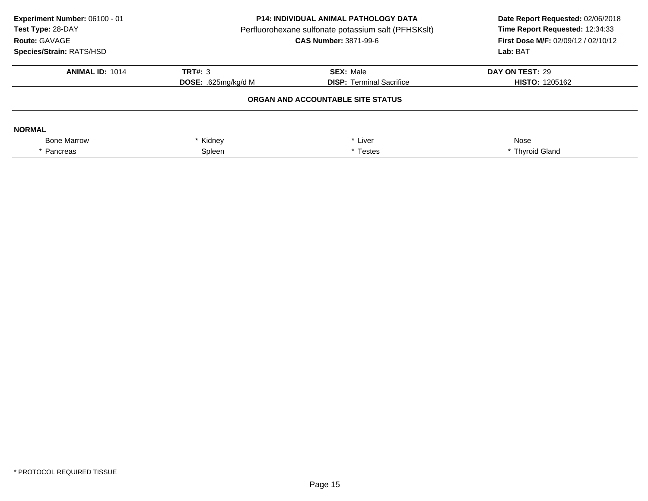| Experiment Number: 06100 - 01<br>Test Type: 28-DAY<br>Route: GAVAGE<br><b>Species/Strain: RATS/HSD</b> | <b>P14: INDIVIDUAL ANIMAL PATHOLOGY DATA</b><br>Perfluorohexane sulfonate potassium salt (PFHSKslt)<br><b>CAS Number: 3871-99-6</b> |                                   | Date Report Requested: 02/06/2018<br>Time Report Requested: 12:34:33<br><b>First Dose M/F: 02/09/12 / 02/10/12</b><br>Lab: BAT |
|--------------------------------------------------------------------------------------------------------|-------------------------------------------------------------------------------------------------------------------------------------|-----------------------------------|--------------------------------------------------------------------------------------------------------------------------------|
| <b>ANIMAL ID: 1014</b>                                                                                 | TRT#: 3                                                                                                                             | <b>SEX: Male</b>                  | DAY ON TEST: 29                                                                                                                |
|                                                                                                        | <b>DOSE:</b> .625 $mq/kg/d$ M                                                                                                       | <b>DISP:</b> Terminal Sacrifice   | <b>HISTO: 1205162</b>                                                                                                          |
|                                                                                                        |                                                                                                                                     | ORGAN AND ACCOUNTABLE SITE STATUS |                                                                                                                                |
| <b>NORMAL</b>                                                                                          |                                                                                                                                     |                                   |                                                                                                                                |
| <b>Bone Marrow</b>                                                                                     | Kidney                                                                                                                              | * Liver                           | Nose                                                                                                                           |
| * Pancreas                                                                                             | Spleen<br>* Testes                                                                                                                  |                                   | * Thyroid Gland                                                                                                                |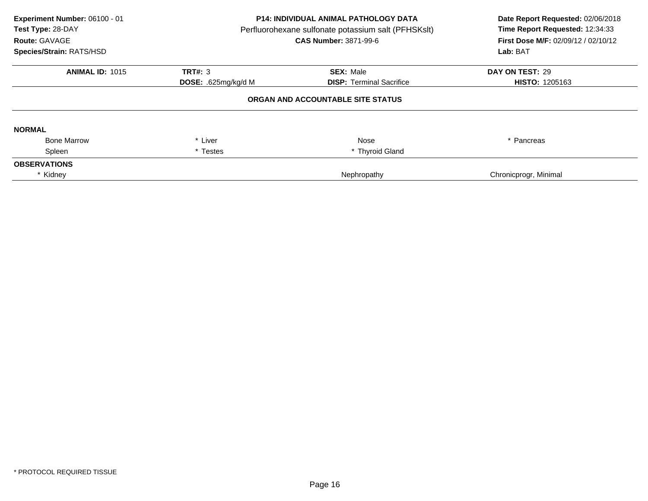| Experiment Number: 06100 - 01<br>Test Type: 28-DAY<br>Route: GAVAGE<br>Species/Strain: RATS/HSD | <b>P14: INDIVIDUAL ANIMAL PATHOLOGY DATA</b><br>Perfluorohexane sulfonate potassium salt (PFHSKslt)<br><b>CAS Number: 3871-99-6</b> |                                   | Date Report Requested: 02/06/2018<br>Time Report Requested: 12:34:33<br>First Dose M/F: 02/09/12 / 02/10/12<br>Lab: BAT |
|-------------------------------------------------------------------------------------------------|-------------------------------------------------------------------------------------------------------------------------------------|-----------------------------------|-------------------------------------------------------------------------------------------------------------------------|
| <b>ANIMAL ID: 1015</b>                                                                          | <b>TRT#: 3</b>                                                                                                                      | <b>SEX: Male</b>                  | DAY ON TEST: 29                                                                                                         |
|                                                                                                 | DOSE: .625mg/kg/d M                                                                                                                 | <b>DISP: Terminal Sacrifice</b>   | <b>HISTO: 1205163</b>                                                                                                   |
|                                                                                                 |                                                                                                                                     | ORGAN AND ACCOUNTABLE SITE STATUS |                                                                                                                         |
| <b>NORMAL</b>                                                                                   |                                                                                                                                     |                                   |                                                                                                                         |
| <b>Bone Marrow</b>                                                                              | * Liver                                                                                                                             | Nose                              | * Pancreas                                                                                                              |
| Spleen                                                                                          | * Testes                                                                                                                            | * Thyroid Gland                   |                                                                                                                         |
| <b>OBSERVATIONS</b>                                                                             |                                                                                                                                     |                                   |                                                                                                                         |
| * Kidney                                                                                        |                                                                                                                                     | Nephropathy                       | Chronicprogr, Minimal                                                                                                   |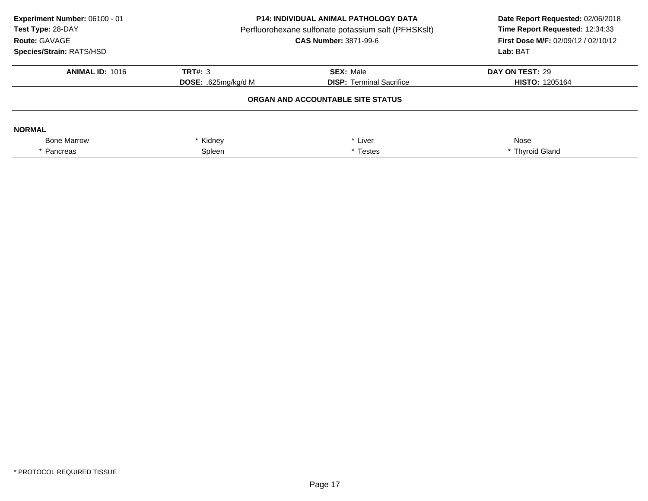| Experiment Number: 06100 - 01<br>Test Type: 28-DAY<br>Route: GAVAGE<br><b>Species/Strain: RATS/HSD</b> | <b>P14: INDIVIDUAL ANIMAL PATHOLOGY DATA</b><br>Perfluorohexane sulfonate potassium salt (PFHSKslt)<br><b>CAS Number: 3871-99-6</b> |                                   | Date Report Requested: 02/06/2018<br>Time Report Requested: 12:34:33<br><b>First Dose M/F: 02/09/12 / 02/10/12</b><br>Lab: BAT |
|--------------------------------------------------------------------------------------------------------|-------------------------------------------------------------------------------------------------------------------------------------|-----------------------------------|--------------------------------------------------------------------------------------------------------------------------------|
| <b>ANIMAL ID: 1016</b>                                                                                 | TRT#: 3                                                                                                                             | <b>SEX: Male</b>                  | DAY ON TEST: 29                                                                                                                |
|                                                                                                        | <b>DOSE:</b> .625 $mq/kg/d$ M                                                                                                       | <b>DISP:</b> Terminal Sacrifice   | <b>HISTO: 1205164</b>                                                                                                          |
|                                                                                                        |                                                                                                                                     | ORGAN AND ACCOUNTABLE SITE STATUS |                                                                                                                                |
| <b>NORMAL</b>                                                                                          |                                                                                                                                     |                                   |                                                                                                                                |
| <b>Bone Marrow</b>                                                                                     | Kidney                                                                                                                              | * Liver                           | Nose                                                                                                                           |
| * Pancreas                                                                                             | Spleen<br>* Testes                                                                                                                  |                                   | * Thyroid Gland                                                                                                                |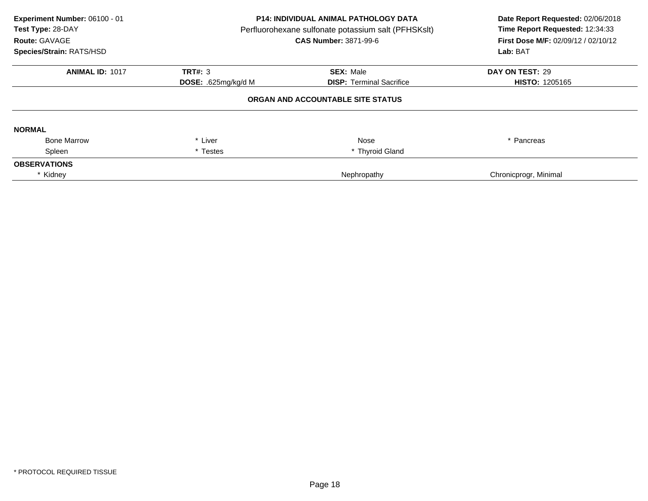| Experiment Number: 06100 - 01<br>Test Type: 28-DAY<br>Route: GAVAGE<br>Species/Strain: RATS/HSD | <b>P14: INDIVIDUAL ANIMAL PATHOLOGY DATA</b><br>Perfluorohexane sulfonate potassium salt (PFHSKslt)<br><b>CAS Number: 3871-99-6</b> |                                   | Date Report Requested: 02/06/2018<br>Time Report Requested: 12:34:33<br>First Dose M/F: 02/09/12 / 02/10/12<br>Lab: BAT |
|-------------------------------------------------------------------------------------------------|-------------------------------------------------------------------------------------------------------------------------------------|-----------------------------------|-------------------------------------------------------------------------------------------------------------------------|
| <b>ANIMAL ID: 1017</b>                                                                          | <b>TRT#: 3</b>                                                                                                                      | <b>SEX: Male</b>                  | DAY ON TEST: 29                                                                                                         |
|                                                                                                 | DOSE: .625mg/kg/d M                                                                                                                 | <b>DISP:</b> Terminal Sacrifice   | <b>HISTO: 1205165</b>                                                                                                   |
|                                                                                                 |                                                                                                                                     | ORGAN AND ACCOUNTABLE SITE STATUS |                                                                                                                         |
| <b>NORMAL</b>                                                                                   |                                                                                                                                     |                                   |                                                                                                                         |
| <b>Bone Marrow</b>                                                                              | * Liver                                                                                                                             | Nose                              | * Pancreas                                                                                                              |
| Spleen                                                                                          | * Testes                                                                                                                            | * Thyroid Gland                   |                                                                                                                         |
| <b>OBSERVATIONS</b>                                                                             |                                                                                                                                     |                                   |                                                                                                                         |
| * Kidney                                                                                        |                                                                                                                                     | Nephropathy                       | Chronicprogr, Minimal                                                                                                   |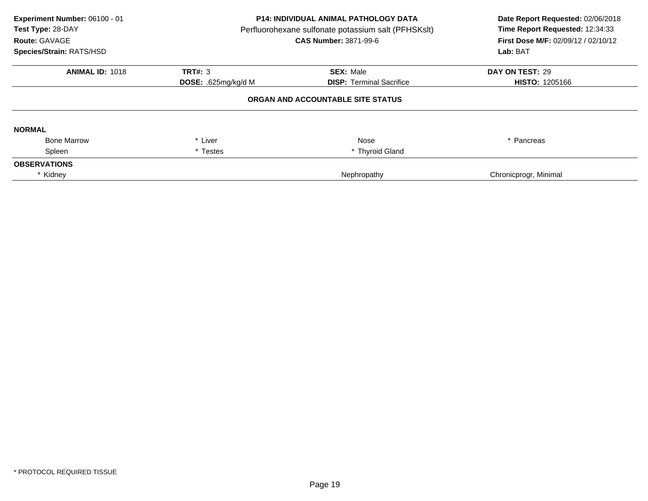| Experiment Number: 06100 - 01<br>Test Type: 28-DAY<br>Route: GAVAGE<br>Species/Strain: RATS/HSD | <b>P14: INDIVIDUAL ANIMAL PATHOLOGY DATA</b><br>Perfluorohexane sulfonate potassium salt (PFHSKslt)<br><b>CAS Number: 3871-99-6</b> |                                   | Date Report Requested: 02/06/2018<br>Time Report Requested: 12:34:33<br>First Dose M/F: 02/09/12 / 02/10/12<br>Lab: BAT |
|-------------------------------------------------------------------------------------------------|-------------------------------------------------------------------------------------------------------------------------------------|-----------------------------------|-------------------------------------------------------------------------------------------------------------------------|
| <b>ANIMAL ID: 1018</b>                                                                          | <b>TRT#: 3</b>                                                                                                                      | <b>SEX: Male</b>                  | DAY ON TEST: 29                                                                                                         |
|                                                                                                 | <b>DOSE:</b> .625mg/kg/d M                                                                                                          | <b>DISP:</b> Terminal Sacrifice   | <b>HISTO: 1205166</b>                                                                                                   |
|                                                                                                 |                                                                                                                                     | ORGAN AND ACCOUNTABLE SITE STATUS |                                                                                                                         |
| <b>NORMAL</b>                                                                                   |                                                                                                                                     |                                   |                                                                                                                         |
| <b>Bone Marrow</b>                                                                              | * Liver                                                                                                                             | Nose                              | * Pancreas                                                                                                              |
| Spleen                                                                                          | * Testes                                                                                                                            | * Thyroid Gland                   |                                                                                                                         |
| <b>OBSERVATIONS</b>                                                                             |                                                                                                                                     |                                   |                                                                                                                         |
| * Kidney                                                                                        |                                                                                                                                     | Nephropathy                       | Chronicprogr, Minimal                                                                                                   |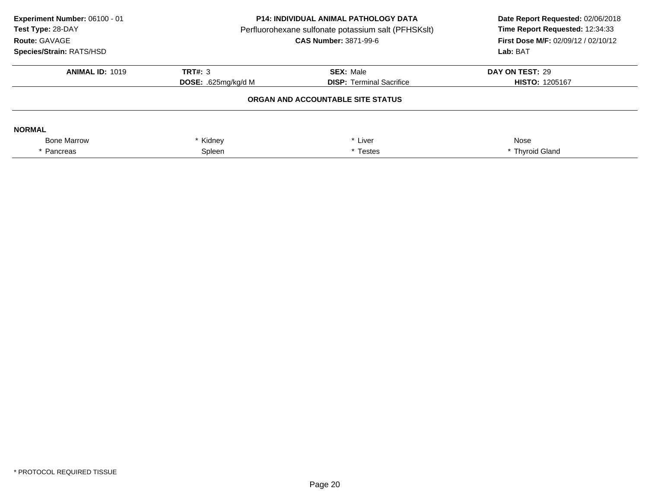| Experiment Number: 06100 - 01<br>Test Type: 28-DAY<br>Route: GAVAGE<br><b>Species/Strain: RATS/HSD</b> | <b>P14: INDIVIDUAL ANIMAL PATHOLOGY DATA</b><br>Perfluorohexane sulfonate potassium salt (PFHSKslt)<br><b>CAS Number: 3871-99-6</b> |                                   | Date Report Requested: 02/06/2018<br>Time Report Requested: 12:34:33<br><b>First Dose M/F: 02/09/12 / 02/10/12</b><br>Lab: BAT |
|--------------------------------------------------------------------------------------------------------|-------------------------------------------------------------------------------------------------------------------------------------|-----------------------------------|--------------------------------------------------------------------------------------------------------------------------------|
| <b>ANIMAL ID: 1019</b>                                                                                 | TRT#: 3                                                                                                                             | <b>SEX: Male</b>                  | DAY ON TEST: 29                                                                                                                |
|                                                                                                        | <b>DOSE:</b> .625 $mq/kg/d$ M                                                                                                       | <b>DISP:</b> Terminal Sacrifice   | <b>HISTO: 1205167</b>                                                                                                          |
|                                                                                                        |                                                                                                                                     | ORGAN AND ACCOUNTABLE SITE STATUS |                                                                                                                                |
| <b>NORMAL</b>                                                                                          |                                                                                                                                     |                                   |                                                                                                                                |
| <b>Bone Marrow</b>                                                                                     | Kidney                                                                                                                              | * Liver                           | Nose                                                                                                                           |
| * Pancreas                                                                                             | Spleen<br>* Testes                                                                                                                  |                                   | * Thyroid Gland                                                                                                                |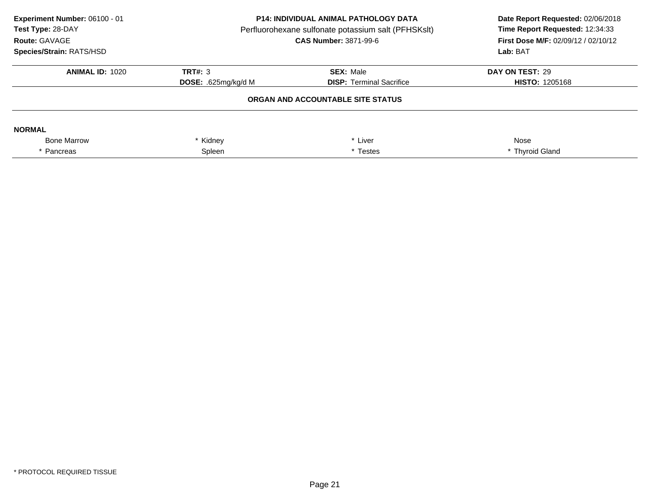| Experiment Number: 06100 - 01<br>Test Type: 28-DAY<br>Route: GAVAGE<br>Species/Strain: RATS/HSD | <b>P14: INDIVIDUAL ANIMAL PATHOLOGY DATA</b><br>Perfluorohexane sulfonate potassium salt (PFHSKslt)<br><b>CAS Number: 3871-99-6</b> |                                   | Date Report Requested: 02/06/2018<br>Time Report Requested: 12:34:33<br>First Dose M/F: 02/09/12 / 02/10/12<br>Lab: BAT |
|-------------------------------------------------------------------------------------------------|-------------------------------------------------------------------------------------------------------------------------------------|-----------------------------------|-------------------------------------------------------------------------------------------------------------------------|
| <b>ANIMAL ID: 1020</b>                                                                          | TRT#: 3                                                                                                                             | <b>SEX: Male</b>                  | DAY ON TEST: 29                                                                                                         |
|                                                                                                 | <b>DISP: Terminal Sacrifice</b><br><b>DOSE:</b> .625 $mq/kg/d$ M                                                                    | <b>HISTO: 1205168</b>             |                                                                                                                         |
|                                                                                                 |                                                                                                                                     | ORGAN AND ACCOUNTABLE SITE STATUS |                                                                                                                         |
| <b>NORMAL</b>                                                                                   |                                                                                                                                     |                                   |                                                                                                                         |
| <b>Bone Marrow</b>                                                                              | Kidney                                                                                                                              | * Liver                           | Nose                                                                                                                    |
| * Pancreas                                                                                      | Spleen<br>* Testes                                                                                                                  |                                   | * Thyroid Gland                                                                                                         |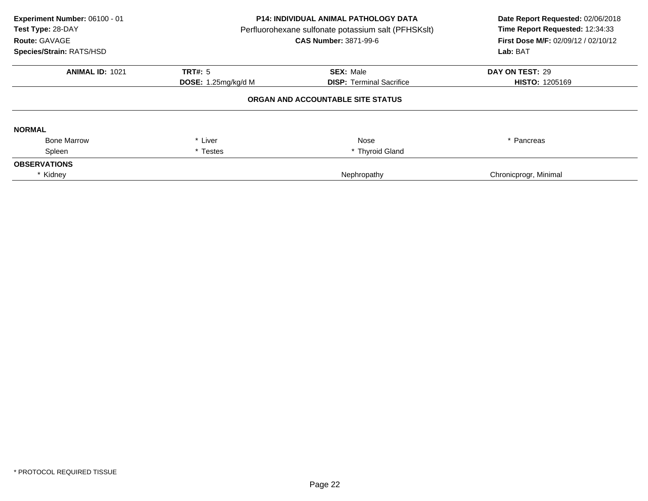| Experiment Number: 06100 - 01<br>Test Type: 28-DAY<br>Route: GAVAGE<br>Species/Strain: RATS/HSD | P14: INDIVIDUAL ANIMAL PATHOLOGY DATA<br>Perfluorohexane sulfonate potassium salt (PFHSKslt)<br><b>CAS Number: 3871-99-6</b> |                                   | Date Report Requested: 02/06/2018<br>Time Report Requested: 12:34:33<br>First Dose M/F: 02/09/12 / 02/10/12<br>Lab: BAT |
|-------------------------------------------------------------------------------------------------|------------------------------------------------------------------------------------------------------------------------------|-----------------------------------|-------------------------------------------------------------------------------------------------------------------------|
| <b>ANIMAL ID: 1021</b>                                                                          | TRT#: 5                                                                                                                      | <b>SEX: Male</b>                  | DAY ON TEST: 29                                                                                                         |
|                                                                                                 | DOSE: 1.25mg/kg/d M                                                                                                          | <b>DISP: Terminal Sacrifice</b>   | <b>HISTO: 1205169</b>                                                                                                   |
|                                                                                                 |                                                                                                                              | ORGAN AND ACCOUNTABLE SITE STATUS |                                                                                                                         |
| <b>NORMAL</b>                                                                                   |                                                                                                                              |                                   |                                                                                                                         |
| <b>Bone Marrow</b>                                                                              | * Liver                                                                                                                      | Nose                              | * Pancreas                                                                                                              |
| Spleen                                                                                          | * Testes                                                                                                                     | * Thyroid Gland                   |                                                                                                                         |
| <b>OBSERVATIONS</b>                                                                             |                                                                                                                              |                                   |                                                                                                                         |
| * Kidney                                                                                        |                                                                                                                              | Nephropathy                       | Chronicprogr, Minimal                                                                                                   |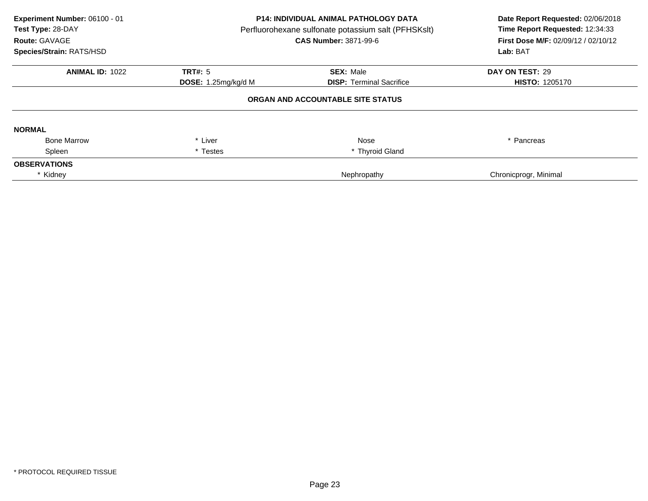| Experiment Number: 06100 - 01<br>Test Type: 28-DAY<br>Route: GAVAGE<br>Species/Strain: RATS/HSD | P14: INDIVIDUAL ANIMAL PATHOLOGY DATA<br>Perfluorohexane sulfonate potassium salt (PFHSKslt)<br><b>CAS Number: 3871-99-6</b> |                                   | Date Report Requested: 02/06/2018<br>Time Report Requested: 12:34:33<br>First Dose M/F: 02/09/12 / 02/10/12<br>Lab: BAT |
|-------------------------------------------------------------------------------------------------|------------------------------------------------------------------------------------------------------------------------------|-----------------------------------|-------------------------------------------------------------------------------------------------------------------------|
| <b>ANIMAL ID: 1022</b>                                                                          | TRT#: 5                                                                                                                      | <b>SEX: Male</b>                  | DAY ON TEST: 29                                                                                                         |
|                                                                                                 | DOSE: 1.25mg/kg/d M                                                                                                          | <b>DISP: Terminal Sacrifice</b>   | <b>HISTO: 1205170</b>                                                                                                   |
|                                                                                                 |                                                                                                                              | ORGAN AND ACCOUNTABLE SITE STATUS |                                                                                                                         |
| <b>NORMAL</b>                                                                                   |                                                                                                                              |                                   |                                                                                                                         |
| <b>Bone Marrow</b>                                                                              | * Liver                                                                                                                      | Nose                              | * Pancreas                                                                                                              |
| Spleen                                                                                          | * Testes                                                                                                                     | * Thyroid Gland                   |                                                                                                                         |
| <b>OBSERVATIONS</b>                                                                             |                                                                                                                              |                                   |                                                                                                                         |
| * Kidney                                                                                        |                                                                                                                              | Nephropathy                       | Chronicprogr, Minimal                                                                                                   |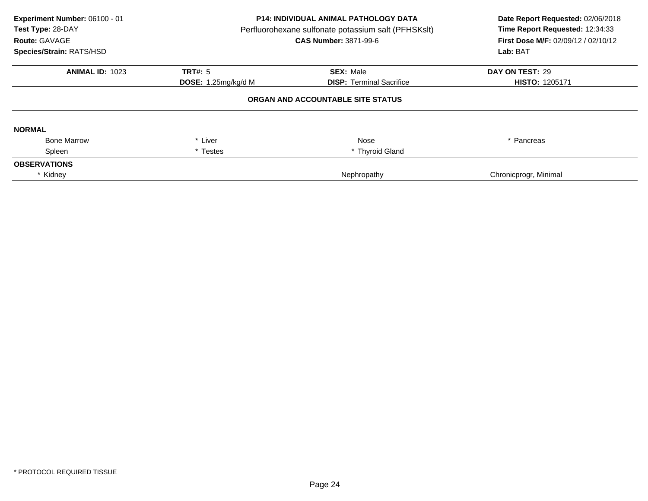| Experiment Number: 06100 - 01<br>Test Type: 28-DAY<br>Route: GAVAGE<br>Species/Strain: RATS/HSD | <b>P14: INDIVIDUAL ANIMAL PATHOLOGY DATA</b><br>Perfluorohexane sulfonate potassium salt (PFHSKslt)<br><b>CAS Number: 3871-99-6</b> |                                   | Date Report Requested: 02/06/2018<br>Time Report Requested: 12:34:33<br><b>First Dose M/F: 02/09/12 / 02/10/12</b><br>Lab: BAT |
|-------------------------------------------------------------------------------------------------|-------------------------------------------------------------------------------------------------------------------------------------|-----------------------------------|--------------------------------------------------------------------------------------------------------------------------------|
| <b>ANIMAL ID: 1023</b>                                                                          | <b>TRT#: 5</b>                                                                                                                      | <b>SEX: Male</b>                  | DAY ON TEST: 29                                                                                                                |
|                                                                                                 | <b>DOSE:</b> 1.25mg/kg/d M                                                                                                          | <b>DISP:</b> Terminal Sacrifice   | <b>HISTO: 1205171</b>                                                                                                          |
|                                                                                                 |                                                                                                                                     | ORGAN AND ACCOUNTABLE SITE STATUS |                                                                                                                                |
| <b>NORMAL</b>                                                                                   |                                                                                                                                     |                                   |                                                                                                                                |
| <b>Bone Marrow</b>                                                                              | * Liver                                                                                                                             | Nose                              | * Pancreas                                                                                                                     |
| Spleen                                                                                          | * Testes                                                                                                                            | * Thyroid Gland                   |                                                                                                                                |
| <b>OBSERVATIONS</b>                                                                             |                                                                                                                                     |                                   |                                                                                                                                |
| * Kidney                                                                                        |                                                                                                                                     | Nephropathy                       | Chronicprogr, Minimal                                                                                                          |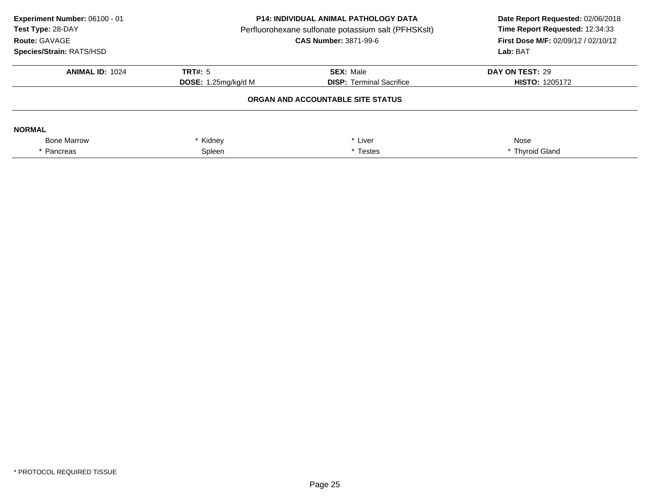| Experiment Number: 06100 - 01<br>Test Type: 28-DAY<br>Route: GAVAGE<br><b>Species/Strain: RATS/HSD</b> | <b>P14: INDIVIDUAL ANIMAL PATHOLOGY DATA</b><br>Perfluorohexane sulfonate potassium salt (PFHSKslt)<br><b>CAS Number: 3871-99-6</b> |                                   | Date Report Requested: 02/06/2018<br>Time Report Requested: 12:34:33<br>First Dose M/F: 02/09/12 / 02/10/12<br>Lab: BAT |
|--------------------------------------------------------------------------------------------------------|-------------------------------------------------------------------------------------------------------------------------------------|-----------------------------------|-------------------------------------------------------------------------------------------------------------------------|
| <b>ANIMAL ID: 1024</b>                                                                                 | TRT#: $5$<br><b>SEX: Male</b>                                                                                                       |                                   | DAY ON TEST: 29                                                                                                         |
|                                                                                                        | <b>DISP:</b> Terminal Sacrifice<br><b>DOSE:</b> 1.25 $mg/kg/d$ M                                                                    |                                   | <b>HISTO: 1205172</b>                                                                                                   |
|                                                                                                        |                                                                                                                                     | ORGAN AND ACCOUNTABLE SITE STATUS |                                                                                                                         |
| <b>NORMAL</b>                                                                                          |                                                                                                                                     |                                   |                                                                                                                         |
| <b>Bone Marrow</b>                                                                                     | * Liver<br>Kidney                                                                                                                   |                                   | Nose                                                                                                                    |
| * Pancreas                                                                                             | Spleen                                                                                                                              | * Testes                          | * Thyroid Gland                                                                                                         |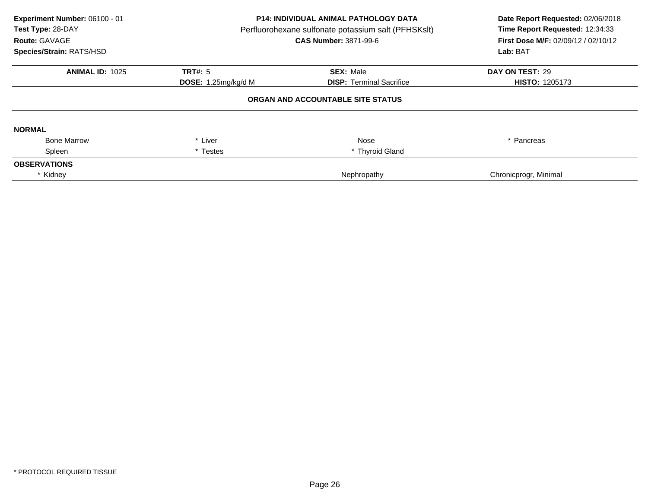| Experiment Number: 06100 - 01<br>Test Type: 28-DAY<br>Route: GAVAGE<br>Species/Strain: RATS/HSD | P14: INDIVIDUAL ANIMAL PATHOLOGY DATA<br>Perfluorohexane sulfonate potassium salt (PFHSKslt)<br>CAS Number: 3871-99-6 |                                   | Date Report Requested: 02/06/2018<br>Time Report Requested: 12:34:33<br><b>First Dose M/F: 02/09/12 / 02/10/12</b><br>Lab: BAT |
|-------------------------------------------------------------------------------------------------|-----------------------------------------------------------------------------------------------------------------------|-----------------------------------|--------------------------------------------------------------------------------------------------------------------------------|
| <b>ANIMAL ID: 1025</b>                                                                          | <b>TRT#: 5</b>                                                                                                        | <b>SEX: Male</b>                  | DAY ON TEST: 29                                                                                                                |
|                                                                                                 | <b>DOSE:</b> 1.25 $mg/kg/d$ M<br><b>DISP:</b> Terminal Sacrifice                                                      | <b>HISTO: 1205173</b>             |                                                                                                                                |
|                                                                                                 |                                                                                                                       | ORGAN AND ACCOUNTABLE SITE STATUS |                                                                                                                                |
| <b>NORMAL</b>                                                                                   |                                                                                                                       |                                   |                                                                                                                                |
| <b>Bone Marrow</b>                                                                              | * Liver                                                                                                               | Nose                              | * Pancreas                                                                                                                     |
| Spleen                                                                                          | * Testes                                                                                                              | * Thyroid Gland                   |                                                                                                                                |
| <b>OBSERVATIONS</b>                                                                             |                                                                                                                       |                                   |                                                                                                                                |
| * Kidney                                                                                        |                                                                                                                       | Nephropathy                       | Chronicprogr, Minimal                                                                                                          |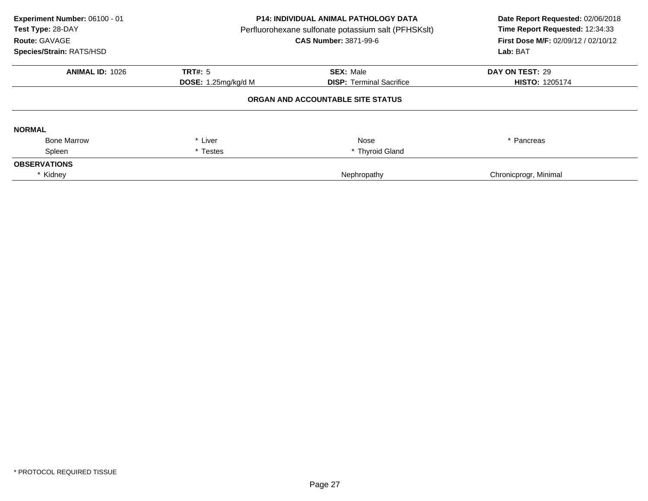| Experiment Number: 06100 - 01<br>Test Type: 28-DAY<br>Route: GAVAGE<br>Species/Strain: RATS/HSD | P14: INDIVIDUAL ANIMAL PATHOLOGY DATA<br>Perfluorohexane sulfonate potassium salt (PFHSKslt)<br>CAS Number: 3871-99-6 |                                   | Date Report Requested: 02/06/2018<br>Time Report Requested: 12:34:33<br><b>First Dose M/F: 02/09/12 / 02/10/12</b><br>Lab: BAT |
|-------------------------------------------------------------------------------------------------|-----------------------------------------------------------------------------------------------------------------------|-----------------------------------|--------------------------------------------------------------------------------------------------------------------------------|
| <b>ANIMAL ID: 1026</b>                                                                          | <b>TRT#: 5</b>                                                                                                        | <b>SEX: Male</b>                  | DAY ON TEST: 29                                                                                                                |
|                                                                                                 | <b>DOSE:</b> 1.25 $mg/kg/d$ M                                                                                         | <b>DISP:</b> Terminal Sacrifice   | <b>HISTO: 1205174</b>                                                                                                          |
|                                                                                                 |                                                                                                                       | ORGAN AND ACCOUNTABLE SITE STATUS |                                                                                                                                |
| <b>NORMAL</b>                                                                                   |                                                                                                                       |                                   |                                                                                                                                |
| <b>Bone Marrow</b>                                                                              | * Liver                                                                                                               | Nose                              | * Pancreas                                                                                                                     |
| Spleen                                                                                          | * Testes                                                                                                              | * Thyroid Gland                   |                                                                                                                                |
| <b>OBSERVATIONS</b>                                                                             |                                                                                                                       |                                   |                                                                                                                                |
| * Kidney                                                                                        |                                                                                                                       | Nephropathy                       | Chronicprogr, Minimal                                                                                                          |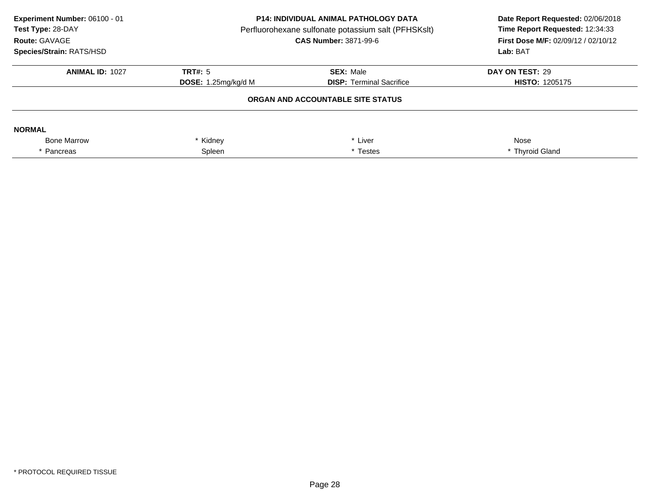| Experiment Number: 06100 - 01<br>Test Type: 28-DAY<br>Route: GAVAGE<br><b>Species/Strain: RATS/HSD</b> | <b>P14: INDIVIDUAL ANIMAL PATHOLOGY DATA</b><br>Perfluorohexane sulfonate potassium salt (PFHSKslt)<br><b>CAS Number: 3871-99-6</b> |                                   | Date Report Requested: 02/06/2018<br>Time Report Requested: 12:34:33<br>First Dose M/F: 02/09/12 / 02/10/12<br>Lab: BAT |
|--------------------------------------------------------------------------------------------------------|-------------------------------------------------------------------------------------------------------------------------------------|-----------------------------------|-------------------------------------------------------------------------------------------------------------------------|
| <b>ANIMAL ID: 1027</b>                                                                                 | TRT#: $5$                                                                                                                           | DAY ON TEST: 29                   |                                                                                                                         |
|                                                                                                        | <b>DOSE:</b> 1.25 $mg/kg/d$ M                                                                                                       | <b>DISP:</b> Terminal Sacrifice   | <b>HISTO: 1205175</b>                                                                                                   |
|                                                                                                        |                                                                                                                                     | ORGAN AND ACCOUNTABLE SITE STATUS |                                                                                                                         |
| <b>NORMAL</b>                                                                                          |                                                                                                                                     |                                   |                                                                                                                         |
| <b>Bone Marrow</b>                                                                                     | * Liver<br>Kidney                                                                                                                   |                                   | Nose                                                                                                                    |
| * Pancreas                                                                                             | Spleen                                                                                                                              | * Testes                          | * Thyroid Gland                                                                                                         |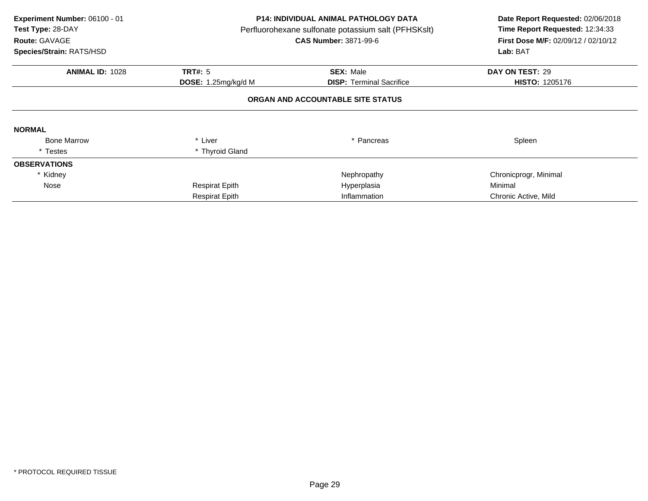| Experiment Number: 06100 - 01<br>Test Type: 28-DAY<br>Route: GAVAGE<br>Species/Strain: RATS/HSD | P14: INDIVIDUAL ANIMAL PATHOLOGY DATA<br>Perfluorohexane sulfonate potassium salt (PFHSKslt)<br><b>CAS Number: 3871-99-6</b> |                                   | Date Report Requested: 02/06/2018<br>Time Report Requested: 12:34:33<br>First Dose M/F: 02/09/12 / 02/10/12<br>Lab: BAT |
|-------------------------------------------------------------------------------------------------|------------------------------------------------------------------------------------------------------------------------------|-----------------------------------|-------------------------------------------------------------------------------------------------------------------------|
| <b>ANIMAL ID: 1028</b>                                                                          | <b>TRT#: 5</b>                                                                                                               | <b>SEX: Male</b>                  | DAY ON TEST: 29                                                                                                         |
|                                                                                                 | DOSE: 1.25mg/kg/d M                                                                                                          | <b>DISP:</b> Terminal Sacrifice   | <b>HISTO: 1205176</b>                                                                                                   |
|                                                                                                 |                                                                                                                              | ORGAN AND ACCOUNTABLE SITE STATUS |                                                                                                                         |
| <b>NORMAL</b>                                                                                   |                                                                                                                              |                                   |                                                                                                                         |
| <b>Bone Marrow</b>                                                                              | * Liver                                                                                                                      | * Pancreas                        | Spleen                                                                                                                  |
| * Testes                                                                                        | * Thyroid Gland                                                                                                              |                                   |                                                                                                                         |
| <b>OBSERVATIONS</b>                                                                             |                                                                                                                              |                                   |                                                                                                                         |
| * Kidney                                                                                        |                                                                                                                              | Nephropathy                       | Chronicprogr, Minimal                                                                                                   |
| Nose                                                                                            | <b>Respirat Epith</b>                                                                                                        | Hyperplasia                       | Minimal                                                                                                                 |
|                                                                                                 | <b>Respirat Epith</b>                                                                                                        | Inflammation                      | Chronic Active, Mild                                                                                                    |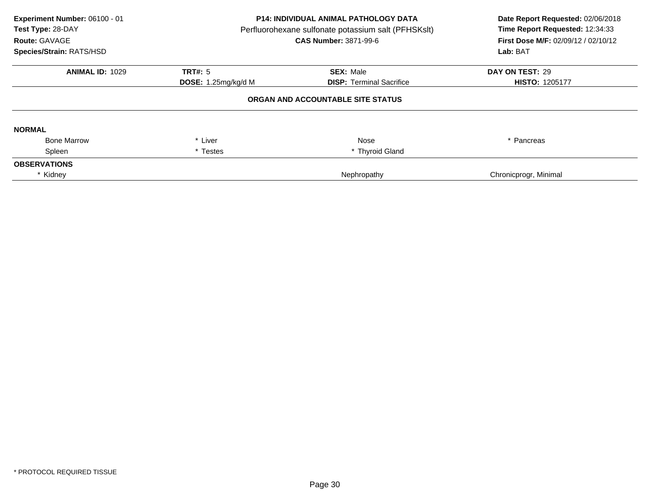| Experiment Number: 06100 - 01<br>Test Type: 28-DAY<br>Route: GAVAGE<br>Species/Strain: RATS/HSD | P14: INDIVIDUAL ANIMAL PATHOLOGY DATA<br>Perfluorohexane sulfonate potassium salt (PFHSKslt)<br>CAS Number: 3871-99-6 |                                   | Date Report Requested: 02/06/2018<br>Time Report Requested: 12:34:33<br><b>First Dose M/F: 02/09/12 / 02/10/12</b><br>Lab: BAT |
|-------------------------------------------------------------------------------------------------|-----------------------------------------------------------------------------------------------------------------------|-----------------------------------|--------------------------------------------------------------------------------------------------------------------------------|
| <b>ANIMAL ID: 1029</b>                                                                          | <b>TRT#: 5</b>                                                                                                        | <b>SEX: Male</b>                  | DAY ON TEST: 29                                                                                                                |
|                                                                                                 | <b>DOSE:</b> 1.25 $mg/kg/d$ M<br><b>DISP:</b> Terminal Sacrifice                                                      |                                   | <b>HISTO: 1205177</b>                                                                                                          |
|                                                                                                 |                                                                                                                       | ORGAN AND ACCOUNTABLE SITE STATUS |                                                                                                                                |
| <b>NORMAL</b>                                                                                   |                                                                                                                       |                                   |                                                                                                                                |
| <b>Bone Marrow</b>                                                                              | * Liver                                                                                                               | Nose                              | * Pancreas                                                                                                                     |
| Spleen                                                                                          | * Testes                                                                                                              | * Thyroid Gland                   |                                                                                                                                |
| <b>OBSERVATIONS</b>                                                                             |                                                                                                                       |                                   |                                                                                                                                |
| * Kidney                                                                                        |                                                                                                                       | Nephropathy                       | Chronicprogr, Minimal                                                                                                          |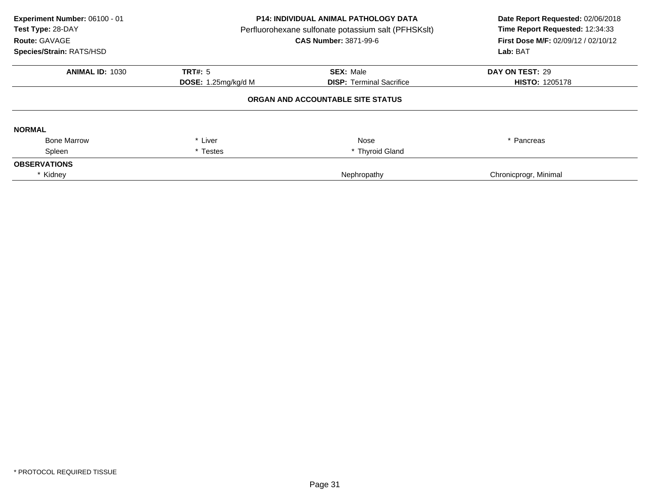| Experiment Number: 06100 - 01<br>Test Type: 28-DAY<br>Route: GAVAGE<br>Species/Strain: RATS/HSD | P14: INDIVIDUAL ANIMAL PATHOLOGY DATA<br>Perfluorohexane sulfonate potassium salt (PFHSKslt)<br>CAS Number: 3871-99-6 |                                   | Date Report Requested: 02/06/2018<br>Time Report Requested: 12:34:33<br><b>First Dose M/F: 02/09/12 / 02/10/12</b><br>Lab: BAT |
|-------------------------------------------------------------------------------------------------|-----------------------------------------------------------------------------------------------------------------------|-----------------------------------|--------------------------------------------------------------------------------------------------------------------------------|
| <b>ANIMAL ID: 1030</b>                                                                          | <b>TRT#: 5</b>                                                                                                        | <b>SEX: Male</b>                  | DAY ON TEST: 29                                                                                                                |
|                                                                                                 | <b>DOSE:</b> 1.25 $mg/kg/d$ M                                                                                         | <b>DISP:</b> Terminal Sacrifice   | <b>HISTO: 1205178</b>                                                                                                          |
|                                                                                                 |                                                                                                                       | ORGAN AND ACCOUNTABLE SITE STATUS |                                                                                                                                |
| <b>NORMAL</b>                                                                                   |                                                                                                                       |                                   |                                                                                                                                |
| <b>Bone Marrow</b>                                                                              | * Liver                                                                                                               | Nose                              | * Pancreas                                                                                                                     |
| Spleen                                                                                          | * Testes                                                                                                              | * Thyroid Gland                   |                                                                                                                                |
| <b>OBSERVATIONS</b>                                                                             |                                                                                                                       |                                   |                                                                                                                                |
| * Kidney                                                                                        |                                                                                                                       | Nephropathy                       | Chronicprogr, Minimal                                                                                                          |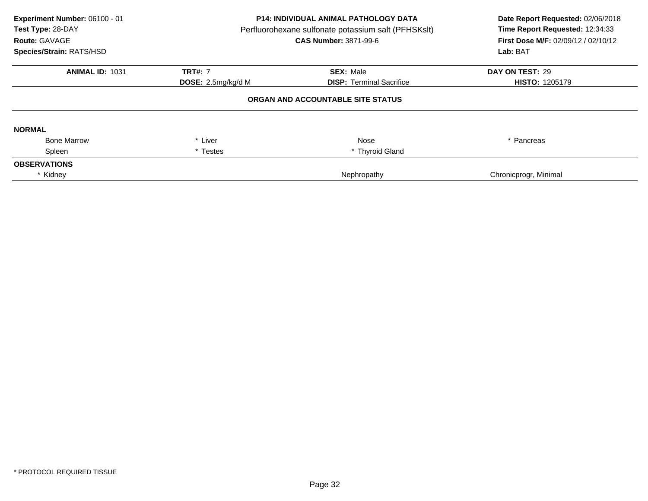| Experiment Number: 06100 - 01<br>Test Type: 28-DAY<br>Route: GAVAGE<br>Species/Strain: RATS/HSD | <b>P14: INDIVIDUAL ANIMAL PATHOLOGY DATA</b><br>Perfluorohexane sulfonate potassium salt (PFHSKslt)<br><b>CAS Number: 3871-99-6</b> |                                   | Date Report Requested: 02/06/2018<br>Time Report Requested: 12:34:33<br>First Dose M/F: 02/09/12 / 02/10/12<br>Lab: BAT |
|-------------------------------------------------------------------------------------------------|-------------------------------------------------------------------------------------------------------------------------------------|-----------------------------------|-------------------------------------------------------------------------------------------------------------------------|
| <b>ANIMAL ID: 1031</b>                                                                          | <b>TRT#: 7</b>                                                                                                                      | <b>SEX: Male</b>                  | DAY ON TEST: 29                                                                                                         |
|                                                                                                 | DOSE: 2.5mg/kg/d M                                                                                                                  | <b>DISP:</b> Terminal Sacrifice   | <b>HISTO: 1205179</b>                                                                                                   |
|                                                                                                 |                                                                                                                                     | ORGAN AND ACCOUNTABLE SITE STATUS |                                                                                                                         |
| <b>NORMAL</b>                                                                                   |                                                                                                                                     |                                   |                                                                                                                         |
| <b>Bone Marrow</b>                                                                              | * Liver                                                                                                                             | Nose                              | * Pancreas                                                                                                              |
| Spleen                                                                                          | * Testes                                                                                                                            | * Thyroid Gland                   |                                                                                                                         |
| <b>OBSERVATIONS</b>                                                                             |                                                                                                                                     |                                   |                                                                                                                         |
| * Kidney                                                                                        |                                                                                                                                     | Nephropathy                       | Chronicprogr, Minimal                                                                                                   |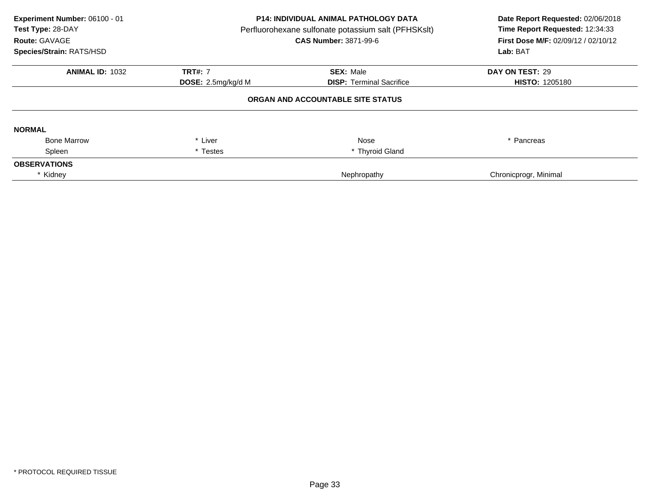| Experiment Number: 06100 - 01<br>Test Type: 28-DAY<br>Route: GAVAGE<br>Species/Strain: RATS/HSD | <b>P14: INDIVIDUAL ANIMAL PATHOLOGY DATA</b><br>Perfluorohexane sulfonate potassium salt (PFHSKslt)<br><b>CAS Number: 3871-99-6</b> |                                   | Date Report Requested: 02/06/2018<br>Time Report Requested: 12:34:33<br>First Dose M/F: 02/09/12 / 02/10/12<br>Lab: BAT |
|-------------------------------------------------------------------------------------------------|-------------------------------------------------------------------------------------------------------------------------------------|-----------------------------------|-------------------------------------------------------------------------------------------------------------------------|
| <b>ANIMAL ID: 1032</b>                                                                          | <b>TRT#: 7</b>                                                                                                                      | <b>SEX: Male</b>                  | DAY ON TEST: 29                                                                                                         |
|                                                                                                 | DOSE: 2.5mg/kg/d M                                                                                                                  | <b>DISP:</b> Terminal Sacrifice   | <b>HISTO: 1205180</b>                                                                                                   |
|                                                                                                 |                                                                                                                                     | ORGAN AND ACCOUNTABLE SITE STATUS |                                                                                                                         |
| <b>NORMAL</b>                                                                                   |                                                                                                                                     |                                   |                                                                                                                         |
| <b>Bone Marrow</b>                                                                              | * Liver                                                                                                                             | Nose                              | * Pancreas                                                                                                              |
| Spleen                                                                                          | * Testes                                                                                                                            | * Thyroid Gland                   |                                                                                                                         |
| <b>OBSERVATIONS</b>                                                                             |                                                                                                                                     |                                   |                                                                                                                         |
| * Kidney                                                                                        |                                                                                                                                     | Nephropathy                       | Chronicprogr, Minimal                                                                                                   |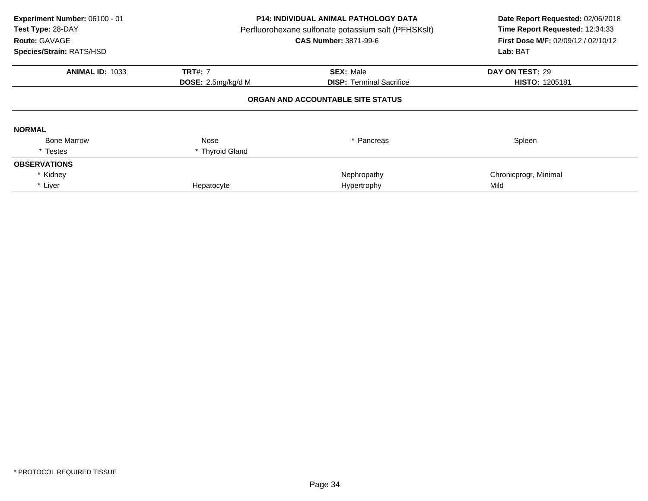| Experiment Number: 06100 - 01<br>Test Type: 28-DAY<br>Route: GAVAGE<br>Species/Strain: RATS/HSD | <b>P14: INDIVIDUAL ANIMAL PATHOLOGY DATA</b><br>Perfluorohexane sulfonate potassium salt (PFHSKslt)<br><b>CAS Number: 3871-99-6</b> |                                   | Date Report Requested: 02/06/2018<br>Time Report Requested: 12:34:33<br>First Dose M/F: 02/09/12 / 02/10/12<br>Lab: BAT |
|-------------------------------------------------------------------------------------------------|-------------------------------------------------------------------------------------------------------------------------------------|-----------------------------------|-------------------------------------------------------------------------------------------------------------------------|
| <b>ANIMAL ID: 1033</b>                                                                          | <b>TRT#: 7</b>                                                                                                                      | <b>SEX: Male</b>                  | DAY ON TEST: 29                                                                                                         |
|                                                                                                 | <b>DOSE:</b> 2.5mg/kg/d M                                                                                                           | <b>DISP:</b> Terminal Sacrifice   | <b>HISTO: 1205181</b>                                                                                                   |
|                                                                                                 |                                                                                                                                     | ORGAN AND ACCOUNTABLE SITE STATUS |                                                                                                                         |
| <b>NORMAL</b>                                                                                   |                                                                                                                                     |                                   |                                                                                                                         |
| <b>Bone Marrow</b>                                                                              | Nose                                                                                                                                | Pancreas                          | Spleen                                                                                                                  |
| * Testes                                                                                        | * Thyroid Gland                                                                                                                     |                                   |                                                                                                                         |
| <b>OBSERVATIONS</b>                                                                             |                                                                                                                                     |                                   |                                                                                                                         |
| * Kidney                                                                                        |                                                                                                                                     | Nephropathy                       | Chronicprogr, Minimal                                                                                                   |
| * Liver                                                                                         | Hepatocyte                                                                                                                          | Hypertrophy                       | Mild                                                                                                                    |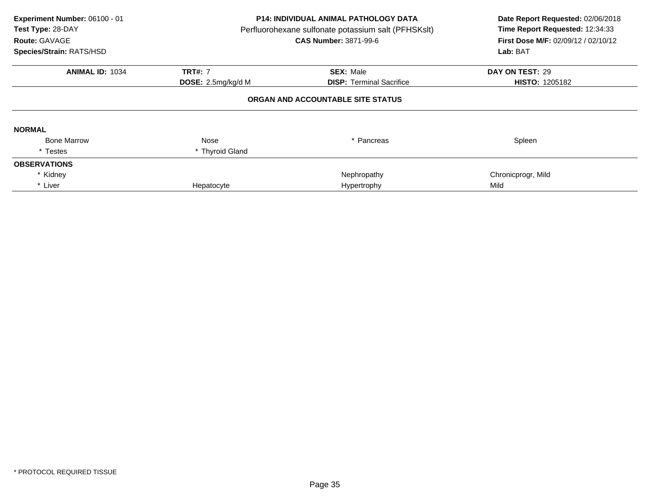| Experiment Number: 06100 - 01<br>Test Type: 28-DAY<br>Route: GAVAGE<br>Species/Strain: RATS/HSD | <b>P14: INDIVIDUAL ANIMAL PATHOLOGY DATA</b><br>Perfluorohexane sulfonate potassium salt (PFHSKslt)<br><b>CAS Number: 3871-99-6</b> |                                   | Date Report Requested: 02/06/2018<br>Time Report Requested: 12:34:33<br><b>First Dose M/F: 02/09/12 / 02/10/12</b><br>Lab: BAT |
|-------------------------------------------------------------------------------------------------|-------------------------------------------------------------------------------------------------------------------------------------|-----------------------------------|--------------------------------------------------------------------------------------------------------------------------------|
| <b>ANIMAL ID: 1034</b>                                                                          | <b>TRT#: 7</b>                                                                                                                      | <b>SEX: Male</b>                  | DAY ON TEST: 29                                                                                                                |
|                                                                                                 | DOSE: 2.5mg/kg/d M                                                                                                                  | <b>DISP:</b> Terminal Sacrifice   | <b>HISTO: 1205182</b>                                                                                                          |
|                                                                                                 |                                                                                                                                     | ORGAN AND ACCOUNTABLE SITE STATUS |                                                                                                                                |
| <b>NORMAL</b>                                                                                   |                                                                                                                                     |                                   |                                                                                                                                |
| <b>Bone Marrow</b>                                                                              | Nose                                                                                                                                | Pancreas                          | Spleen                                                                                                                         |
| * Testes                                                                                        | * Thyroid Gland                                                                                                                     |                                   |                                                                                                                                |
| <b>OBSERVATIONS</b>                                                                             |                                                                                                                                     |                                   |                                                                                                                                |
| * Kidney                                                                                        |                                                                                                                                     | Nephropathy                       | Chronicprogr, Mild                                                                                                             |
| * Liver                                                                                         | Hepatocyte                                                                                                                          | Hypertrophy                       | Mild                                                                                                                           |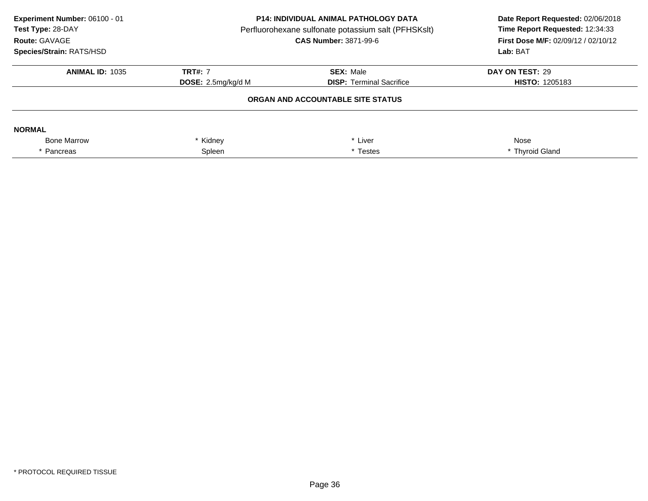| Experiment Number: 06100 - 01<br>Test Type: 28-DAY<br>Route: GAVAGE<br><b>Species/Strain: RATS/HSD</b> | <b>P14: INDIVIDUAL ANIMAL PATHOLOGY DATA</b><br>Perfluorohexane sulfonate potassium salt (PFHSKslt)<br><b>CAS Number: 3871-99-6</b> |                                   | Date Report Requested: 02/06/2018<br>Time Report Requested: 12:34:33<br><b>First Dose M/F: 02/09/12 / 02/10/12</b><br>Lab: BAT |
|--------------------------------------------------------------------------------------------------------|-------------------------------------------------------------------------------------------------------------------------------------|-----------------------------------|--------------------------------------------------------------------------------------------------------------------------------|
| <b>ANIMAL ID: 1035</b>                                                                                 | <b>TRT#: 7</b><br><b>SEX: Male</b>                                                                                                  |                                   | DAY ON TEST: 29                                                                                                                |
|                                                                                                        | <b>DOSE:</b> $2.5mg/kg/d M$                                                                                                         | <b>DISP:</b> Terminal Sacrifice   | <b>HISTO: 1205183</b>                                                                                                          |
|                                                                                                        |                                                                                                                                     | ORGAN AND ACCOUNTABLE SITE STATUS |                                                                                                                                |
| <b>NORMAL</b>                                                                                          |                                                                                                                                     |                                   |                                                                                                                                |
| <b>Bone Marrow</b>                                                                                     | Kidney<br>* Liver                                                                                                                   |                                   | Nose                                                                                                                           |
| <sup>'</sup> Pancreas                                                                                  | Spleen<br>* Testes                                                                                                                  |                                   | * Thyroid Gland                                                                                                                |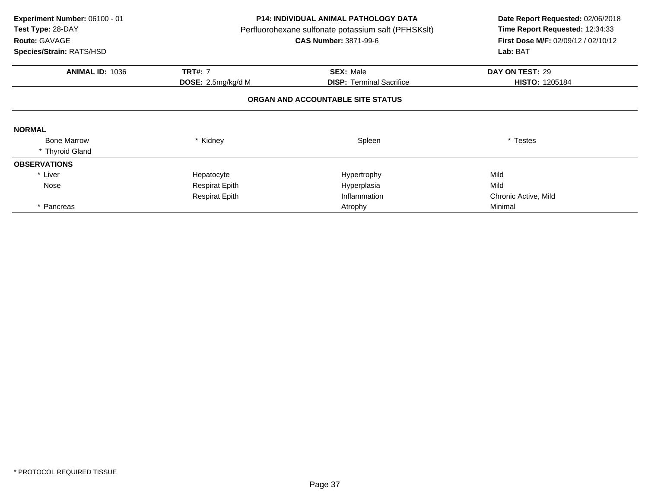| Experiment Number: 06100 - 01<br>Test Type: 28-DAY<br>Route: GAVAGE<br>Species/Strain: RATS/HSD | <b>P14: INDIVIDUAL ANIMAL PATHOLOGY DATA</b><br>Perfluorohexane sulfonate potassium salt (PFHSKslt)<br><b>CAS Number: 3871-99-6</b> |                                   | Date Report Requested: 02/06/2018<br>Time Report Requested: 12:34:33<br>First Dose M/F: 02/09/12 / 02/10/12<br>Lab: BAT |
|-------------------------------------------------------------------------------------------------|-------------------------------------------------------------------------------------------------------------------------------------|-----------------------------------|-------------------------------------------------------------------------------------------------------------------------|
| <b>ANIMAL ID: 1036</b>                                                                          | <b>TRT#: 7</b>                                                                                                                      | <b>SEX: Male</b>                  | DAY ON TEST: 29                                                                                                         |
|                                                                                                 | <b>DOSE:</b> 2.5mg/kg/d M                                                                                                           | <b>DISP:</b> Terminal Sacrifice   | <b>HISTO: 1205184</b>                                                                                                   |
|                                                                                                 |                                                                                                                                     | ORGAN AND ACCOUNTABLE SITE STATUS |                                                                                                                         |
| <b>NORMAL</b>                                                                                   |                                                                                                                                     |                                   |                                                                                                                         |
| <b>Bone Marrow</b>                                                                              | * Kidney                                                                                                                            | Spleen                            | * Testes                                                                                                                |
| * Thyroid Gland                                                                                 |                                                                                                                                     |                                   |                                                                                                                         |
| <b>OBSERVATIONS</b>                                                                             |                                                                                                                                     |                                   |                                                                                                                         |
| * Liver                                                                                         | Hepatocyte                                                                                                                          | Hypertrophy                       | Mild                                                                                                                    |
| Nose                                                                                            | <b>Respirat Epith</b>                                                                                                               | Hyperplasia                       | Mild                                                                                                                    |
|                                                                                                 | <b>Respirat Epith</b>                                                                                                               | Inflammation                      | Chronic Active, Mild                                                                                                    |
| * Pancreas                                                                                      |                                                                                                                                     | Atrophy                           | Minimal                                                                                                                 |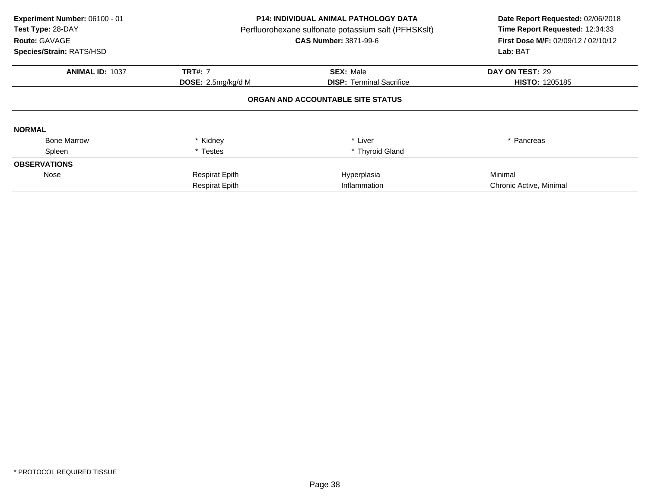| Experiment Number: 06100 - 01<br>Test Type: 28-DAY<br>Route: GAVAGE<br>Species/Strain: RATS/HSD | <b>P14: INDIVIDUAL ANIMAL PATHOLOGY DATA</b><br>Perfluorohexane sulfonate potassium salt (PFHSKslt)<br><b>CAS Number: 3871-99-6</b> |                                   | Date Report Requested: 02/06/2018<br>Time Report Requested: 12:34:33<br>First Dose M/F: 02/09/12 / 02/10/12<br>Lab: BAT |
|-------------------------------------------------------------------------------------------------|-------------------------------------------------------------------------------------------------------------------------------------|-----------------------------------|-------------------------------------------------------------------------------------------------------------------------|
| <b>ANIMAL ID: 1037</b>                                                                          | <b>TRT#: 7</b>                                                                                                                      | <b>SEX: Male</b>                  | DAY ON TEST: 29                                                                                                         |
|                                                                                                 | DOSE: 2.5mg/kg/d M                                                                                                                  | <b>DISP:</b> Terminal Sacrifice   | <b>HISTO: 1205185</b>                                                                                                   |
|                                                                                                 |                                                                                                                                     | ORGAN AND ACCOUNTABLE SITE STATUS |                                                                                                                         |
| <b>NORMAL</b>                                                                                   |                                                                                                                                     |                                   |                                                                                                                         |
| <b>Bone Marrow</b>                                                                              | * Kidney                                                                                                                            | * Liver                           | Pancreas                                                                                                                |
| Spleen                                                                                          | * Testes                                                                                                                            | * Thyroid Gland                   |                                                                                                                         |
| <b>OBSERVATIONS</b>                                                                             |                                                                                                                                     |                                   |                                                                                                                         |
| Nose                                                                                            | <b>Respirat Epith</b>                                                                                                               | Hyperplasia                       | Minimal                                                                                                                 |
|                                                                                                 | <b>Respirat Epith</b>                                                                                                               | Inflammation                      | Chronic Active, Minimal                                                                                                 |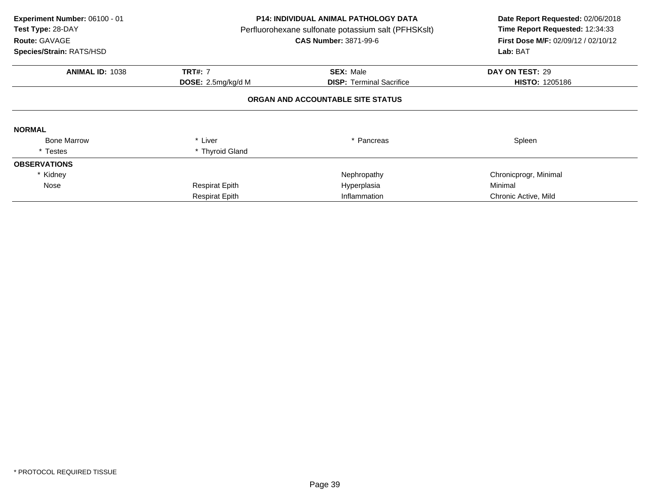| Experiment Number: 06100 - 01<br>Test Type: 28-DAY<br>Route: GAVAGE<br>Species/Strain: RATS/HSD |                       | P14: INDIVIDUAL ANIMAL PATHOLOGY DATA<br>Perfluorohexane sulfonate potassium salt (PFHSKslt)<br><b>CAS Number: 3871-99-6</b> | Date Report Requested: 02/06/2018<br>Time Report Requested: 12:34:33<br>First Dose M/F: 02/09/12 / 02/10/12<br>Lab: BAT |
|-------------------------------------------------------------------------------------------------|-----------------------|------------------------------------------------------------------------------------------------------------------------------|-------------------------------------------------------------------------------------------------------------------------|
| <b>ANIMAL ID: 1038</b>                                                                          | <b>TRT#: 7</b>        | <b>SEX: Male</b>                                                                                                             | DAY ON TEST: 29                                                                                                         |
|                                                                                                 | DOSE: 2.5mg/kg/d M    | <b>DISP: Terminal Sacrifice</b>                                                                                              | <b>HISTO: 1205186</b>                                                                                                   |
|                                                                                                 |                       | ORGAN AND ACCOUNTABLE SITE STATUS                                                                                            |                                                                                                                         |
| <b>NORMAL</b>                                                                                   |                       |                                                                                                                              |                                                                                                                         |
| <b>Bone Marrow</b>                                                                              | * Liver               | * Pancreas                                                                                                                   | Spleen                                                                                                                  |
| * Testes                                                                                        | * Thyroid Gland       |                                                                                                                              |                                                                                                                         |
| <b>OBSERVATIONS</b>                                                                             |                       |                                                                                                                              |                                                                                                                         |
| * Kidney                                                                                        |                       | Nephropathy                                                                                                                  | Chronicprogr, Minimal                                                                                                   |
| Nose                                                                                            | <b>Respirat Epith</b> | Hyperplasia                                                                                                                  | Minimal                                                                                                                 |
|                                                                                                 | <b>Respirat Epith</b> | Inflammation                                                                                                                 | Chronic Active, Mild                                                                                                    |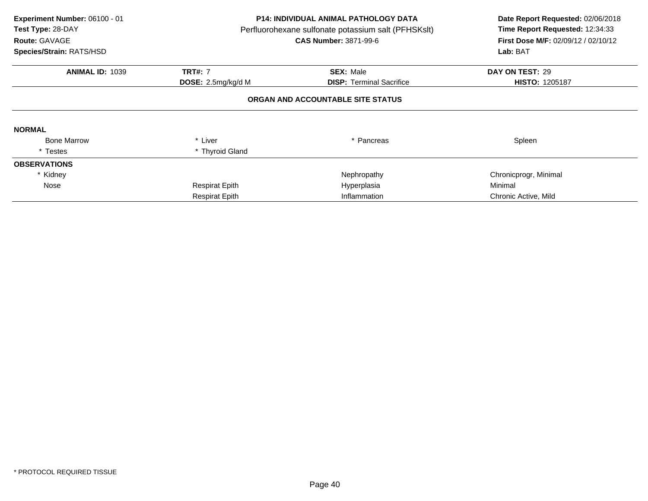| Experiment Number: 06100 - 01<br>Test Type: 28-DAY<br>Route: GAVAGE<br>Species/Strain: RATS/HSD |                       | P14: INDIVIDUAL ANIMAL PATHOLOGY DATA<br>Perfluorohexane sulfonate potassium salt (PFHSKslt)<br><b>CAS Number: 3871-99-6</b> | Date Report Requested: 02/06/2018<br>Time Report Requested: 12:34:33<br>First Dose M/F: 02/09/12 / 02/10/12<br>Lab: BAT |
|-------------------------------------------------------------------------------------------------|-----------------------|------------------------------------------------------------------------------------------------------------------------------|-------------------------------------------------------------------------------------------------------------------------|
| <b>ANIMAL ID: 1039</b>                                                                          | <b>TRT#: 7</b>        | <b>SEX: Male</b>                                                                                                             | DAY ON TEST: 29                                                                                                         |
|                                                                                                 | DOSE: 2.5mg/kg/d M    | <b>DISP: Terminal Sacrifice</b>                                                                                              | <b>HISTO: 1205187</b>                                                                                                   |
|                                                                                                 |                       | ORGAN AND ACCOUNTABLE SITE STATUS                                                                                            |                                                                                                                         |
| <b>NORMAL</b>                                                                                   |                       |                                                                                                                              |                                                                                                                         |
| <b>Bone Marrow</b>                                                                              | * Liver               | * Pancreas                                                                                                                   | Spleen                                                                                                                  |
| * Testes                                                                                        | * Thyroid Gland       |                                                                                                                              |                                                                                                                         |
| <b>OBSERVATIONS</b>                                                                             |                       |                                                                                                                              |                                                                                                                         |
| * Kidney                                                                                        |                       | Nephropathy                                                                                                                  | Chronicprogr, Minimal                                                                                                   |
| Nose                                                                                            | <b>Respirat Epith</b> | Hyperplasia                                                                                                                  | Minimal                                                                                                                 |
|                                                                                                 | <b>Respirat Epith</b> | Inflammation                                                                                                                 | Chronic Active, Mild                                                                                                    |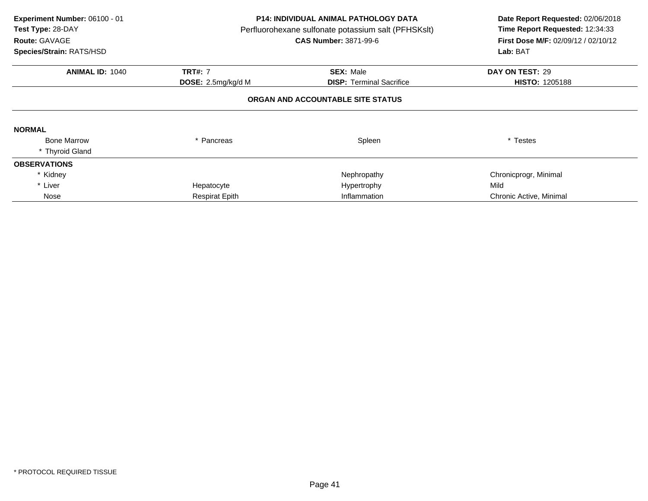| Experiment Number: 06100 - 01<br>Test Type: 28-DAY<br>Route: GAVAGE<br>Species/Strain: RATS/HSD |                       | <b>P14: INDIVIDUAL ANIMAL PATHOLOGY DATA</b><br>Perfluorohexane sulfonate potassium salt (PFHSKslt)<br><b>CAS Number: 3871-99-6</b> | Date Report Requested: 02/06/2018<br>Time Report Requested: 12:34:33<br>First Dose M/F: 02/09/12 / 02/10/12<br>Lab: BAT |
|-------------------------------------------------------------------------------------------------|-----------------------|-------------------------------------------------------------------------------------------------------------------------------------|-------------------------------------------------------------------------------------------------------------------------|
| <b>ANIMAL ID: 1040</b>                                                                          | <b>TRT#: 7</b>        | <b>SEX: Male</b>                                                                                                                    | DAY ON TEST: 29                                                                                                         |
|                                                                                                 | DOSE: 2.5mg/kg/d M    | <b>DISP:</b> Terminal Sacrifice                                                                                                     | <b>HISTO: 1205188</b>                                                                                                   |
|                                                                                                 |                       | ORGAN AND ACCOUNTABLE SITE STATUS                                                                                                   |                                                                                                                         |
| <b>NORMAL</b>                                                                                   |                       |                                                                                                                                     |                                                                                                                         |
| <b>Bone Marrow</b>                                                                              | * Pancreas            | Spleen                                                                                                                              | * Testes                                                                                                                |
| * Thyroid Gland                                                                                 |                       |                                                                                                                                     |                                                                                                                         |
| <b>OBSERVATIONS</b>                                                                             |                       |                                                                                                                                     |                                                                                                                         |
| * Kidney                                                                                        |                       | Nephropathy                                                                                                                         | Chronicprogr, Minimal                                                                                                   |
| * Liver                                                                                         | Hepatocyte            | Hypertrophy                                                                                                                         | Mild                                                                                                                    |
| Nose                                                                                            | <b>Respirat Epith</b> | Inflammation                                                                                                                        | Chronic Active, Minimal                                                                                                 |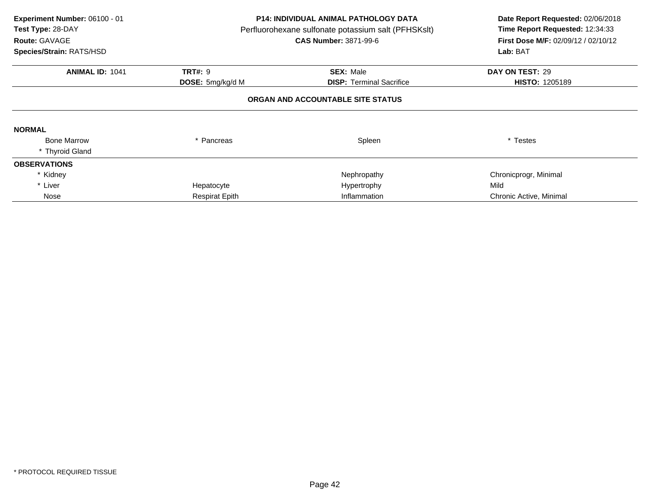| Experiment Number: 06100 - 01<br>Test Type: 28-DAY<br>Route: GAVAGE<br>Species/Strain: RATS/HSD |                                           | <b>P14: INDIVIDUAL ANIMAL PATHOLOGY DATA</b><br>Perfluorohexane sulfonate potassium salt (PFHSKslt)<br><b>CAS Number: 3871-99-6</b> | Date Report Requested: 02/06/2018<br>Time Report Requested: 12:34:33<br>First Dose M/F: 02/09/12 / 02/10/12<br>Lab: BAT |
|-------------------------------------------------------------------------------------------------|-------------------------------------------|-------------------------------------------------------------------------------------------------------------------------------------|-------------------------------------------------------------------------------------------------------------------------|
| <b>ANIMAL ID: 1041</b>                                                                          | <b>TRT#: 9</b><br><b>DOSE:</b> 5mg/kg/d M | <b>SEX: Male</b><br><b>DISP: Terminal Sacrifice</b>                                                                                 | DAY ON TEST: 29<br><b>HISTO: 1205189</b>                                                                                |
|                                                                                                 |                                           | ORGAN AND ACCOUNTABLE SITE STATUS                                                                                                   |                                                                                                                         |
| <b>NORMAL</b>                                                                                   |                                           |                                                                                                                                     |                                                                                                                         |
| <b>Bone Marrow</b>                                                                              | Pancreas                                  | Spleen                                                                                                                              | * Testes                                                                                                                |
| * Thyroid Gland                                                                                 |                                           |                                                                                                                                     |                                                                                                                         |
| <b>OBSERVATIONS</b>                                                                             |                                           |                                                                                                                                     |                                                                                                                         |
| * Kidney                                                                                        |                                           | Nephropathy                                                                                                                         | Chronicprogr, Minimal                                                                                                   |
| * Liver                                                                                         | Hepatocyte                                | Hypertrophy                                                                                                                         | Mild                                                                                                                    |
| Nose                                                                                            | <b>Respirat Epith</b>                     | Inflammation                                                                                                                        | Chronic Active, Minimal                                                                                                 |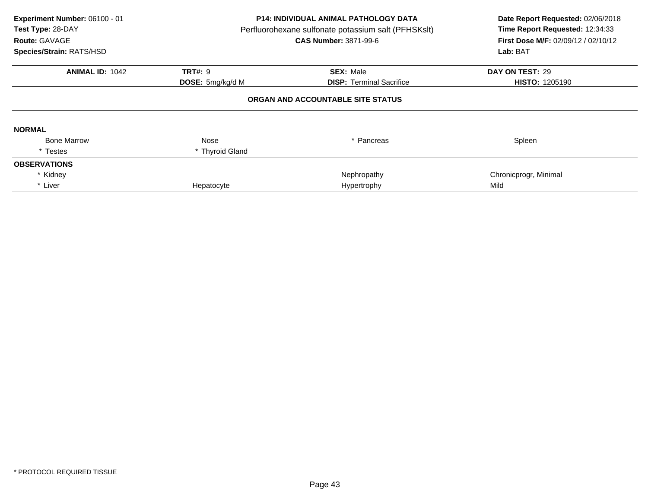| Experiment Number: 06100 - 01<br>Test Type: 28-DAY<br>Route: GAVAGE<br>Species/Strain: RATS/HSD | <b>P14: INDIVIDUAL ANIMAL PATHOLOGY DATA</b><br>Perfluorohexane sulfonate potassium salt (PFHSKslt)<br><b>CAS Number: 3871-99-6</b> |                                   | Date Report Requested: 02/06/2018<br>Time Report Requested: 12:34:33<br><b>First Dose M/F: 02/09/12 / 02/10/12</b><br>Lab: BAT |
|-------------------------------------------------------------------------------------------------|-------------------------------------------------------------------------------------------------------------------------------------|-----------------------------------|--------------------------------------------------------------------------------------------------------------------------------|
| <b>ANIMAL ID: 1042</b>                                                                          | <b>TRT#: 9</b>                                                                                                                      | <b>SEX: Male</b>                  | DAY ON TEST: 29                                                                                                                |
|                                                                                                 | <b>DOSE:</b> 5mg/kg/d M                                                                                                             | <b>DISP:</b> Terminal Sacrifice   | <b>HISTO: 1205190</b>                                                                                                          |
|                                                                                                 |                                                                                                                                     | ORGAN AND ACCOUNTABLE SITE STATUS |                                                                                                                                |
| <b>NORMAL</b>                                                                                   |                                                                                                                                     |                                   |                                                                                                                                |
| <b>Bone Marrow</b>                                                                              | Nose                                                                                                                                | Pancreas                          | Spleen                                                                                                                         |
| * Testes                                                                                        | * Thyroid Gland                                                                                                                     |                                   |                                                                                                                                |
| <b>OBSERVATIONS</b>                                                                             |                                                                                                                                     |                                   |                                                                                                                                |
| * Kidney                                                                                        |                                                                                                                                     | Nephropathy                       | Chronicprogr, Minimal                                                                                                          |
| * Liver                                                                                         | Hepatocyte                                                                                                                          | Hypertrophy                       | Mild                                                                                                                           |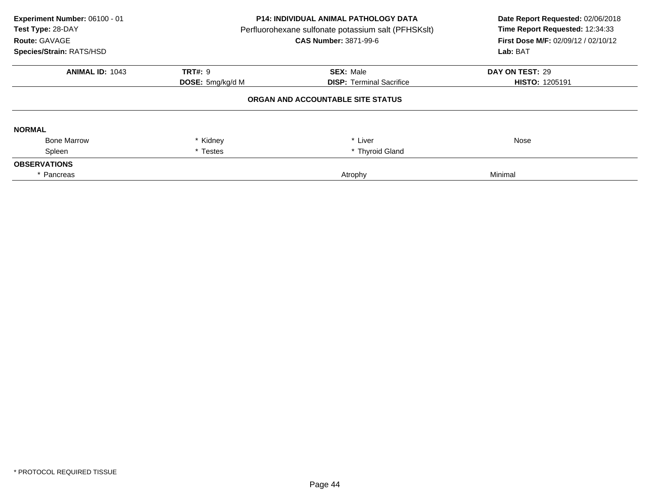| Experiment Number: 06100 - 01<br>Test Type: 28-DAY<br>Route: GAVAGE<br>Species/Strain: RATS/HSD | <b>P14: INDIVIDUAL ANIMAL PATHOLOGY DATA</b><br>Perfluorohexane sulfonate potassium salt (PFHSKslt)<br><b>CAS Number: 3871-99-6</b> |                                   | Date Report Requested: 02/06/2018<br>Time Report Requested: 12:34:33<br>First Dose M/F: 02/09/12 / 02/10/12<br>Lab: BAT |
|-------------------------------------------------------------------------------------------------|-------------------------------------------------------------------------------------------------------------------------------------|-----------------------------------|-------------------------------------------------------------------------------------------------------------------------|
| <b>ANIMAL ID: 1043</b>                                                                          | <b>TRT#: 9</b>                                                                                                                      | <b>SEX: Male</b>                  | DAY ON TEST: 29                                                                                                         |
|                                                                                                 | <b>DOSE:</b> 5mg/kg/d M                                                                                                             | <b>DISP: Terminal Sacrifice</b>   | <b>HISTO: 1205191</b>                                                                                                   |
|                                                                                                 |                                                                                                                                     | ORGAN AND ACCOUNTABLE SITE STATUS |                                                                                                                         |
| <b>NORMAL</b>                                                                                   |                                                                                                                                     |                                   |                                                                                                                         |
| <b>Bone Marrow</b>                                                                              | Kidney                                                                                                                              | * Liver                           | Nose                                                                                                                    |
| Spleen                                                                                          | * Testes                                                                                                                            | * Thyroid Gland                   |                                                                                                                         |
| <b>OBSERVATIONS</b>                                                                             |                                                                                                                                     |                                   |                                                                                                                         |
| * Pancreas                                                                                      |                                                                                                                                     | Atrophy                           | Minimal                                                                                                                 |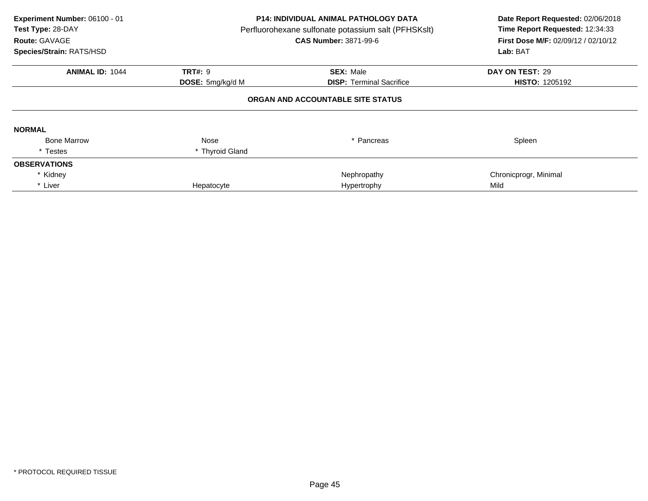| Experiment Number: 06100 - 01<br>Test Type: 28-DAY<br>Route: GAVAGE<br>Species/Strain: RATS/HSD | <b>P14: INDIVIDUAL ANIMAL PATHOLOGY DATA</b><br>Perfluorohexane sulfonate potassium salt (PFHSKslt)<br><b>CAS Number: 3871-99-6</b> |                                   | Date Report Requested: 02/06/2018<br>Time Report Requested: 12:34:33<br><b>First Dose M/F: 02/09/12 / 02/10/12</b><br>Lab: BAT |
|-------------------------------------------------------------------------------------------------|-------------------------------------------------------------------------------------------------------------------------------------|-----------------------------------|--------------------------------------------------------------------------------------------------------------------------------|
| <b>ANIMAL ID: 1044</b>                                                                          | <b>TRT#: 9</b>                                                                                                                      | <b>SEX: Male</b>                  | DAY ON TEST: 29                                                                                                                |
|                                                                                                 | DOSE: 5mg/kg/d M                                                                                                                    | <b>DISP:</b> Terminal Sacrifice   | <b>HISTO: 1205192</b>                                                                                                          |
|                                                                                                 |                                                                                                                                     | ORGAN AND ACCOUNTABLE SITE STATUS |                                                                                                                                |
| <b>NORMAL</b>                                                                                   |                                                                                                                                     |                                   |                                                                                                                                |
| <b>Bone Marrow</b>                                                                              | Nose                                                                                                                                | Pancreas                          | Spleen                                                                                                                         |
| * Testes                                                                                        | * Thyroid Gland                                                                                                                     |                                   |                                                                                                                                |
| <b>OBSERVATIONS</b>                                                                             |                                                                                                                                     |                                   |                                                                                                                                |
| * Kidney                                                                                        |                                                                                                                                     | Nephropathy                       | Chronicprogr, Minimal                                                                                                          |
| * Liver                                                                                         | Hepatocyte                                                                                                                          | Hypertrophy                       | Mild                                                                                                                           |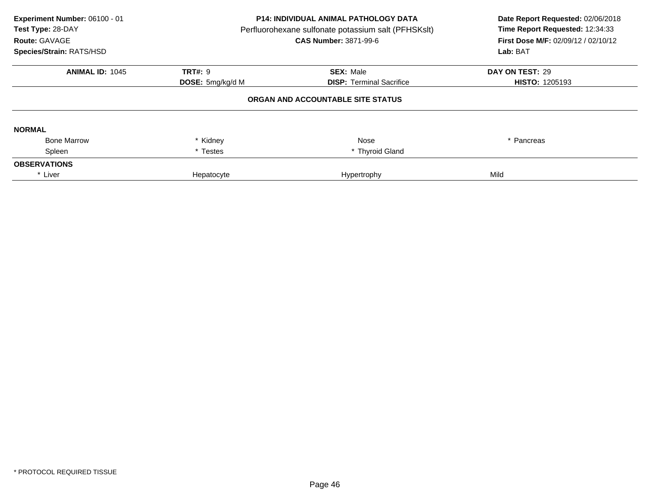| Experiment Number: 06100 - 01<br>Test Type: 28-DAY<br>Route: GAVAGE<br>Species/Strain: RATS/HSD | <b>P14: INDIVIDUAL ANIMAL PATHOLOGY DATA</b><br>Perfluorohexane sulfonate potassium salt (PFHSKslt)<br><b>CAS Number: 3871-99-6</b> |                                   | Date Report Requested: 02/06/2018<br>Time Report Requested: 12:34:33<br>First Dose M/F: 02/09/12 / 02/10/12<br>Lab: BAT |
|-------------------------------------------------------------------------------------------------|-------------------------------------------------------------------------------------------------------------------------------------|-----------------------------------|-------------------------------------------------------------------------------------------------------------------------|
| <b>ANIMAL ID: 1045</b>                                                                          | <b>TRT#: 9</b>                                                                                                                      | <b>SEX: Male</b>                  | DAY ON TEST: 29                                                                                                         |
|                                                                                                 | <b>DISP: Terminal Sacrifice</b><br><b>DOSE:</b> 5mg/kg/d M                                                                          | <b>HISTO: 1205193</b>             |                                                                                                                         |
|                                                                                                 |                                                                                                                                     | ORGAN AND ACCOUNTABLE SITE STATUS |                                                                                                                         |
| <b>NORMAL</b>                                                                                   |                                                                                                                                     |                                   |                                                                                                                         |
| <b>Bone Marrow</b>                                                                              | * Kidney                                                                                                                            | Nose                              | * Pancreas                                                                                                              |
| Spleen                                                                                          | * Testes                                                                                                                            | * Thyroid Gland                   |                                                                                                                         |
| <b>OBSERVATIONS</b>                                                                             |                                                                                                                                     |                                   |                                                                                                                         |
| * Liver                                                                                         | Hepatocyte                                                                                                                          | Hypertrophy                       | Mild                                                                                                                    |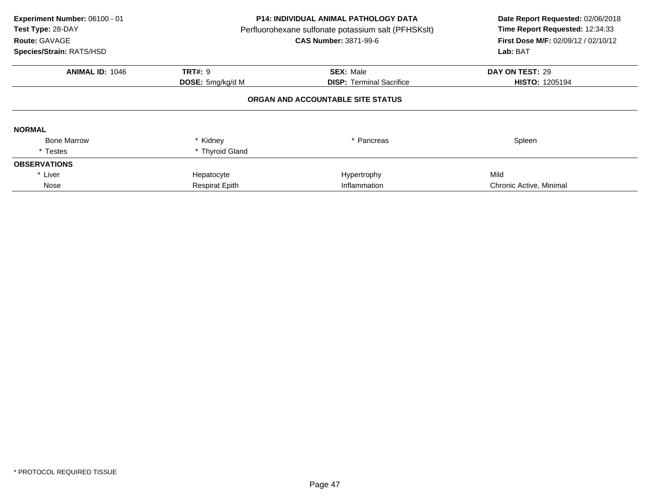| Experiment Number: 06100 - 01<br>Test Type: 28-DAY<br>Route: GAVAGE<br>Species/Strain: RATS/HSD | <b>P14: INDIVIDUAL ANIMAL PATHOLOGY DATA</b><br>Perfluorohexane sulfonate potassium salt (PFHSKslt)<br><b>CAS Number: 3871-99-6</b> |                                   | Date Report Requested: 02/06/2018<br>Time Report Requested: 12:34:33<br>First Dose M/F: 02/09/12 / 02/10/12<br>Lab: BAT |
|-------------------------------------------------------------------------------------------------|-------------------------------------------------------------------------------------------------------------------------------------|-----------------------------------|-------------------------------------------------------------------------------------------------------------------------|
| <b>ANIMAL ID: 1046</b>                                                                          | <b>TRT#: 9</b>                                                                                                                      | <b>SEX: Male</b>                  | DAY ON TEST: 29                                                                                                         |
|                                                                                                 | <b>DOSE:</b> 5mg/kg/d M                                                                                                             | <b>DISP:</b> Terminal Sacrifice   | <b>HISTO: 1205194</b>                                                                                                   |
|                                                                                                 |                                                                                                                                     | ORGAN AND ACCOUNTABLE SITE STATUS |                                                                                                                         |
| <b>NORMAL</b>                                                                                   |                                                                                                                                     |                                   |                                                                                                                         |
| <b>Bone Marrow</b>                                                                              | * Kidney                                                                                                                            | * Pancreas                        | Spleen                                                                                                                  |
| * Testes                                                                                        | * Thyroid Gland                                                                                                                     |                                   |                                                                                                                         |
| <b>OBSERVATIONS</b>                                                                             |                                                                                                                                     |                                   |                                                                                                                         |
| * Liver                                                                                         | Hepatocyte                                                                                                                          | Hypertrophy                       | Mild                                                                                                                    |
| Nose                                                                                            | <b>Respirat Epith</b>                                                                                                               | Inflammation                      | Chronic Active, Minimal                                                                                                 |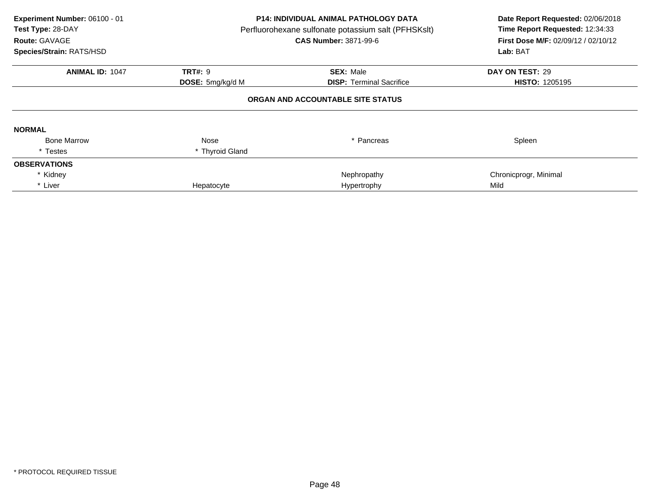| Experiment Number: 06100 - 01<br>Test Type: 28-DAY<br>Route: GAVAGE<br>Species/Strain: RATS/HSD | <b>P14: INDIVIDUAL ANIMAL PATHOLOGY DATA</b><br>Perfluorohexane sulfonate potassium salt (PFHSKslt)<br><b>CAS Number: 3871-99-6</b> |                                   | Date Report Requested: 02/06/2018<br>Time Report Requested: 12:34:33<br><b>First Dose M/F: 02/09/12 / 02/10/12</b><br>Lab: BAT |
|-------------------------------------------------------------------------------------------------|-------------------------------------------------------------------------------------------------------------------------------------|-----------------------------------|--------------------------------------------------------------------------------------------------------------------------------|
| <b>ANIMAL ID: 1047</b>                                                                          | <b>TRT#: 9</b>                                                                                                                      | <b>SEX: Male</b>                  | DAY ON TEST: 29                                                                                                                |
|                                                                                                 | DOSE: 5mg/kg/d M                                                                                                                    | <b>DISP:</b> Terminal Sacrifice   | <b>HISTO: 1205195</b>                                                                                                          |
|                                                                                                 |                                                                                                                                     | ORGAN AND ACCOUNTABLE SITE STATUS |                                                                                                                                |
| <b>NORMAL</b>                                                                                   |                                                                                                                                     |                                   |                                                                                                                                |
| <b>Bone Marrow</b>                                                                              | Nose                                                                                                                                | Pancreas                          | Spleen                                                                                                                         |
| * Testes                                                                                        | * Thyroid Gland                                                                                                                     |                                   |                                                                                                                                |
| <b>OBSERVATIONS</b>                                                                             |                                                                                                                                     |                                   |                                                                                                                                |
| * Kidney                                                                                        |                                                                                                                                     | Nephropathy                       | Chronicprogr, Minimal                                                                                                          |
| * Liver                                                                                         | Hepatocyte                                                                                                                          | Hypertrophy                       | Mild                                                                                                                           |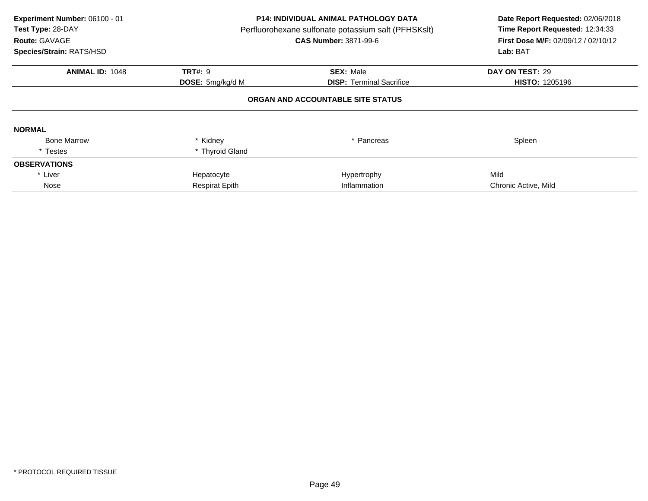| Experiment Number: 06100 - 01<br>Test Type: 28-DAY<br>Route: GAVAGE<br>Species/Strain: RATS/HSD | <b>P14: INDIVIDUAL ANIMAL PATHOLOGY DATA</b><br>Perfluorohexane sulfonate potassium salt (PFHSKslt)<br><b>CAS Number: 3871-99-6</b> |                                   | Date Report Requested: 02/06/2018<br>Time Report Requested: 12:34:33<br>First Dose M/F: 02/09/12 / 02/10/12<br>Lab: BAT |
|-------------------------------------------------------------------------------------------------|-------------------------------------------------------------------------------------------------------------------------------------|-----------------------------------|-------------------------------------------------------------------------------------------------------------------------|
| <b>ANIMAL ID: 1048</b>                                                                          | <b>TRT#: 9</b>                                                                                                                      | <b>SEX: Male</b>                  | DAY ON TEST: 29                                                                                                         |
|                                                                                                 | DOSE: 5mg/kg/d M                                                                                                                    | <b>DISP:</b> Terminal Sacrifice   | <b>HISTO: 1205196</b>                                                                                                   |
|                                                                                                 |                                                                                                                                     | ORGAN AND ACCOUNTABLE SITE STATUS |                                                                                                                         |
| <b>NORMAL</b>                                                                                   |                                                                                                                                     |                                   |                                                                                                                         |
| <b>Bone Marrow</b>                                                                              | * Kidney                                                                                                                            | * Pancreas                        | Spleen                                                                                                                  |
| * Testes                                                                                        | * Thyroid Gland                                                                                                                     |                                   |                                                                                                                         |
| <b>OBSERVATIONS</b>                                                                             |                                                                                                                                     |                                   |                                                                                                                         |
| * Liver                                                                                         | Hepatocyte                                                                                                                          | Hypertrophy                       | Mild                                                                                                                    |
| Nose                                                                                            | <b>Respirat Epith</b>                                                                                                               | Inflammation                      | Chronic Active, Mild                                                                                                    |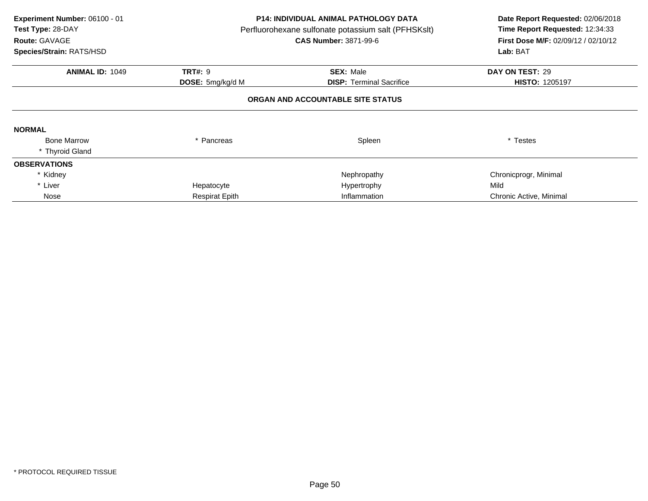| Experiment Number: 06100 - 01<br>Test Type: 28-DAY<br>Route: GAVAGE<br>Species/Strain: RATS/HSD |                                    | <b>P14: INDIVIDUAL ANIMAL PATHOLOGY DATA</b><br>Perfluorohexane sulfonate potassium salt (PFHSKslt)<br><b>CAS Number: 3871-99-6</b> | Date Report Requested: 02/06/2018<br>Time Report Requested: 12:34:33<br><b>First Dose M/F: 02/09/12 / 02/10/12</b><br>Lab: BAT |
|-------------------------------------------------------------------------------------------------|------------------------------------|-------------------------------------------------------------------------------------------------------------------------------------|--------------------------------------------------------------------------------------------------------------------------------|
| <b>ANIMAL ID: 1049</b>                                                                          | <b>TRT#: 9</b><br>DOSE: 5mg/kg/d M | <b>SEX: Male</b><br><b>DISP: Terminal Sacrifice</b>                                                                                 | DAY ON TEST: 29<br><b>HISTO: 1205197</b>                                                                                       |
|                                                                                                 |                                    | ORGAN AND ACCOUNTABLE SITE STATUS                                                                                                   |                                                                                                                                |
| <b>NORMAL</b>                                                                                   |                                    |                                                                                                                                     |                                                                                                                                |
| <b>Bone Marrow</b><br>* Thyroid Gland                                                           | * Pancreas                         | Spleen                                                                                                                              | * Testes                                                                                                                       |
| <b>OBSERVATIONS</b>                                                                             |                                    |                                                                                                                                     |                                                                                                                                |
| * Kidney                                                                                        |                                    | Nephropathy                                                                                                                         | Chronicprogr, Minimal                                                                                                          |
| * Liver                                                                                         | Hepatocyte                         | Hypertrophy                                                                                                                         | Mild                                                                                                                           |
| Nose                                                                                            | <b>Respirat Epith</b>              | Inflammation                                                                                                                        | Chronic Active, Minimal                                                                                                        |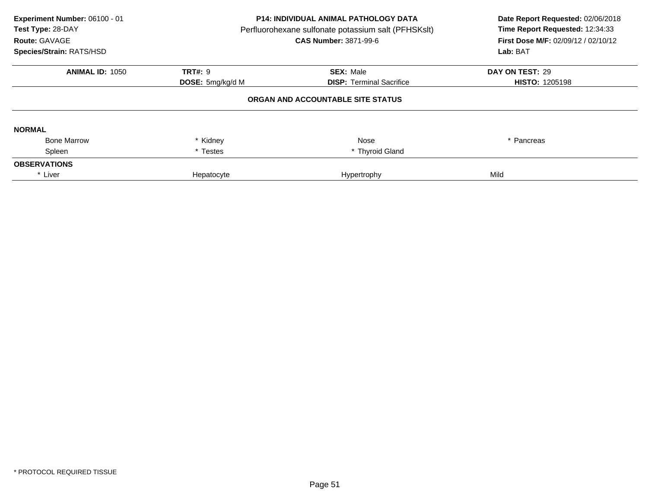| Experiment Number: 06100 - 01<br>Test Type: 28-DAY<br>Route: GAVAGE<br>Species/Strain: RATS/HSD | <b>P14: INDIVIDUAL ANIMAL PATHOLOGY DATA</b><br>Perfluorohexane sulfonate potassium salt (PFHSKslt)<br><b>CAS Number: 3871-99-6</b> |                                   | Date Report Requested: 02/06/2018<br>Time Report Requested: 12:34:33<br>First Dose M/F: 02/09/12 / 02/10/12<br>Lab: BAT |
|-------------------------------------------------------------------------------------------------|-------------------------------------------------------------------------------------------------------------------------------------|-----------------------------------|-------------------------------------------------------------------------------------------------------------------------|
| <b>ANIMAL ID: 1050</b>                                                                          | <b>TRT#: 9</b>                                                                                                                      | <b>SEX: Male</b>                  | DAY ON TEST: 29                                                                                                         |
|                                                                                                 | <b>DISP: Terminal Sacrifice</b><br><b>DOSE:</b> 5mg/kg/d M                                                                          |                                   | <b>HISTO: 1205198</b>                                                                                                   |
|                                                                                                 |                                                                                                                                     | ORGAN AND ACCOUNTABLE SITE STATUS |                                                                                                                         |
| <b>NORMAL</b>                                                                                   |                                                                                                                                     |                                   |                                                                                                                         |
| <b>Bone Marrow</b>                                                                              | * Kidney                                                                                                                            | Nose                              | * Pancreas                                                                                                              |
| Spleen                                                                                          | * Testes                                                                                                                            | * Thyroid Gland                   |                                                                                                                         |
| <b>OBSERVATIONS</b>                                                                             |                                                                                                                                     |                                   |                                                                                                                         |
| * Liver                                                                                         | Hepatocyte                                                                                                                          | Hypertrophy                       | Mild                                                                                                                    |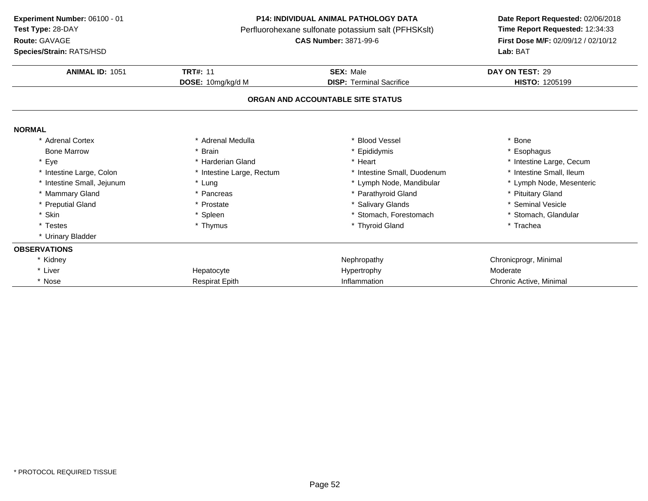**ANIMAL ID:** <sup>1051</sup> **TRT#:** <sup>11</sup> **SEX:** Male **DAY ON TEST:** <sup>29</sup> **DOSE:** 10mg/kg/d M**DISP:** Terminal Sacrifice **HISTO:** 1205199 **ORGAN AND ACCOUNTABLE SITE STATUSNORMAL** \* Adrenal Cortex \* Adrenal Medullaa the set of the set of the set of the set of the set of the set of the set of the set of the set of the set o<br>Set of the set of the set of the set of the set of the set of the set of the set of the set of the set of the s Bone Marrow \* Brain \* Epididymis \* Esophagus \* Eyee the second of the second term in the second term in the second term in the second term in the second term in the second term in the second term in the second term in the second term in the second term in the second term \* Intestine Small, Ileum \* Intestine Large, Colon\* Intestine Large, Rectum<br>\* Lung \* Intestine Small, Duodenum \* 11testine Small, Ileum<br>\* Lymph Node, Mandibular \* Lymph Node, Mesenteric \* Intestine Small, Jejunum \* Lung \* Lymph Node, Mandibular \* Lymph Node, Mesenteric \* Mammary Gland \* Pancreas \* Parathyroid Gland \* Pituitary Gland \* Preputial Gland \* Prostate \* Salivary Glands \* Seminal Vesicle \* Skinn that is the set of the Spleen term in the store of the store of the store of the store of the store of the store of the store of the store of the store of the store of the store of the store of the store of the store of \* Testes\* Thymus  $*$  Thymus  $*$  Thyroid Gland \* Trachea \* Urinary Bladder **OBSERVATIONS**\* Kidneyy the chronic proportion of the chronic proportion of the chronic proportion of  $\mathsf{N}$ ephropathy  $\mathsf{N}$ ephropathy  $\mathsf{N}$ ephropathy  $\mathsf{N}$ entronic proportion of the chronic proportion of the chronic proportion of th \* Liver Hepatocyte e and the Hypertrophy and the Moderate Moderate **Experiment Number:** 06100 - 01 **P14: INDIVIDUAL ANIMAL PATHOLOGY DATA Date Report Requested:** 02/06/2018 **Test Type:** 28-DAYPerfluorohexane sulfonate potassium salt (PFHSKslt)<br>**CAS Number:** 3871-99-6 **Route:** GAVAGE**First Dose M/F:** 02/09/12 / 02/10/12<br>**Lab:** BAT **Species/Strain:** RATS/HSD**Lab:** BAT

e and the Respirat Epith Respirat Epith Chronic Active, Minimal Chronic Active, Minimal

\* Nose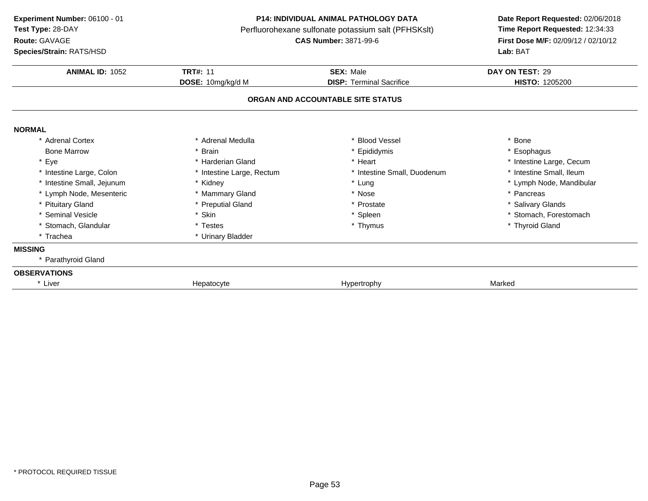**Route:** GAVAGE

**Species/Strain:** RATS/HSD

### **P14: INDIVIDUAL ANIMAL PATHOLOGY DATA**

Perfluorohexane sulfonate potassium salt (PFHSKslt)<br>**CAS Number:** 3871-99-6

| <b>ANIMAL ID: 1052</b>     | <b>TRT#: 11</b>           | <b>SEX: Male</b>                  | DAY ON TEST: 29          |
|----------------------------|---------------------------|-----------------------------------|--------------------------|
|                            | DOSE: 10mg/kg/d M         | <b>DISP: Terminal Sacrifice</b>   | <b>HISTO: 1205200</b>    |
|                            |                           | ORGAN AND ACCOUNTABLE SITE STATUS |                          |
| <b>NORMAL</b>              |                           |                                   |                          |
| * Adrenal Cortex           | * Adrenal Medulla         | * Blood Vessel                    | * Bone                   |
| <b>Bone Marrow</b>         | * Brain                   | * Epididymis                      | * Esophagus              |
| * Eye                      | * Harderian Gland         | * Heart                           | * Intestine Large, Cecum |
| * Intestine Large, Colon   | * Intestine Large, Rectum | * Intestine Small, Duodenum       | * Intestine Small, Ileum |
| * Intestine Small, Jejunum | * Kidney                  | * Lung                            | * Lymph Node, Mandibular |
| * Lymph Node, Mesenteric   | * Mammary Gland           | * Nose                            | * Pancreas               |
| * Pituitary Gland          | * Preputial Gland         | * Prostate                        | * Salivary Glands        |
| * Seminal Vesicle          | * Skin                    | * Spleen                          | * Stomach, Forestomach   |
| * Stomach, Glandular       | * Testes                  | * Thymus                          | * Thyroid Gland          |
| * Trachea                  | * Urinary Bladder         |                                   |                          |
| <b>MISSING</b>             |                           |                                   |                          |
| * Parathyroid Gland        |                           |                                   |                          |
| <b>OBSERVATIONS</b>        |                           |                                   |                          |
| * Liver                    | Hepatocyte                | Hypertrophy                       | Marked                   |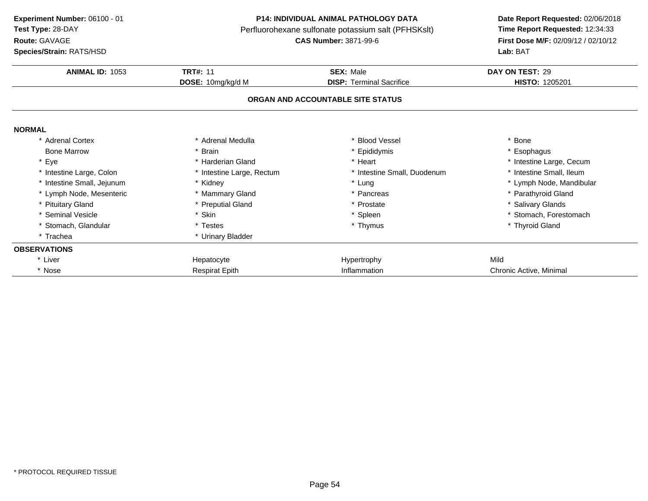**Route:** GAVAGE

**Species/Strain:** RATS/HSD

### **P14: INDIVIDUAL ANIMAL PATHOLOGY DATA**

Perfluorohexane sulfonate potassium salt (PFHSKslt)<br>**CAS Number:** 3871-99-6

| <b>Species/Strain: RATS/HSD</b> |                           | <b>Lab: BAT</b>                   |                          |  |
|---------------------------------|---------------------------|-----------------------------------|--------------------------|--|
| <b>ANIMAL ID: 1053</b>          | <b>TRT#: 11</b>           | <b>SEX: Male</b>                  | DAY ON TEST: 29          |  |
|                                 | DOSE: 10mg/kg/d M         | <b>DISP:</b> Terminal Sacrifice   | <b>HISTO: 1205201</b>    |  |
|                                 |                           | ORGAN AND ACCOUNTABLE SITE STATUS |                          |  |
| <b>NORMAL</b>                   |                           |                                   |                          |  |
| * Adrenal Cortex                | * Adrenal Medulla         | * Blood Vessel                    | <b>Bone</b>              |  |
| <b>Bone Marrow</b>              | * Brain                   | * Epididymis                      | Esophagus                |  |
| * Eye                           | * Harderian Gland         | * Heart                           | * Intestine Large, Cecum |  |
| * Intestine Large, Colon        | * Intestine Large, Rectum | * Intestine Small, Duodenum       | * Intestine Small, Ileum |  |
| * Intestine Small, Jejunum      | * Kidney                  | * Lung                            | * Lymph Node, Mandibular |  |
| * Lymph Node, Mesenteric        | * Mammary Gland           | * Pancreas                        | Parathyroid Gland        |  |
| * Pituitary Gland               | * Preputial Gland         | * Prostate                        | * Salivary Glands        |  |
| * Seminal Vesicle               | * Skin                    | * Spleen                          | * Stomach, Forestomach   |  |
| * Stomach, Glandular            | * Testes                  | * Thymus                          | * Thyroid Gland          |  |
| * Trachea                       | * Urinary Bladder         |                                   |                          |  |
| <b>OBSERVATIONS</b>             |                           |                                   |                          |  |
| * Liver                         | Hepatocyte                | Hypertrophy                       | Mild                     |  |
| * Nose                          | <b>Respirat Epith</b>     | Inflammation                      | Chronic Active, Minimal  |  |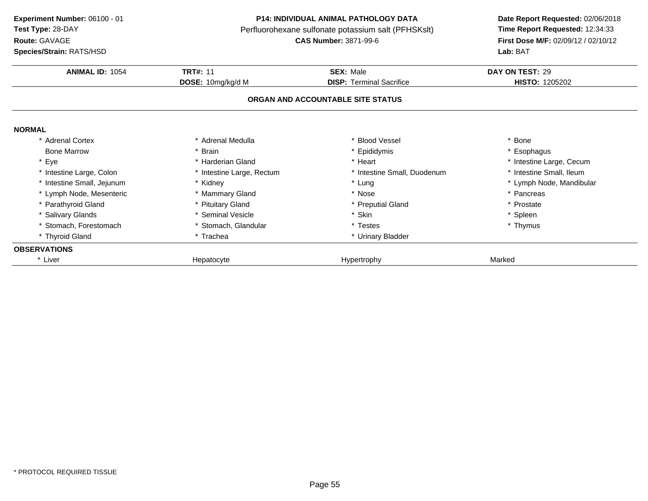**Route:** GAVAGE

**Species/Strain:** RATS/HSD

#### **P14: INDIVIDUAL ANIMAL PATHOLOGY DATA**

Perfluorohexane sulfonate potassium salt (PFHSKslt)<br>**CAS Number:** 3871-99-6

| <b>ANIMAL ID: 1054</b>     | <b>TRT#: 11</b>           | <b>SEX: Male</b>                  | DAY ON TEST: 29          |
|----------------------------|---------------------------|-----------------------------------|--------------------------|
|                            | DOSE: 10mg/kg/d M         | <b>DISP:</b> Terminal Sacrifice   | <b>HISTO: 1205202</b>    |
|                            |                           | ORGAN AND ACCOUNTABLE SITE STATUS |                          |
| <b>NORMAL</b>              |                           |                                   |                          |
| * Adrenal Cortex           | * Adrenal Medulla         | * Blood Vessel                    | * Bone                   |
| <b>Bone Marrow</b>         | * Brain                   | * Epididymis                      | * Esophagus              |
| * Eye                      | * Harderian Gland         | * Heart                           | * Intestine Large, Cecum |
| * Intestine Large, Colon   | * Intestine Large, Rectum | * Intestine Small, Duodenum       | * Intestine Small, Ileum |
| * Intestine Small, Jejunum | * Kidney                  | * Lung                            | * Lymph Node, Mandibular |
| * Lymph Node, Mesenteric   | * Mammary Gland           | * Nose                            | * Pancreas               |
| * Parathyroid Gland        | * Pituitary Gland         | * Preputial Gland                 | * Prostate               |
| * Salivary Glands          | * Seminal Vesicle         | * Skin                            | * Spleen                 |
| * Stomach, Forestomach     | * Stomach, Glandular      | * Testes                          | * Thymus                 |
| * Thyroid Gland            | * Trachea                 | * Urinary Bladder                 |                          |
| <b>OBSERVATIONS</b>        |                           |                                   |                          |
| * Liver                    | Hepatocyte                | Hypertrophy                       | Marked                   |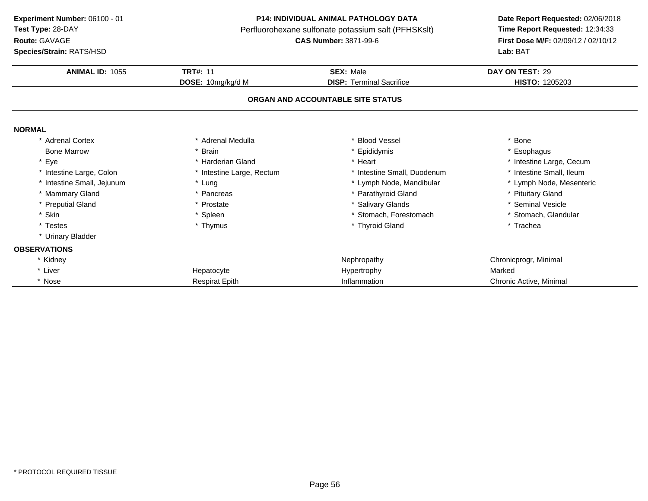**Route:** GAVAGE

**Species/Strain:** RATS/HSD

#### **P14: INDIVIDUAL ANIMAL PATHOLOGY DATA**

Perfluorohexane sulfonate potassium salt (PFHSKslt)<br>**CAS Number:** 3871-99-6

| <b>Species/Strain: RATS/HSD</b> |                           | Lab: BAT                          |                          |  |
|---------------------------------|---------------------------|-----------------------------------|--------------------------|--|
| ANIMAL ID: 1055                 | <b>TRT#: 11</b>           | <b>SEX: Male</b>                  | DAY ON TEST: 29          |  |
|                                 | DOSE: 10mg/kg/d M         | <b>DISP:</b> Terminal Sacrifice   | HISTO: 1205203           |  |
|                                 |                           | ORGAN AND ACCOUNTABLE SITE STATUS |                          |  |
| <b>NORMAL</b>                   |                           |                                   |                          |  |
| * Adrenal Cortex                | * Adrenal Medulla         | * Blood Vessel                    | * Bone                   |  |
| <b>Bone Marrow</b>              | * Brain                   | * Epididymis                      | * Esophagus              |  |
| * Eye                           | * Harderian Gland         | * Heart                           | * Intestine Large, Cecum |  |
| * Intestine Large, Colon        | * Intestine Large, Rectum | * Intestine Small, Duodenum       | * Intestine Small, Ileum |  |
| * Intestine Small, Jejunum      | * Lung                    | * Lymph Node, Mandibular          | * Lymph Node, Mesenteric |  |
| * Mammary Gland                 | * Pancreas                | * Parathyroid Gland               | * Pituitary Gland        |  |
| * Preputial Gland               | * Prostate                | * Salivary Glands                 | * Seminal Vesicle        |  |
| * Skin                          | * Spleen                  | Stomach, Forestomach              | * Stomach, Glandular     |  |
| * Testes                        | * Thymus                  | * Thyroid Gland                   | * Trachea                |  |
| * Urinary Bladder               |                           |                                   |                          |  |
| <b>OBSERVATIONS</b>             |                           |                                   |                          |  |
| * Kidney                        |                           | Nephropathy                       | Chronicprogr, Minimal    |  |
| * Liver                         | Hepatocyte                | Hypertrophy                       | Marked                   |  |
| * Nose                          | <b>Respirat Epith</b>     | Inflammation                      | Chronic Active, Minimal  |  |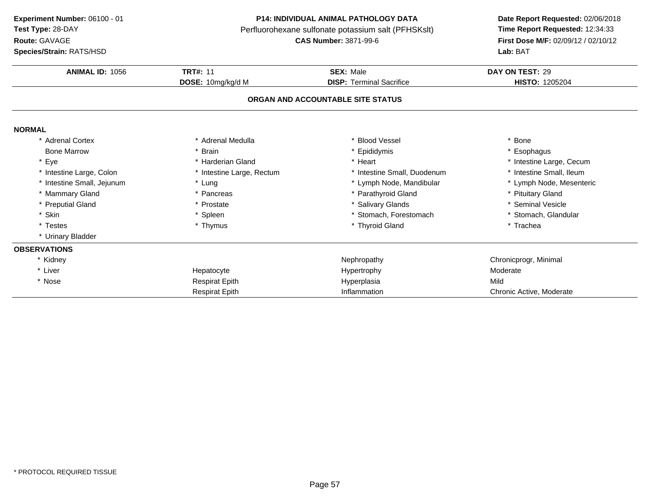**Route:** GAVAGE

**Species/Strain:** RATS/HSD

#### **P14: INDIVIDUAL ANIMAL PATHOLOGY DATA**

Perfluorohexane sulfonate potassium salt (PFHSKslt)<br>**CAS Number:** 3871-99-6

| <b>Species/Strain: RATS/HSD</b> |                           | <b>Lab: BAT</b>                   |                          |  |
|---------------------------------|---------------------------|-----------------------------------|--------------------------|--|
| <b>ANIMAL ID: 1056</b>          | <b>TRT#: 11</b>           | <b>SEX: Male</b>                  | DAY ON TEST: 29          |  |
|                                 | DOSE: 10mg/kg/d M         | <b>DISP: Terminal Sacrifice</b>   | <b>HISTO: 1205204</b>    |  |
|                                 |                           | ORGAN AND ACCOUNTABLE SITE STATUS |                          |  |
| <b>NORMAL</b>                   |                           |                                   |                          |  |
| * Adrenal Cortex                | * Adrenal Medulla         | * Blood Vessel                    | * Bone                   |  |
| <b>Bone Marrow</b>              | * Brain                   | * Epididymis                      | * Esophagus              |  |
| * Eye                           | * Harderian Gland         | * Heart                           | * Intestine Large, Cecum |  |
| * Intestine Large, Colon        | * Intestine Large, Rectum | * Intestine Small, Duodenum       | * Intestine Small, Ileum |  |
| * Intestine Small, Jejunum      | * Lung                    | * Lymph Node, Mandibular          | * Lymph Node, Mesenteric |  |
| * Mammary Gland                 | * Pancreas                | * Parathyroid Gland               | * Pituitary Gland        |  |
| * Preputial Gland               | * Prostate                | * Salivary Glands                 | * Seminal Vesicle        |  |
| * Skin                          | * Spleen                  | * Stomach, Forestomach            | * Stomach, Glandular     |  |
| * Testes                        | * Thymus                  | * Thyroid Gland                   | * Trachea                |  |
| * Urinary Bladder               |                           |                                   |                          |  |
| <b>OBSERVATIONS</b>             |                           |                                   |                          |  |
| * Kidney                        |                           | Nephropathy                       | Chronicprogr, Minimal    |  |
| * Liver                         | Hepatocyte                | Hypertrophy                       | Moderate                 |  |
| * Nose                          | <b>Respirat Epith</b>     | Hyperplasia                       | Mild                     |  |
|                                 | <b>Respirat Epith</b>     | Inflammation                      | Chronic Active, Moderate |  |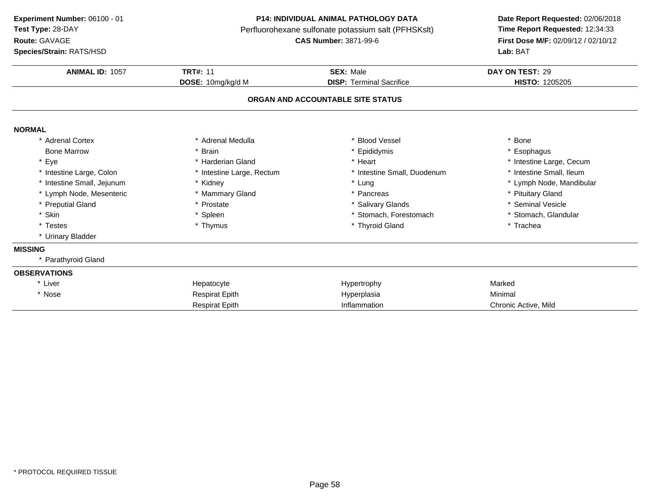**Route:** GAVAGE

**Species/Strain:** RATS/HSD

#### **P14: INDIVIDUAL ANIMAL PATHOLOGY DATA**

Perfluorohexane sulfonate potassium salt (PFHSKslt)<br>**CAS Number:** 3871-99-6

| ANIMAL ID: 1057            | <b>TRT#: 11</b>           | <b>SEX: Male</b>                  | DAY ON TEST: 29          |
|----------------------------|---------------------------|-----------------------------------|--------------------------|
|                            | DOSE: 10mg/kg/d M         | <b>DISP: Terminal Sacrifice</b>   | HISTO: 1205205           |
|                            |                           | ORGAN AND ACCOUNTABLE SITE STATUS |                          |
|                            |                           |                                   |                          |
| <b>NORMAL</b>              |                           |                                   |                          |
| * Adrenal Cortex           | * Adrenal Medulla         | <b>Blood Vessel</b>               | <b>Bone</b>              |
| <b>Bone Marrow</b>         | <b>Brain</b>              | * Epididymis                      | * Esophagus              |
| * Eye                      | * Harderian Gland         | * Heart                           | * Intestine Large, Cecum |
| * Intestine Large, Colon   | * Intestine Large, Rectum | * Intestine Small, Duodenum       | * Intestine Small, Ileum |
| * Intestine Small, Jejunum | * Kidney                  | * Lung                            | * Lymph Node, Mandibular |
| * Lymph Node, Mesenteric   | * Mammary Gland           | * Pancreas                        | * Pituitary Gland        |
| * Preputial Gland          | * Prostate                | * Salivary Glands                 | * Seminal Vesicle        |
| * Skin                     | * Spleen                  | * Stomach, Forestomach            | * Stomach, Glandular     |
| * Testes                   | * Thymus                  | * Thyroid Gland                   | * Trachea                |
| * Urinary Bladder          |                           |                                   |                          |
| <b>MISSING</b>             |                           |                                   |                          |
| * Parathyroid Gland        |                           |                                   |                          |
| <b>OBSERVATIONS</b>        |                           |                                   |                          |
| * Liver                    | Hepatocyte                | Hypertrophy                       | Marked                   |
| * Nose                     | <b>Respirat Epith</b>     | Hyperplasia                       | Minimal                  |
|                            | <b>Respirat Epith</b>     | Inflammation                      | Chronic Active, Mild     |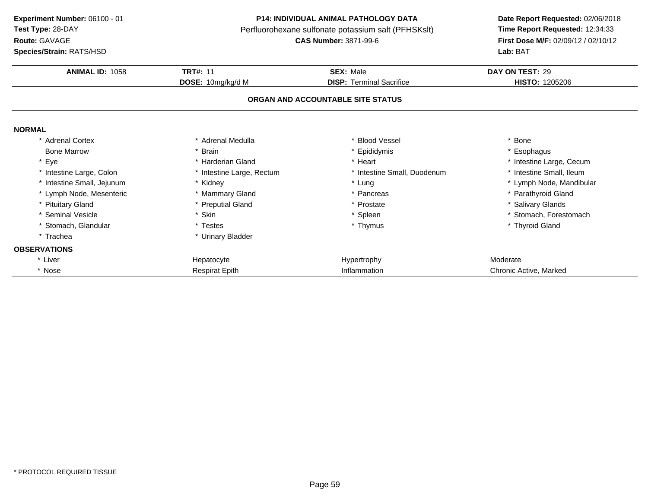**Route:** GAVAGE

**Species/Strain:** RATS/HSD

## **P14: INDIVIDUAL ANIMAL PATHOLOGY DATA**

Perfluorohexane sulfonate potassium salt (PFHSKslt)<br>**CAS Number:** 3871-99-6

| <b>Species/Strain: RATS/HSD</b> |                           |                                   | <b>Lab: BAT</b>          |  |
|---------------------------------|---------------------------|-----------------------------------|--------------------------|--|
| <b>ANIMAL ID: 1058</b>          | <b>TRT#: 11</b>           | <b>SEX: Male</b>                  | DAY ON TEST: 29          |  |
|                                 | DOSE: 10mg/kg/d M         | <b>DISP: Terminal Sacrifice</b>   | <b>HISTO: 1205206</b>    |  |
|                                 |                           | ORGAN AND ACCOUNTABLE SITE STATUS |                          |  |
| <b>NORMAL</b>                   |                           |                                   |                          |  |
| * Adrenal Cortex                | * Adrenal Medulla         | * Blood Vessel                    | * Bone                   |  |
| <b>Bone Marrow</b>              | * Brain                   | * Epididymis                      | * Esophagus              |  |
| * Eye                           | * Harderian Gland         | * Heart                           | * Intestine Large, Cecum |  |
| * Intestine Large, Colon        | * Intestine Large, Rectum | * Intestine Small, Duodenum       | * Intestine Small, Ileum |  |
| * Intestine Small, Jejunum      | * Kidney                  | * Lung                            | * Lymph Node, Mandibular |  |
| * Lymph Node, Mesenteric        | * Mammary Gland           | * Pancreas                        | * Parathyroid Gland      |  |
| * Pituitary Gland               | * Preputial Gland         | * Prostate                        | * Salivary Glands        |  |
| * Seminal Vesicle               | * Skin                    | * Spleen                          | * Stomach, Forestomach   |  |
| * Stomach, Glandular            | * Testes                  | * Thymus                          | * Thyroid Gland          |  |
| * Trachea                       | * Urinary Bladder         |                                   |                          |  |
| <b>OBSERVATIONS</b>             |                           |                                   |                          |  |
| * Liver                         | Hepatocyte                | Hypertrophy                       | Moderate                 |  |
| * Nose                          | <b>Respirat Epith</b>     | Inflammation                      | Chronic Active, Marked   |  |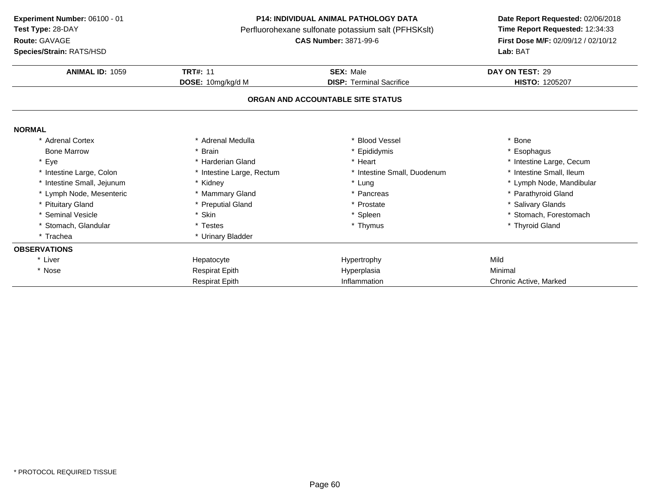**Route:** GAVAGE

**Species/Strain:** RATS/HSD

#### **P14: INDIVIDUAL ANIMAL PATHOLOGY DATA**

Perfluorohexane sulfonate potassium salt (PFHSKslt)<br>**CAS Number:** 3871-99-6

| <b>Species/Strain: RATS/HSD</b> |                           |                                   | Lab: BAT                 |
|---------------------------------|---------------------------|-----------------------------------|--------------------------|
| <b>ANIMAL ID: 1059</b>          | <b>TRT#: 11</b>           | <b>SEX: Male</b>                  | DAY ON TEST: 29          |
|                                 | DOSE: 10mg/kg/d M         | <b>DISP: Terminal Sacrifice</b>   | HISTO: 1205207           |
|                                 |                           | ORGAN AND ACCOUNTABLE SITE STATUS |                          |
| <b>NORMAL</b>                   |                           |                                   |                          |
| * Adrenal Cortex                | * Adrenal Medulla         | * Blood Vessel                    | * Bone                   |
| <b>Bone Marrow</b>              | * Brain                   | * Epididymis                      | * Esophagus              |
| * Eye                           | * Harderian Gland         | * Heart                           | * Intestine Large, Cecum |
| * Intestine Large, Colon        | * Intestine Large, Rectum | * Intestine Small, Duodenum       | * Intestine Small, Ileum |
| * Intestine Small, Jejunum      | * Kidney                  | * Lung                            | * Lymph Node, Mandibular |
| * Lymph Node, Mesenteric        | * Mammary Gland           | * Pancreas                        | * Parathyroid Gland      |
| * Pituitary Gland               | * Preputial Gland         | * Prostate                        | * Salivary Glands        |
| * Seminal Vesicle               | * Skin                    | * Spleen                          | * Stomach, Forestomach   |
| * Stomach, Glandular            | * Testes                  | * Thymus                          | * Thyroid Gland          |
| * Trachea                       | * Urinary Bladder         |                                   |                          |
| <b>OBSERVATIONS</b>             |                           |                                   |                          |
| * Liver                         | Hepatocyte                | Hypertrophy                       | Mild                     |
| * Nose                          | <b>Respirat Epith</b>     | Hyperplasia                       | Minimal                  |
|                                 | <b>Respirat Epith</b>     | Inflammation                      | Chronic Active, Marked   |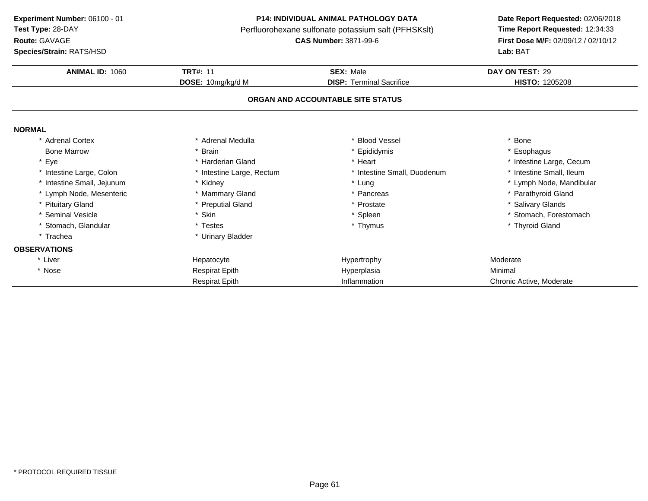**Route:** GAVAGE

**Species/Strain:** RATS/HSD

#### **P14: INDIVIDUAL ANIMAL PATHOLOGY DATA**

Perfluorohexane sulfonate potassium salt (PFHSKslt)<br>**CAS Number:** 3871-99-6

| <b>Species/Strain: RATS/HSD</b> |                           |                                   | <b>Lab: BAT</b>          |
|---------------------------------|---------------------------|-----------------------------------|--------------------------|
| ANIMAL ID: 1060                 | <b>TRT#: 11</b>           | <b>SEX: Male</b>                  | DAY ON TEST: 29          |
|                                 | DOSE: 10mg/kg/d M         | <b>DISP: Terminal Sacrifice</b>   | <b>HISTO: 1205208</b>    |
|                                 |                           | ORGAN AND ACCOUNTABLE SITE STATUS |                          |
| <b>NORMAL</b>                   |                           |                                   |                          |
| <b>Adrenal Cortex</b>           | * Adrenal Medulla         | <b>Blood Vessel</b>               | <b>Bone</b>              |
| <b>Bone Marrow</b>              | * Brain                   | * Epididymis                      | Esophagus                |
| * Eye                           | * Harderian Gland         | * Heart                           | * Intestine Large, Cecum |
| * Intestine Large, Colon        | * Intestine Large, Rectum | * Intestine Small, Duodenum       | * Intestine Small, Ileum |
| * Intestine Small, Jejunum      | * Kidney                  | * Lung                            | * Lymph Node, Mandibular |
| * Lymph Node, Mesenteric        | * Mammary Gland           | * Pancreas                        | * Parathyroid Gland      |
| * Pituitary Gland               | * Preputial Gland         | * Prostate                        | * Salivary Glands        |
| * Seminal Vesicle               | * Skin                    | * Spleen                          | * Stomach, Forestomach   |
| * Stomach, Glandular            | * Testes                  | * Thymus                          | * Thyroid Gland          |
| * Trachea                       | * Urinary Bladder         |                                   |                          |
| <b>OBSERVATIONS</b>             |                           |                                   |                          |
| * Liver                         | Hepatocyte                | Hypertrophy                       | Moderate                 |
| * Nose                          | <b>Respirat Epith</b>     | Hyperplasia                       | Minimal                  |
|                                 | <b>Respirat Epith</b>     | Inflammation                      | Chronic Active, Moderate |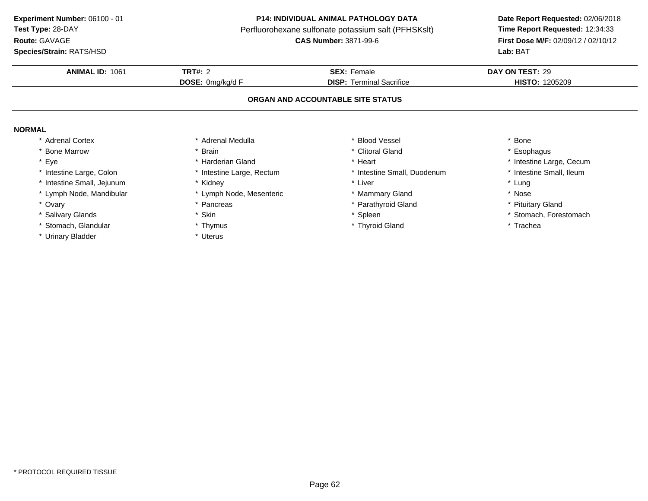**Route:** GAVAGE

**Species/Strain:** RATS/HSD

### **P14: INDIVIDUAL ANIMAL PATHOLOGY DATA**

Perfluorohexane sulfonate potassium salt (PFHSKslt)<br>**CAS Number:** 3871-99-6

| <b>ANIMAL ID: 1061</b>     | <b>TRT#: 2</b><br>DOSE: 0mg/kg/d F | <b>SEX: Female</b>                | DAY ON TEST: 29<br><b>HISTO: 1205209</b> |
|----------------------------|------------------------------------|-----------------------------------|------------------------------------------|
|                            |                                    | <b>DISP:</b> Terminal Sacrifice   |                                          |
|                            |                                    | ORGAN AND ACCOUNTABLE SITE STATUS |                                          |
| <b>NORMAL</b>              |                                    |                                   |                                          |
| * Adrenal Cortex           | * Adrenal Medulla                  | * Blood Vessel                    | <b>Bone</b>                              |
| * Bone Marrow              | * Brain                            | * Clitoral Gland                  | Esophagus                                |
| * Eye                      | * Harderian Gland                  | * Heart                           | * Intestine Large, Cecum                 |
| * Intestine Large, Colon   | * Intestine Large, Rectum          | * Intestine Small, Duodenum       | * Intestine Small, Ileum                 |
| * Intestine Small, Jejunum | * Kidney                           | * Liver                           | * Lung                                   |
| * Lymph Node, Mandibular   | * Lymph Node, Mesenteric           | * Mammary Gland                   | * Nose                                   |
| * Ovary                    | Pancreas                           | * Parathyroid Gland               | <b>Pituitary Gland</b>                   |
| * Salivary Glands          | * Skin                             | * Spleen                          | * Stomach, Forestomach                   |
| * Stomach, Glandular       | * Thymus                           | * Thyroid Gland                   | * Trachea                                |
| * Urinary Bladder          | * Uterus                           |                                   |                                          |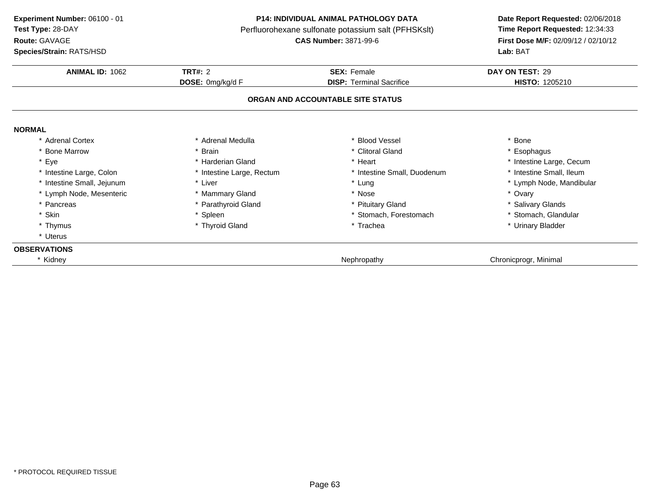**ANIMAL ID:** <sup>1062</sup> **TRT#:** <sup>2</sup> **SEX:** Female **DAY ON TEST:** <sup>29</sup> **DOSE:** 0mg/kg/d F**DISP:** Terminal Sacrifice **HISTO:** 1205210 **ORGAN AND ACCOUNTABLE SITE STATUSNORMAL** \* Adrenal Cortex\* Adrenal Medulla<br>\* Brain a the set of the set of the set of the set of the set of the set of the set of the set of the set of the set o<br>Set of the set of the set of the set of the set of the set of the set of the set of the set of the set of the s \* Bone Marrow \* Brain \* Clitoral Gland \* Esophagus \* Eyee the second of the second term in the second term in the second term in the second term in the second term in the second term in the second term in the second term in the second term in the second term in the second term \* Intestine Small, Ileum \* Intestine Large, Colon\* Intestine Large, Rectum<br>\* Liver \* Intestine Small, Duodenum<br>\* Lung \* Intestine Small, Jejunum\* Lung \* Lymph Node, Mandibular<br>\* Nose \* Nose \* Ovary \* Ovary \* Ovary \* Ovary \* Ovary \* Ovary \* Ovary \* Ovary \* Ovary \* 001 \* Lymph Node, Mesenteric \* Mammary Gland \* Nose \* Ovary \* Pancreas \* Parathyroid Gland\* Pituitary Gland<br>
\* Stomach, Forestomach<br>
\* Stomach, Glandular \* Skin\* Spleen \* Stomach, Forestomach \* Stomach, Forestomach \* That is a street of the street of the street of the street of the street of the street of the street of the street of the street of the street of the street of the s \* Thymus \* Thyroid Gland\* Urinary Bladder \* Uterus**OBSERVATIONS**\* Kidneyy the contract of the contract of the contract of the contract of the contract of the chronic program chronic program  $\sim$  Chronic program contract of the contract of the contract of the contract of the contract of the con **Experiment Number:** 06100 - 01 **P14: INDIVIDUAL ANIMAL PATHOLOGY DATA Date Report Requested:** 02/06/2018 **Test Type:** 28-DAYPerfluorohexane sulfonate potassium salt (PFHSKslt)<br>**CAS Number:** 3871-99-6 **Route:** GAVAGE**First Dose M/F:** 02/09/12 / 02/10/12<br>**Lab:** BAT **Species/Strain:** RATS/HSD**Lab:** BAT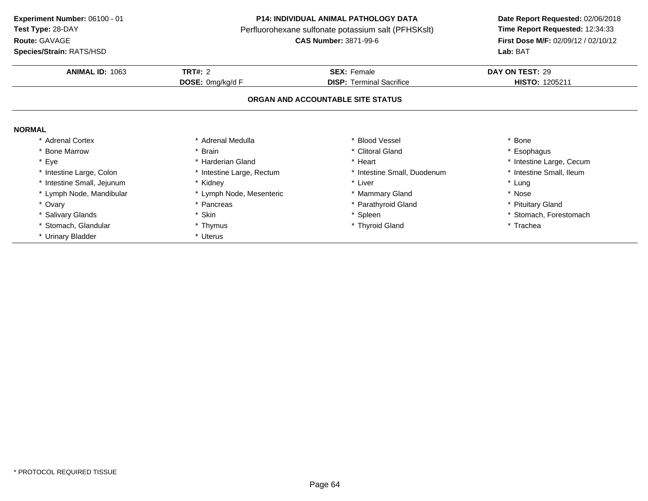**Route:** GAVAGE

**Species/Strain:** RATS/HSD

### **P14: INDIVIDUAL ANIMAL PATHOLOGY DATA**

Perfluorohexane sulfonate potassium salt (PFHSKslt)<br>**CAS Number:** 3871-99-6

| <b>ANIMAL ID: 1063</b>     | <b>TRT#: 2</b><br>DOSE: 0mg/kg/d F | <b>SEX: Female</b><br><b>DISP:</b> Terminal Sacrifice | DAY ON TEST: 29<br><b>HISTO: 1205211</b> |
|----------------------------|------------------------------------|-------------------------------------------------------|------------------------------------------|
|                            |                                    |                                                       |                                          |
| <b>NORMAL</b>              |                                    |                                                       |                                          |
| * Adrenal Cortex           | * Adrenal Medulla                  | <b>Blood Vessel</b>                                   | * Bone                                   |
| * Bone Marrow              | * Brain                            | * Clitoral Gland                                      | Esophagus                                |
| * Eye                      | * Harderian Gland                  | * Heart                                               | * Intestine Large, Cecum                 |
| * Intestine Large, Colon   | * Intestine Large, Rectum          | * Intestine Small, Duodenum                           | * Intestine Small, Ileum                 |
| * Intestine Small, Jejunum | * Kidney                           | Liver                                                 | * Lung                                   |
| * Lymph Node, Mandibular   | * Lymph Node, Mesenteric           | * Mammary Gland                                       | * Nose                                   |
| * Ovary                    | * Pancreas                         | * Parathyroid Gland                                   | * Pituitary Gland                        |
| * Salivary Glands          | * Skin                             | * Spleen                                              | * Stomach, Forestomach                   |
| * Stomach, Glandular       | * Thymus                           | * Thyroid Gland                                       | * Trachea                                |
| * Urinary Bladder          | * Uterus                           |                                                       |                                          |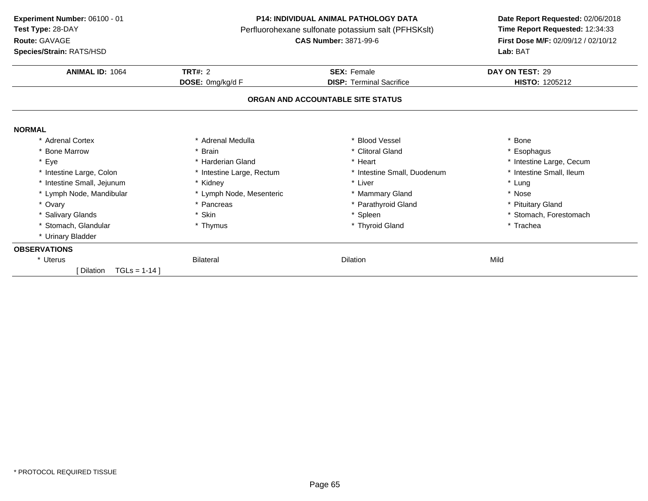**ANIMAL ID:** <sup>1064</sup> **TRT#:** <sup>2</sup> **SEX:** Female **DAY ON TEST:** <sup>29</sup> **DOSE:** 0mg/kg/d F**DISP:** Terminal Sacrifice **HISTO:** 1205212 **ORGAN AND ACCOUNTABLE SITE STATUSNORMAL** \* Adrenal Cortex\* Adrenal Medulla<br>\* Brain a the set of the set of the set of the set of the set of the set of the set of the set of the set of the set o<br>Set of the set of the set of the set of the set of the set of the set of the set of the set of the set of the s \* Bone Marrow \* Brain \* Clitoral Gland \* Esophagus \* Eyee the second of the second term in the second term in the second term in the second term in the second term in the second term in the second term in the second term in the second term in the second term in the second term \* Intestine Small, Ileum \* Intestine Large, Colon\* Intestine Large, Rectum<br>\* Kidney \* Intestine Small, Duodenum \* \* Intest<br>
\* Liver \* \* Lung \* Intestine Small, Jejunum \* Kidney \* Liver \* Lung \* Lymph Node, Mandibular \* Lymph Node, Mesenteric\* Lymph Node, Mesenteric \* \* Mammary Gland \* Nose \* Ovary\* Pancreas \* Parathyroid Gland<br>\* Skin \* Steen \* Soleen \* Steen \* Steen \* Steen \* Steen \* Steen \* Steen \* Steen \* Steen \* Steen \* Steen \* Steen \* Steen \* Steen \* Steen \* Steen \* Steen \* Steen \* Steen \* Steen \* Steen \* Steen \* Pituitary Gland \* Salivary Glandss \* Skin \* Skin \* Spleen \* Spleen \* Spleen \* Stomach, Forestomach \* Thymus \* Stomach, Forestomach \* Thymus \* Trachea \* Stomach, Glandular **\*** Thymus \* Thyroid Gland \* Trachea \* Urinary Bladder **OBSERVATIONS**\* Uteruss and the Bilateral Bilateral control of the Dilation n Mild [ Dilation TGLs = 1-14 ]**Experiment Number:** 06100 - 01 **P14: INDIVIDUAL ANIMAL PATHOLOGY DATA Date Report Requested:** 02/06/2018 **Test Type:** 28-DAYPerfluorohexane sulfonate potassium salt (PFHSKslt)<br>**CAS Number:** 3871-99-6 **Route:** GAVAGE**First Dose M/F:** 02/09/12 / 02/10/12<br>**Lab:** BAT **Species/Strain:** RATS/HSD**Lab:** BAT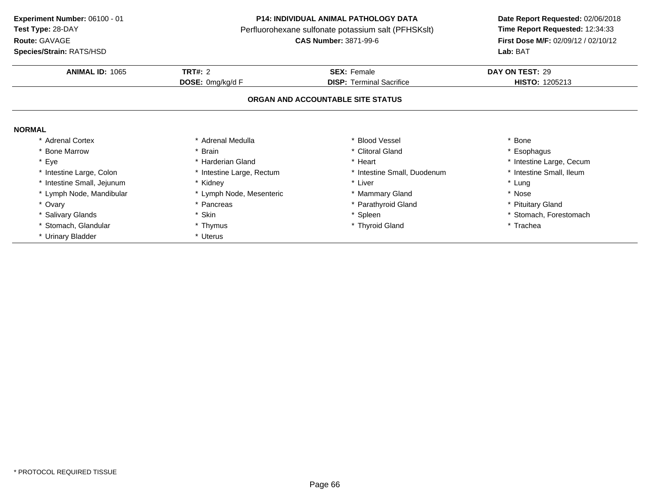**Route:** GAVAGE

**Species/Strain:** RATS/HSD

## **P14: INDIVIDUAL ANIMAL PATHOLOGY DATA**

Perfluorohexane sulfonate potassium salt (PFHSKslt)<br>**CAS Number:** 3871-99-6

| <b>ANIMAL ID: 1065</b>     | <b>TRT#: 2</b>            | <b>SEX: Female</b>                | DAY ON TEST: 29          |
|----------------------------|---------------------------|-----------------------------------|--------------------------|
|                            | DOSE: 0mg/kg/d F          | <b>DISP:</b> Terminal Sacrifice   | <b>HISTO: 1205213</b>    |
|                            |                           | ORGAN AND ACCOUNTABLE SITE STATUS |                          |
| <b>NORMAL</b>              |                           |                                   |                          |
| * Adrenal Cortex           | * Adrenal Medulla         | * Blood Vessel                    | * Bone                   |
| * Bone Marrow              | * Brain                   | * Clitoral Gland                  | * Esophagus              |
| Eye                        | * Harderian Gland         | * Heart                           | * Intestine Large, Cecum |
| * Intestine Large, Colon   | * Intestine Large, Rectum | * Intestine Small, Duodenum       | * Intestine Small, Ileum |
| * Intestine Small, Jejunum | * Kidney                  | * Liver                           | * Lung                   |
| * Lymph Node, Mandibular   | * Lymph Node, Mesenteric  | * Mammary Gland                   | * Nose                   |
| * Ovary                    | * Pancreas                | * Parathyroid Gland               | * Pituitary Gland        |
| * Salivary Glands          | * Skin                    | * Spleen                          | * Stomach, Forestomach   |
| * Stomach, Glandular       | * Thymus                  | * Thyroid Gland                   | * Trachea                |
| * Urinary Bladder          | * Uterus                  |                                   |                          |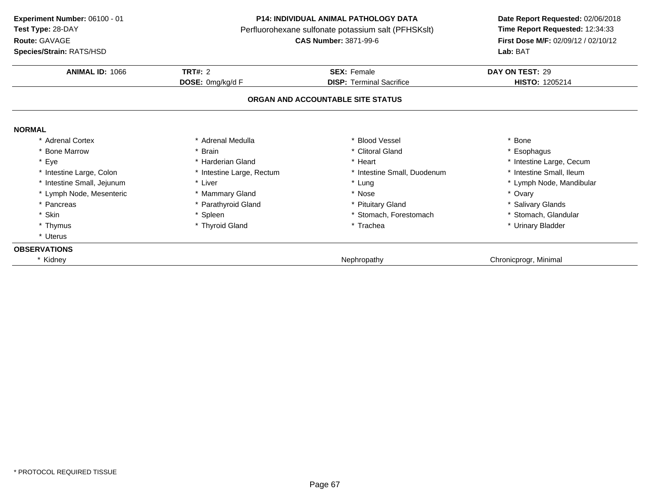**ANIMAL ID:** <sup>1066</sup> **TRT#:** <sup>2</sup> **SEX:** Female **DAY ON TEST:** <sup>29</sup> **DOSE:** 0mg/kg/d F**DISP:** Terminal Sacrifice **HISTO:** 1205214 **ORGAN AND ACCOUNTABLE SITE STATUSNORMAL** \* Adrenal Cortex\* Adrenal Medulla<br>\* Brain a the set of the set of the set of the set of the set of the set of the set of the set of the set of the set o<br>Set of the set of the set of the set of the set of the set of the set of the set of the set of the set of the s \* Bone Marrow \* Brain \* Clitoral Gland \* Esophagus \* Eyee the second of the second term in the second term in the second term in the second term in the second term in the second term in the second term in the second term in the second term in the second term in the second term \* Intestine Small, Ileum \* Intestine Large, Colon\* Intestine Large, Rectum<br>\* Liver \* Intestine Small, Duodenum<br>\* Lung \* Intestine Small, Jejunum\* Lung \* Lymph Node, Mandibular<br>\* Nose \* Nose \* Ovary \* Ovary \* Ovary \* Ovary \* Ovary \* Ovary \* Ovary \* Ovary \* Ovary \* 001 \* Lymph Node, Mesenteric \* Mammary Gland \* Nose \* Ovary \* Pancreas \* Parathyroid Gland\* Pituitary Gland<br>
\* Stomach, Forestomach<br>
\* Stomach, Glandular \* Skin\* Spleen \* Stomach, Forestomach \* Stomach, Forestomach \* That is a street of the street of the street of the street of the street of the street of the street of the street of the street of the street of the street of the s \* Thymus \* Thyroid Gland\* Urinary Bladder \* Uterus**OBSERVATIONS**y the contract of the contract of the contract of the contract of the contract of the chronic program chronic program  $\sim$  Chronic program contract of the contract of the contract of the contract of the contract of the con **Experiment Number:** 06100 - 01 **P14: INDIVIDUAL ANIMAL PATHOLOGY DATA Date Report Requested:** 02/06/2018 **Test Type:** 28-DAYPerfluorohexane sulfonate potassium salt (PFHSKslt)<br>**CAS Number:** 3871-99-6 **Route:** GAVAGE**First Dose M/F:** 02/09/12 / 02/10/12<br>**Lab:** BAT **Species/Strain:** RATS/HSD**Lab:** BAT

\* Kidney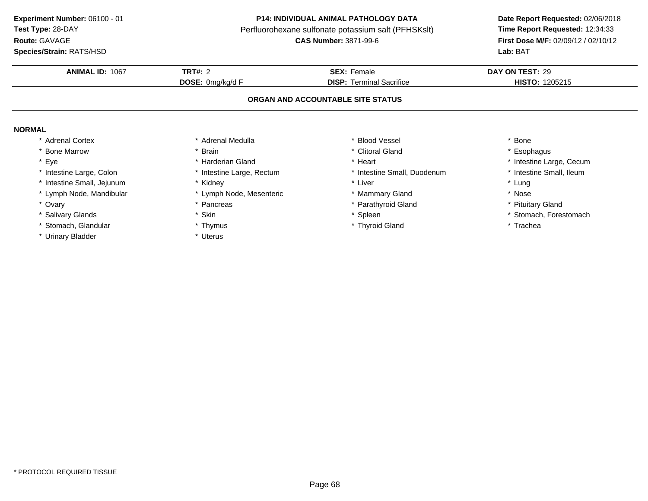**Route:** GAVAGE

**Species/Strain:** RATS/HSD

### **P14: INDIVIDUAL ANIMAL PATHOLOGY DATA**

Perfluorohexane sulfonate potassium salt (PFHSKslt)<br>**CAS Number:** 3871-99-6

| <b>ANIMAL ID: 1067</b>     | <b>TRT#: 2</b><br>DOSE: 0mg/kg/d F | <b>SEX: Female</b><br><b>DISP:</b> Terminal Sacrifice | DAY ON TEST: 29<br><b>HISTO: 1205215</b> |
|----------------------------|------------------------------------|-------------------------------------------------------|------------------------------------------|
|                            |                                    |                                                       |                                          |
| <b>NORMAL</b>              |                                    |                                                       |                                          |
| * Adrenal Cortex           | * Adrenal Medulla                  | * Blood Vessel                                        | Bone                                     |
| * Bone Marrow              | * Brain                            | * Clitoral Gland                                      | Esophagus                                |
| * Eye                      | * Harderian Gland                  | * Heart                                               | * Intestine Large, Cecum                 |
| * Intestine Large, Colon   | * Intestine Large, Rectum          | * Intestine Small, Duodenum                           | * Intestine Small, Ileum                 |
| * Intestine Small, Jejunum | * Kidney                           | * Liver                                               | * Lung                                   |
| * Lymph Node, Mandibular   | * Lymph Node, Mesenteric           | * Mammary Gland                                       | * Nose                                   |
| * Ovary                    | Pancreas                           | * Parathyroid Gland                                   | <b>Pituitary Gland</b>                   |
| * Salivary Glands          | * Skin                             | * Spleen                                              | * Stomach, Forestomach                   |
| * Stomach, Glandular       | * Thymus                           | * Thyroid Gland                                       | * Trachea                                |
| * Urinary Bladder          | * Uterus                           |                                                       |                                          |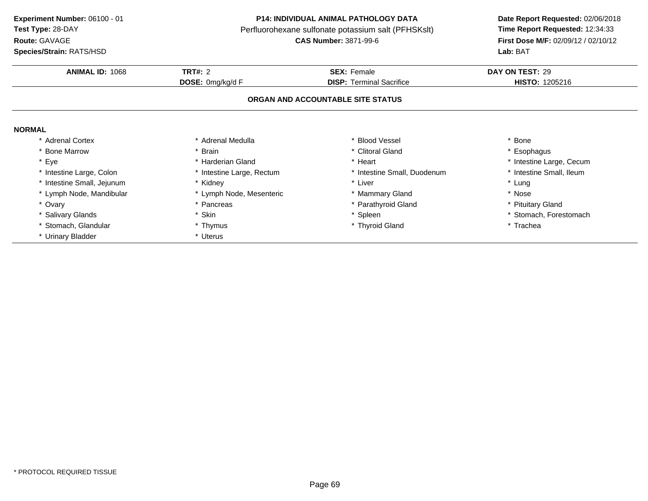**Route:** GAVAGE

**Species/Strain:** RATS/HSD

### **P14: INDIVIDUAL ANIMAL PATHOLOGY DATA**

Perfluorohexane sulfonate potassium salt (PFHSKslt)<br>**CAS Number:** 3871-99-6

| <b>ANIMAL ID: 1068</b>   | <b>TRT#: 2</b>            | <b>SEX: Female</b>                | DAY ON TEST: 29          |
|--------------------------|---------------------------|-----------------------------------|--------------------------|
|                          | DOSE: 0mg/kg/d F          | <b>DISP:</b> Terminal Sacrifice   | <b>HISTO: 1205216</b>    |
|                          |                           | ORGAN AND ACCOUNTABLE SITE STATUS |                          |
| <b>NORMAL</b>            |                           |                                   |                          |
| <b>Adrenal Cortex</b>    | Adrenal Medulla           | * Blood Vessel                    | * Bone                   |
| * Bone Marrow            | Brain                     | * Clitoral Gland                  | * Esophagus              |
| * Eye                    | Harderian Gland           | * Heart                           | * Intestine Large, Cecum |
| * Intestine Large, Colon | * Intestine Large, Rectum | * Intestine Small, Duodenum       | * Intestine Small, Ileum |
| Intestine Small, Jejunum | Kidney                    | * Liver                           | * Lung                   |
| * Lymph Node, Mandibular | * Lymph Node, Mesenteric  | * Mammary Gland                   | * Nose                   |
| * Ovary                  | Pancreas                  | * Parathyroid Gland               | * Pituitary Gland        |
| * Salivary Glands        | * Skin                    | * Spleen                          | * Stomach, Forestomach   |
| Stomach, Glandular       | * Thymus                  | * Thyroid Gland                   | * Trachea                |
| * Urinary Bladder        | * Uterus                  |                                   |                          |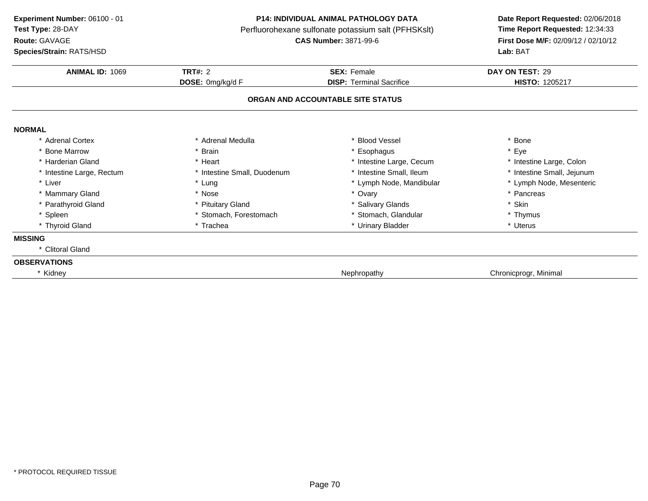**ANIMAL ID:** <sup>1069</sup> **TRT#:** <sup>2</sup> **SEX:** Female **DAY ON TEST:** <sup>29</sup> **DOSE:** 0mg/kg/d F**DISP:** Terminal Sacrifice **HISTO:** 1205217 **ORGAN AND ACCOUNTABLE SITE STATUSNORMAL** \* Adrenal Cortex\* Adrenal Medulla<br>\* Brain a the set of the set of the set of the set of the set of the set of the set of the set of the set of the set o<br>Set of the set of the set of the set of the set of the set of the set of the set of the set of the set of the s \* Bone Marrow \* Brain \* Esophagus \* Eye \* Harderian Gland\* Heart \* Heart \* Intestine Large, Cecum<br>\* Intestine Small, Duodenum \* \* Intestine Small, Ileum \* Intestine Large, Colon<br>\* Intestine Small, Jejunum \* Intestine Large, Rectum\* Intestine Small, Duodenum \* 11testine Small, Ileum \* Lung \* Intestine Small, Ileum \* Lymph Node, Mandibular \* Liver \* Lung \* Lymph Node, Mandibular \* Lymph Node, Mesenteric \* Mammary Gland \* Nose \* Ovary \* Pancreas \* Parathyroid Glandd **the set of the set of the set of the set of the set of the set of the set of the set of the set of the set of the set of the set of the set of the set of the set of the set of the set of the set of the set of the set of** \* Spleen\* Stomach, Forestomach \* \* Stomach, Glandular \* Thymus \* Thymus \* Thymus \* Thymus \* Thymus \* Uterus \* Uterus \* Thyroid Glandd **a** \* Trachea \* Trachea \* \* Urinary Bladder \* Urinary Bradder \* \* Uterus **MISSING** \* Clitoral Gland**OBSERVATIONS**\* Kidneyy the contract of the contract of the contract of the contract of the contract of the chronic program chronic program  $\mathbb{R}^n$ **Experiment Number:** 06100 - 01 **P14: INDIVIDUAL ANIMAL PATHOLOGY DATA Date Report Requested:** 02/06/2018 **Test Type:** 28-DAYPerfluorohexane sulfonate potassium salt (PFHSKslt)<br>**CAS Number:** 3871-99-6 **Route:** GAVAGE**First Dose M/F:** 02/09/12 / 02/10/12<br>**Lab:** BAT **Species/Strain:** RATS/HSD**Lab:** BAT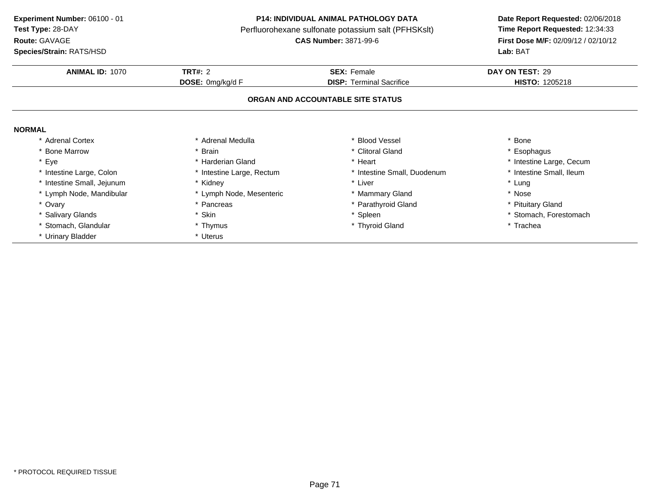**Route:** GAVAGE

**Species/Strain:** RATS/HSD

## **P14: INDIVIDUAL ANIMAL PATHOLOGY DATA**

Perfluorohexane sulfonate potassium salt (PFHSKslt)<br>**CAS Number:** 3871-99-6

| <b>ANIMAL ID: 1070</b>   | TRT#: 2                   | <b>SEX: Female</b>                | DAY ON TEST: 29          |
|--------------------------|---------------------------|-----------------------------------|--------------------------|
|                          | DOSE: 0mg/kg/d F          | <b>DISP: Terminal Sacrifice</b>   | <b>HISTO: 1205218</b>    |
|                          |                           | ORGAN AND ACCOUNTABLE SITE STATUS |                          |
| <b>NORMAL</b>            |                           |                                   |                          |
| <b>Adrenal Cortex</b>    | Adrenal Medulla           | * Blood Vessel                    | Bone                     |
| * Bone Marrow            | * Brain                   | * Clitoral Gland                  | * Esophagus              |
| * Eye                    | * Harderian Gland         | * Heart                           | * Intestine Large, Cecum |
| * Intestine Large, Colon | * Intestine Large, Rectum | * Intestine Small, Duodenum       | * Intestine Small, Ileum |
| Intestine Small, Jejunum | * Kidney                  | * Liver                           | * Lung                   |
| * Lymph Node, Mandibular | * Lymph Node, Mesenteric  | * Mammary Gland                   | * Nose                   |
| * Ovary                  | * Pancreas                | * Parathyroid Gland               | * Pituitary Gland        |
| * Salivary Glands        | * Skin                    | * Spleen                          | * Stomach, Forestomach   |
| Stomach, Glandular       | * Thymus                  | * Thyroid Gland                   | * Trachea                |
| * Urinary Bladder        | * Uterus                  |                                   |                          |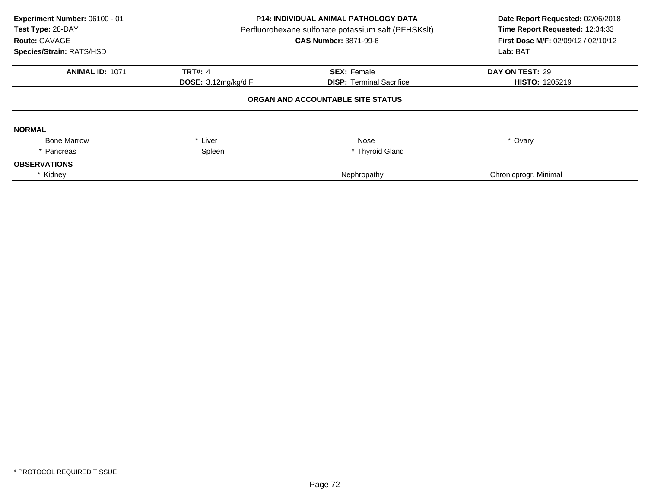| Experiment Number: 06100 - 01<br>Test Type: 28-DAY<br>Route: GAVAGE<br>Species/Strain: RATS/HSD | P14: INDIVIDUAL ANIMAL PATHOLOGY DATA<br>Perfluorohexane sulfonate potassium salt (PFHSKslt)<br><b>CAS Number: 3871-99-6</b> |                                   | Date Report Requested: 02/06/2018<br>Time Report Requested: 12:34:33<br>First Dose M/F: 02/09/12 / 02/10/12<br>Lab: BAT |  |
|-------------------------------------------------------------------------------------------------|------------------------------------------------------------------------------------------------------------------------------|-----------------------------------|-------------------------------------------------------------------------------------------------------------------------|--|
| <b>ANIMAL ID: 1071</b>                                                                          | <b>TRT#: 4</b>                                                                                                               | <b>SEX: Female</b>                | DAY ON TEST: 29                                                                                                         |  |
|                                                                                                 | DOSE: $3.12$ mg/kg/d F                                                                                                       | <b>DISP: Terminal Sacrifice</b>   | <b>HISTO: 1205219</b>                                                                                                   |  |
|                                                                                                 |                                                                                                                              | ORGAN AND ACCOUNTABLE SITE STATUS |                                                                                                                         |  |
| <b>NORMAL</b>                                                                                   |                                                                                                                              |                                   |                                                                                                                         |  |
| <b>Bone Marrow</b>                                                                              | Liver<br>$\ast$                                                                                                              | Nose                              | * Ovary                                                                                                                 |  |
| Pancreas                                                                                        | Spleen                                                                                                                       | * Thyroid Gland                   |                                                                                                                         |  |
| <b>OBSERVATIONS</b>                                                                             |                                                                                                                              |                                   |                                                                                                                         |  |
| * Kidney                                                                                        |                                                                                                                              | Nephropathy                       | Chronicprogr, Minimal                                                                                                   |  |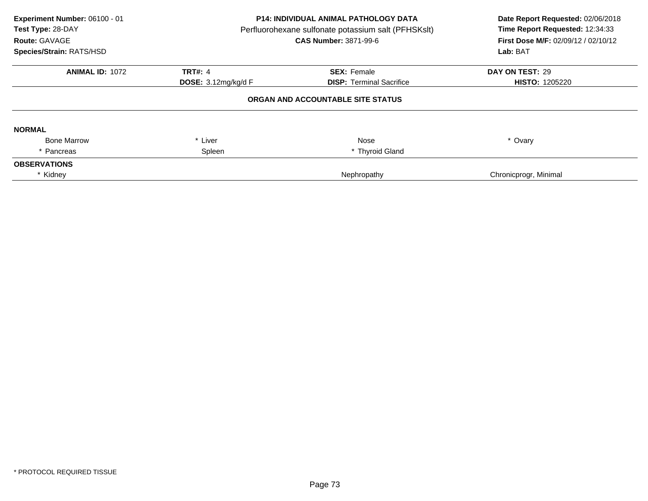| Experiment Number: 06100 - 01<br>Test Type: 28-DAY<br>Route: GAVAGE<br>Species/Strain: RATS/HSD | P14: INDIVIDUAL ANIMAL PATHOLOGY DATA<br>Perfluorohexane sulfonate potassium salt (PFHSKslt)<br><b>CAS Number: 3871-99-6</b> |                                   | Date Report Requested: 02/06/2018<br>Time Report Requested: 12:34:33<br>First Dose M/F: 02/09/12 / 02/10/12<br>Lab: BAT |
|-------------------------------------------------------------------------------------------------|------------------------------------------------------------------------------------------------------------------------------|-----------------------------------|-------------------------------------------------------------------------------------------------------------------------|
| <b>ANIMAL ID: 1072</b>                                                                          | <b>TRT#: 4</b>                                                                                                               | <b>SEX: Female</b>                | DAY ON TEST: 29                                                                                                         |
|                                                                                                 | DOSE: $3.12$ mg/kg/d F                                                                                                       | <b>DISP: Terminal Sacrifice</b>   | <b>HISTO: 1205220</b>                                                                                                   |
|                                                                                                 |                                                                                                                              | ORGAN AND ACCOUNTABLE SITE STATUS |                                                                                                                         |
| <b>NORMAL</b>                                                                                   |                                                                                                                              |                                   |                                                                                                                         |
| <b>Bone Marrow</b>                                                                              | Liver<br>$\ast$                                                                                                              | Nose                              | * Ovary                                                                                                                 |
| Pancreas                                                                                        | Spleen                                                                                                                       | * Thyroid Gland                   |                                                                                                                         |
| <b>OBSERVATIONS</b>                                                                             |                                                                                                                              |                                   |                                                                                                                         |
| * Kidney                                                                                        |                                                                                                                              | Nephropathy                       | Chronicprogr, Minimal                                                                                                   |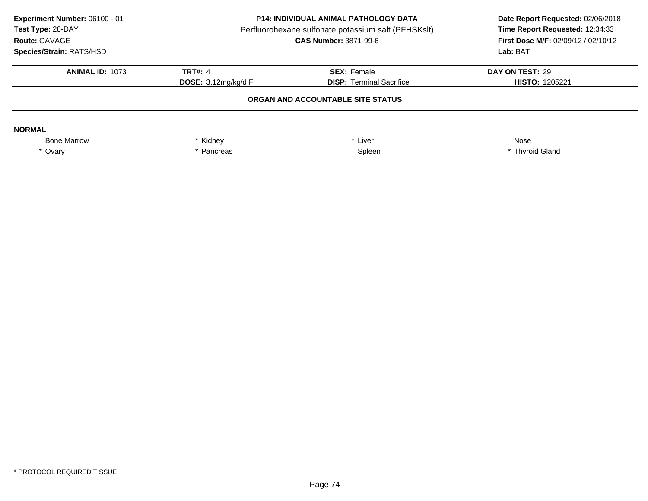| Experiment Number: 06100 - 01<br>Test Type: 28-DAY<br>Route: GAVAGE<br>Species/Strain: RATS/HSD | <b>P14: INDIVIDUAL ANIMAL PATHOLOGY DATA</b><br>Perfluorohexane sulfonate potassium salt (PFHSKslt)<br><b>CAS Number: 3871-99-6</b> |                                 | Date Report Requested: 02/06/2018<br>Time Report Requested: 12:34:33<br>First Dose M/F: 02/09/12 / 02/10/12<br>Lab: BAT |
|-------------------------------------------------------------------------------------------------|-------------------------------------------------------------------------------------------------------------------------------------|---------------------------------|-------------------------------------------------------------------------------------------------------------------------|
| <b>ANIMAL ID: 1073</b>                                                                          | <b>TRT#: 4</b>                                                                                                                      | <b>SEX: Female</b>              | DAY ON TEST: 29                                                                                                         |
|                                                                                                 | <b>DOSE:</b> $3.12 \text{mg/kg/d}$ F                                                                                                | <b>DISP:</b> Terminal Sacrifice | <b>HISTO: 1205221</b>                                                                                                   |
|                                                                                                 |                                                                                                                                     |                                 |                                                                                                                         |
| <b>NORMAL</b>                                                                                   |                                                                                                                                     |                                 |                                                                                                                         |
| <b>Bone Marrow</b>                                                                              | Kidney                                                                                                                              | Liver                           | Nose                                                                                                                    |
| * Ovary                                                                                         | Pancreas                                                                                                                            | Spleen                          | * Thyroid Gland                                                                                                         |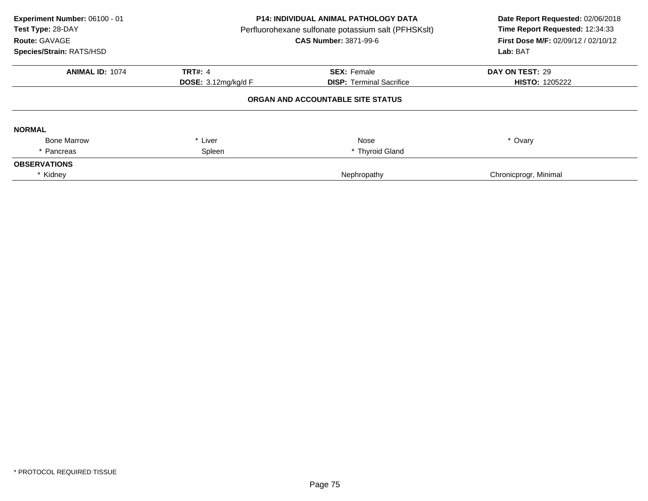| Experiment Number: 06100 - 01<br>Test Type: 28-DAY<br>Route: GAVAGE<br>Species/Strain: RATS/HSD | P14: INDIVIDUAL ANIMAL PATHOLOGY DATA<br>Perfluorohexane sulfonate potassium salt (PFHSKslt)<br><b>CAS Number: 3871-99-6</b> |                                   | Date Report Requested: 02/06/2018<br>Time Report Requested: 12:34:33<br>First Dose M/F: 02/09/12 / 02/10/12<br>Lab: BAT |
|-------------------------------------------------------------------------------------------------|------------------------------------------------------------------------------------------------------------------------------|-----------------------------------|-------------------------------------------------------------------------------------------------------------------------|
| <b>ANIMAL ID: 1074</b>                                                                          | <b>TRT#: 4</b>                                                                                                               | <b>SEX: Female</b>                | DAY ON TEST: 29                                                                                                         |
|                                                                                                 | <b>DOSE:</b> $3.12 \text{mq/kg/d}$ F                                                                                         | <b>DISP:</b> Terminal Sacrifice   | <b>HISTO: 1205222</b>                                                                                                   |
|                                                                                                 |                                                                                                                              | ORGAN AND ACCOUNTABLE SITE STATUS |                                                                                                                         |
| <b>NORMAL</b>                                                                                   |                                                                                                                              |                                   |                                                                                                                         |
| <b>Bone Marrow</b>                                                                              | * Liver                                                                                                                      | Nose                              | * Ovary                                                                                                                 |
| * Pancreas                                                                                      | Spleen                                                                                                                       | * Thyroid Gland                   |                                                                                                                         |
| <b>OBSERVATIONS</b>                                                                             |                                                                                                                              |                                   |                                                                                                                         |
| * Kidney                                                                                        |                                                                                                                              | Nephropathy                       | Chronicprogr, Minimal                                                                                                   |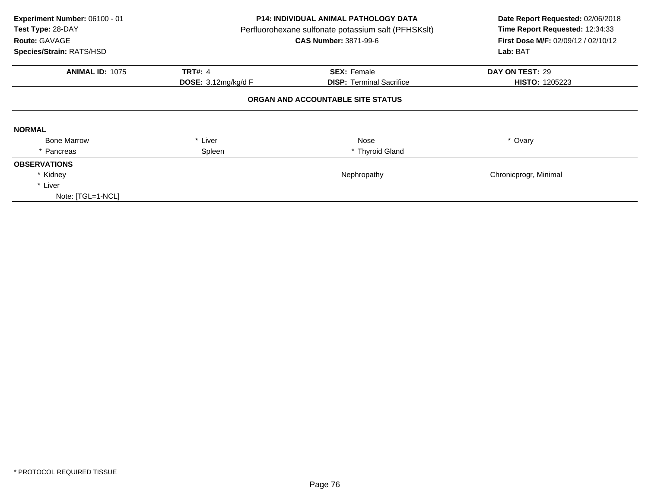| Experiment Number: 06100 - 01<br>Test Type: 28-DAY<br>Route: GAVAGE<br>Species/Strain: RATS/HSD |                     | <b>P14: INDIVIDUAL ANIMAL PATHOLOGY DATA</b><br>Perfluorohexane sulfonate potassium salt (PFHSKslt)<br><b>CAS Number: 3871-99-6</b> | Date Report Requested: 02/06/2018<br>Time Report Requested: 12:34:33<br><b>First Dose M/F: 02/09/12 / 02/10/12</b><br>Lab: BAT |
|-------------------------------------------------------------------------------------------------|---------------------|-------------------------------------------------------------------------------------------------------------------------------------|--------------------------------------------------------------------------------------------------------------------------------|
| <b>ANIMAL ID: 1075</b>                                                                          | <b>TRT#: 4</b>      | <b>SEX: Female</b>                                                                                                                  | DAY ON TEST: 29                                                                                                                |
|                                                                                                 | DOSE: 3.12mg/kg/d F | <b>DISP:</b> Terminal Sacrifice                                                                                                     | <b>HISTO: 1205223</b>                                                                                                          |
|                                                                                                 |                     | ORGAN AND ACCOUNTABLE SITE STATUS                                                                                                   |                                                                                                                                |
| <b>NORMAL</b>                                                                                   |                     |                                                                                                                                     |                                                                                                                                |
| <b>Bone Marrow</b>                                                                              | * Liver             | Nose                                                                                                                                | * Ovary                                                                                                                        |
| * Pancreas                                                                                      | Spleen              | * Thyroid Gland                                                                                                                     |                                                                                                                                |
| <b>OBSERVATIONS</b>                                                                             |                     |                                                                                                                                     |                                                                                                                                |
| * Kidney                                                                                        |                     | Nephropathy                                                                                                                         | Chronicprogr, Minimal                                                                                                          |
| * Liver                                                                                         |                     |                                                                                                                                     |                                                                                                                                |
| Note: [TGL=1-NCL]                                                                               |                     |                                                                                                                                     |                                                                                                                                |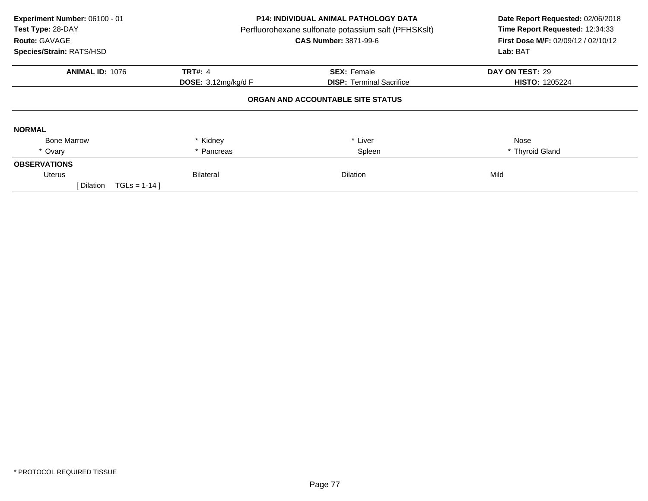| Experiment Number: 06100 - 01<br>Test Type: 28-DAY<br>Route: GAVAGE<br>Species/Strain: RATS/HSD | P14: INDIVIDUAL ANIMAL PATHOLOGY DATA<br>Perfluorohexane sulfonate potassium salt (PFHSKslt)<br><b>CAS Number: 3871-99-6</b> |                                   | Date Report Requested: 02/06/2018<br>Time Report Requested: 12:34:33<br>First Dose M/F: 02/09/12 / 02/10/12<br>Lab: BAT |
|-------------------------------------------------------------------------------------------------|------------------------------------------------------------------------------------------------------------------------------|-----------------------------------|-------------------------------------------------------------------------------------------------------------------------|
| <b>ANIMAL ID: 1076</b>                                                                          | <b>TRT#: 4</b>                                                                                                               | <b>SEX: Female</b>                | DAY ON TEST: 29                                                                                                         |
|                                                                                                 | <b>DOSE:</b> 3.12mg/kg/d F                                                                                                   | <b>DISP:</b> Terminal Sacrifice   | <b>HISTO: 1205224</b>                                                                                                   |
|                                                                                                 |                                                                                                                              | ORGAN AND ACCOUNTABLE SITE STATUS |                                                                                                                         |
| <b>NORMAL</b>                                                                                   |                                                                                                                              |                                   |                                                                                                                         |
| <b>Bone Marrow</b>                                                                              | * Kidney                                                                                                                     | Liver                             | Nose                                                                                                                    |
| * Ovary                                                                                         | * Pancreas                                                                                                                   | Spleen                            | * Thyroid Gland                                                                                                         |
| <b>OBSERVATIONS</b>                                                                             |                                                                                                                              |                                   |                                                                                                                         |
| Uterus                                                                                          | <b>Bilateral</b>                                                                                                             | <b>Dilation</b>                   | Mild                                                                                                                    |
| [ Dilation<br>$TGLS = 1-14$                                                                     |                                                                                                                              |                                   |                                                                                                                         |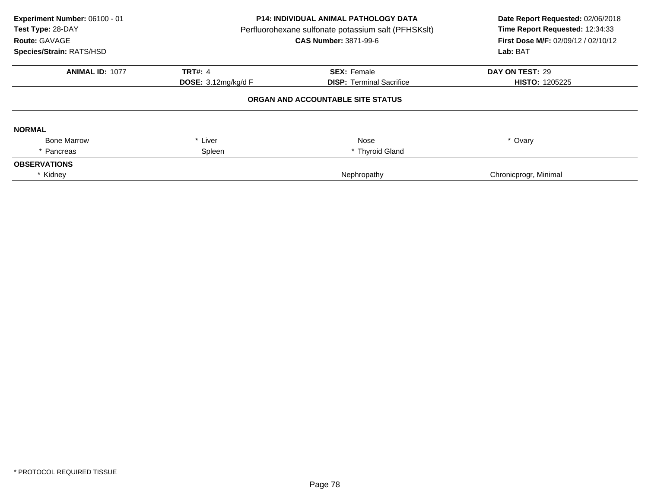| Experiment Number: 06100 - 01<br>Test Type: 28-DAY<br>Route: GAVAGE<br>Species/Strain: RATS/HSD | P14: INDIVIDUAL ANIMAL PATHOLOGY DATA<br>Perfluorohexane sulfonate potassium salt (PFHSKslt)<br><b>CAS Number: 3871-99-6</b> |                                   | Date Report Requested: 02/06/2018<br>Time Report Requested: 12:34:33<br>First Dose M/F: 02/09/12 / 02/10/12<br>Lab: BAT |
|-------------------------------------------------------------------------------------------------|------------------------------------------------------------------------------------------------------------------------------|-----------------------------------|-------------------------------------------------------------------------------------------------------------------------|
| <b>ANIMAL ID: 1077</b>                                                                          | <b>TRT#: 4</b>                                                                                                               | <b>SEX: Female</b>                | DAY ON TEST: 29                                                                                                         |
|                                                                                                 | DOSE: $3.12$ mg/kg/d F                                                                                                       | <b>DISP: Terminal Sacrifice</b>   | <b>HISTO: 1205225</b>                                                                                                   |
|                                                                                                 |                                                                                                                              | ORGAN AND ACCOUNTABLE SITE STATUS |                                                                                                                         |
| <b>NORMAL</b>                                                                                   |                                                                                                                              |                                   |                                                                                                                         |
| <b>Bone Marrow</b>                                                                              | Liver<br>$\ast$                                                                                                              | Nose                              | * Ovary                                                                                                                 |
| Pancreas                                                                                        | Spleen                                                                                                                       | * Thyroid Gland                   |                                                                                                                         |
| <b>OBSERVATIONS</b>                                                                             |                                                                                                                              |                                   |                                                                                                                         |
| * Kidney                                                                                        |                                                                                                                              | Nephropathy                       | Chronicprogr, Minimal                                                                                                   |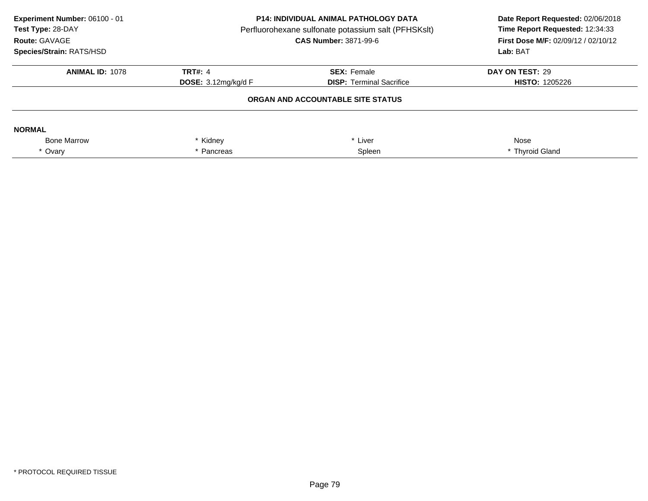| Experiment Number: 06100 - 01<br>Test Type: 28-DAY<br>Route: GAVAGE<br>Species/Strain: RATS/HSD | <b>P14: INDIVIDUAL ANIMAL PATHOLOGY DATA</b><br>Perfluorohexane sulfonate potassium salt (PFHSKslt)<br><b>CAS Number: 3871-99-6</b> |                                   | Date Report Requested: 02/06/2018<br>Time Report Requested: 12:34:33<br>First Dose M/F: 02/09/12 / 02/10/12<br>Lab: BAT |
|-------------------------------------------------------------------------------------------------|-------------------------------------------------------------------------------------------------------------------------------------|-----------------------------------|-------------------------------------------------------------------------------------------------------------------------|
| <b>ANIMAL ID: 1078</b>                                                                          | <b>TRT#: 4</b>                                                                                                                      | <b>SEX: Female</b>                | DAY ON TEST: 29                                                                                                         |
|                                                                                                 | DOSE: $3.12$ mg/kg/d F                                                                                                              | <b>DISP:</b> Terminal Sacrifice   | <b>HISTO: 1205226</b>                                                                                                   |
|                                                                                                 |                                                                                                                                     | ORGAN AND ACCOUNTABLE SITE STATUS |                                                                                                                         |
| <b>NORMAL</b>                                                                                   |                                                                                                                                     |                                   |                                                                                                                         |
| <b>Bone Marrow</b>                                                                              | Kidney                                                                                                                              | Liver                             | Nose                                                                                                                    |
| * Ovary                                                                                         | Pancreas                                                                                                                            | Spleen                            | * Thyroid Gland                                                                                                         |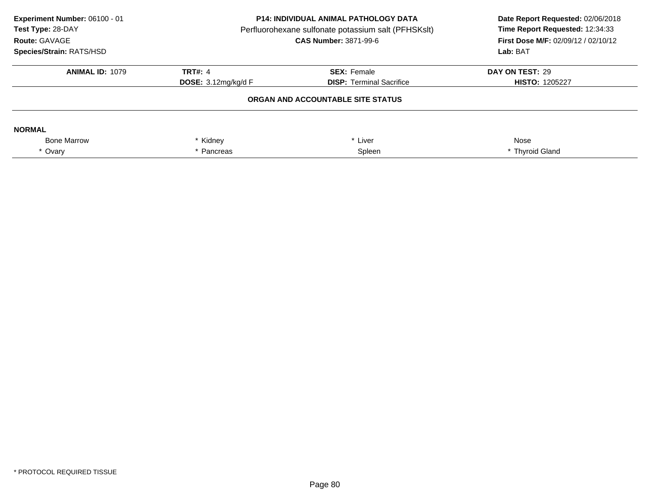| Experiment Number: 06100 - 01<br>Test Type: 28-DAY<br>Route: GAVAGE<br>Species/Strain: RATS/HSD | <b>P14: INDIVIDUAL ANIMAL PATHOLOGY DATA</b><br>Perfluorohexane sulfonate potassium salt (PFHSKslt)<br><b>CAS Number: 3871-99-6</b> |                                 | Date Report Requested: 02/06/2018<br>Time Report Requested: 12:34:33<br>First Dose M/F: 02/09/12 / 02/10/12<br>Lab: BAT |
|-------------------------------------------------------------------------------------------------|-------------------------------------------------------------------------------------------------------------------------------------|---------------------------------|-------------------------------------------------------------------------------------------------------------------------|
| <b>ANIMAL ID: 1079</b>                                                                          | <b>TRT#: 4</b>                                                                                                                      | <b>SEX: Female</b>              | DAY ON TEST: 29                                                                                                         |
|                                                                                                 | DOSE: $3.12$ mg/kg/d F                                                                                                              | <b>DISP:</b> Terminal Sacrifice | <b>HISTO: 1205227</b>                                                                                                   |
|                                                                                                 | ORGAN AND ACCOUNTABLE SITE STATUS                                                                                                   |                                 |                                                                                                                         |
| <b>NORMAL</b>                                                                                   |                                                                                                                                     |                                 |                                                                                                                         |
| <b>Bone Marrow</b>                                                                              | Kidney                                                                                                                              | Liver                           | Nose                                                                                                                    |
| * Ovary                                                                                         | Pancreas                                                                                                                            | Spleen                          | * Thyroid Gland                                                                                                         |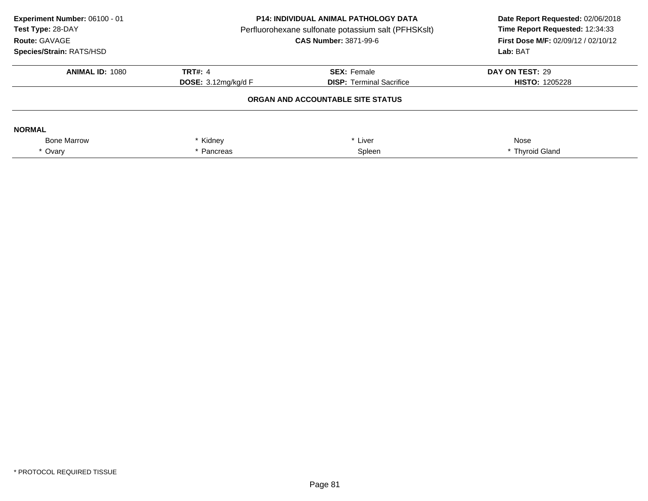| Experiment Number: 06100 - 01<br>Test Type: 28-DAY<br>Route: GAVAGE<br>Species/Strain: RATS/HSD | <b>P14: INDIVIDUAL ANIMAL PATHOLOGY DATA</b><br>Perfluorohexane sulfonate potassium salt (PFHSKslt)<br><b>CAS Number: 3871-99-6</b> |                                 | Date Report Requested: 02/06/2018<br>Time Report Requested: 12:34:33<br>First Dose M/F: 02/09/12 / 02/10/12<br>Lab: BAT |
|-------------------------------------------------------------------------------------------------|-------------------------------------------------------------------------------------------------------------------------------------|---------------------------------|-------------------------------------------------------------------------------------------------------------------------|
| <b>ANIMAL ID: 1080</b>                                                                          | <b>TRT#: 4</b>                                                                                                                      | <b>SEX: Female</b>              | DAY ON TEST: 29                                                                                                         |
|                                                                                                 | DOSE: $3.12$ mg/kg/d F                                                                                                              | <b>DISP:</b> Terminal Sacrifice | <b>HISTO: 1205228</b>                                                                                                   |
|                                                                                                 | ORGAN AND ACCOUNTABLE SITE STATUS                                                                                                   |                                 |                                                                                                                         |
| <b>NORMAL</b>                                                                                   |                                                                                                                                     |                                 |                                                                                                                         |
| <b>Bone Marrow</b>                                                                              | Kidney                                                                                                                              | Liver                           | Nose                                                                                                                    |
| * Ovary                                                                                         | Pancreas                                                                                                                            | Spleen                          | * Thyroid Gland                                                                                                         |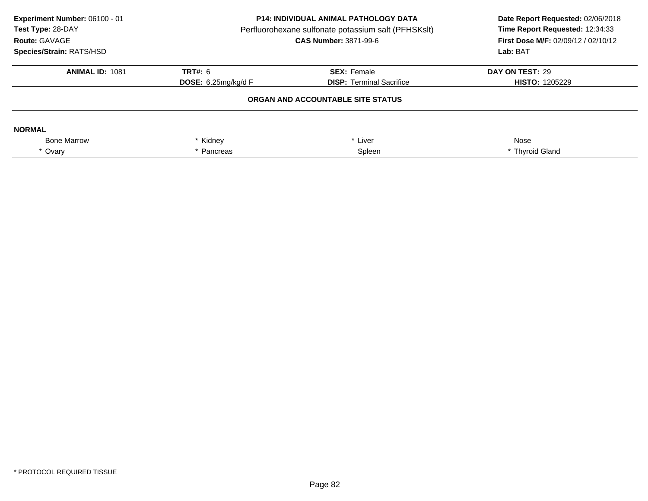| Experiment Number: 06100 - 01<br>Test Type: 28-DAY<br>Route: GAVAGE<br>Species/Strain: RATS/HSD | <b>P14: INDIVIDUAL ANIMAL PATHOLOGY DATA</b><br>Perfluorohexane sulfonate potassium salt (PFHSKslt)<br><b>CAS Number: 3871-99-6</b> |                                   | Date Report Requested: 02/06/2018<br>Time Report Requested: 12:34:33<br><b>First Dose M/F: 02/09/12 / 02/10/12</b><br>Lab: BAT |
|-------------------------------------------------------------------------------------------------|-------------------------------------------------------------------------------------------------------------------------------------|-----------------------------------|--------------------------------------------------------------------------------------------------------------------------------|
| <b>ANIMAL ID: 1081</b>                                                                          | <b>TRT#: 6</b>                                                                                                                      | <b>SEX: Female</b>                | DAY ON TEST: 29                                                                                                                |
|                                                                                                 | <b>DOSE:</b> 6.25 $mq/kg/d$ F                                                                                                       | <b>DISP:</b> Terminal Sacrifice   | <b>HISTO: 1205229</b>                                                                                                          |
|                                                                                                 |                                                                                                                                     | ORGAN AND ACCOUNTABLE SITE STATUS |                                                                                                                                |
| <b>NORMAL</b>                                                                                   |                                                                                                                                     |                                   |                                                                                                                                |
| <b>Bone Marrow</b>                                                                              | Kidney                                                                                                                              | Liver                             | Nose                                                                                                                           |
| * Ovary                                                                                         | Pancreas                                                                                                                            | Spleen                            | * Thyroid Gland                                                                                                                |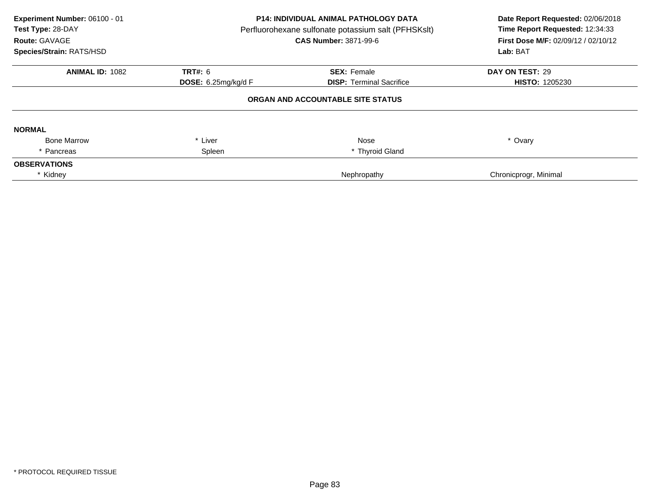| Experiment Number: 06100 - 01<br>Test Type: 28-DAY<br>Route: GAVAGE<br>Species/Strain: RATS/HSD | <b>P14: INDIVIDUAL ANIMAL PATHOLOGY DATA</b><br>Perfluorohexane sulfonate potassium salt (PFHSKslt)<br>CAS Number: 3871-99-6 |                                   | Date Report Requested: 02/06/2018<br>Time Report Requested: 12:34:33<br>First Dose M/F: 02/09/12 / 02/10/12<br>Lab: BAT |
|-------------------------------------------------------------------------------------------------|------------------------------------------------------------------------------------------------------------------------------|-----------------------------------|-------------------------------------------------------------------------------------------------------------------------|
| <b>ANIMAL ID: 1082</b>                                                                          | TRT#: 6                                                                                                                      | <b>SEX: Female</b>                | DAY ON TEST: 29                                                                                                         |
|                                                                                                 | <b>DOSE:</b> 6.25mg/kg/d F                                                                                                   | <b>DISP:</b> Terminal Sacrifice   | <b>HISTO: 1205230</b>                                                                                                   |
|                                                                                                 |                                                                                                                              | ORGAN AND ACCOUNTABLE SITE STATUS |                                                                                                                         |
| <b>NORMAL</b>                                                                                   |                                                                                                                              |                                   |                                                                                                                         |
| <b>Bone Marrow</b>                                                                              | Liver<br>$\star$                                                                                                             | <b>Nose</b>                       | * Ovary                                                                                                                 |
| Pancreas                                                                                        | Spleen                                                                                                                       | * Thyroid Gland                   |                                                                                                                         |
| <b>OBSERVATIONS</b>                                                                             |                                                                                                                              |                                   |                                                                                                                         |
| * Kidney                                                                                        |                                                                                                                              | Nephropathy                       | Chronicprogr, Minimal                                                                                                   |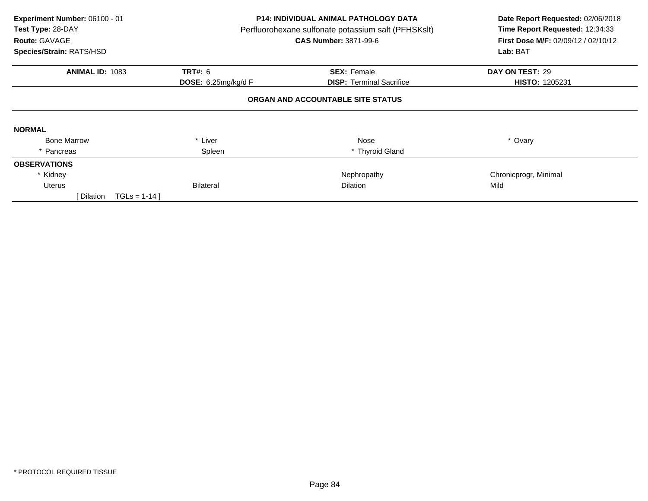| Experiment Number: 06100 - 01<br>Test Type: 28-DAY<br>Route: GAVAGE |                     | <b>P14: INDIVIDUAL ANIMAL PATHOLOGY DATA</b><br>Perfluorohexane sulfonate potassium salt (PFHSKslt)<br><b>CAS Number: 3871-99-6</b> | Date Report Requested: 02/06/2018<br>Time Report Requested: 12:34:33<br>First Dose M/F: 02/09/12 / 02/10/12 |  |
|---------------------------------------------------------------------|---------------------|-------------------------------------------------------------------------------------------------------------------------------------|-------------------------------------------------------------------------------------------------------------|--|
| Species/Strain: RATS/HSD                                            |                     |                                                                                                                                     | Lab: BAT                                                                                                    |  |
| <b>ANIMAL ID: 1083</b>                                              | <b>TRT#: 6</b>      | <b>SEX: Female</b>                                                                                                                  | DAY ON TEST: 29                                                                                             |  |
|                                                                     | DOSE: 6.25mg/kg/d F | <b>DISP:</b> Terminal Sacrifice                                                                                                     | HISTO: 1205231                                                                                              |  |
|                                                                     |                     | ORGAN AND ACCOUNTABLE SITE STATUS                                                                                                   |                                                                                                             |  |
| <b>NORMAL</b>                                                       |                     |                                                                                                                                     |                                                                                                             |  |
| <b>Bone Marrow</b>                                                  | * Liver             | Nose                                                                                                                                | * Ovary                                                                                                     |  |
| * Pancreas                                                          | Spleen              | * Thyroid Gland                                                                                                                     |                                                                                                             |  |
| <b>OBSERVATIONS</b>                                                 |                     |                                                                                                                                     |                                                                                                             |  |
| * Kidney                                                            |                     | Nephropathy                                                                                                                         | Chronicprogr, Minimal                                                                                       |  |
| <b>Uterus</b>                                                       | <b>Bilateral</b>    | <b>Dilation</b>                                                                                                                     | Mild                                                                                                        |  |
| Dilation<br>$TGLS = 1-14$                                           |                     |                                                                                                                                     |                                                                                                             |  |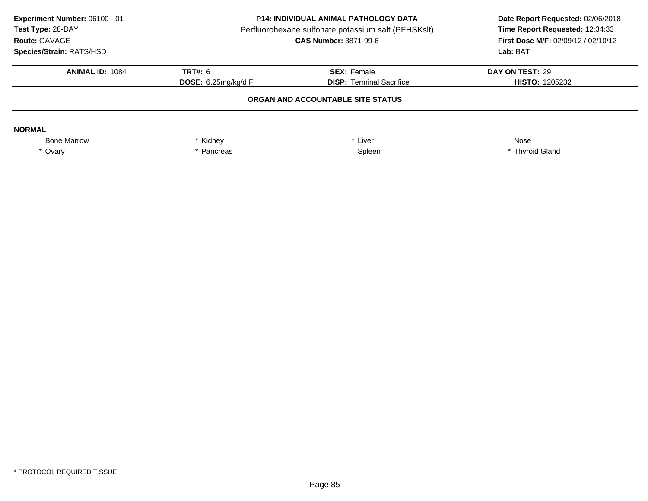| Experiment Number: 06100 - 01<br>Test Type: 28-DAY<br>Route: GAVAGE<br>Species/Strain: RATS/HSD | <b>P14: INDIVIDUAL ANIMAL PATHOLOGY DATA</b><br>Perfluorohexane sulfonate potassium salt (PFHSKslt)<br><b>CAS Number: 3871-99-6</b> |                                 | Date Report Requested: 02/06/2018<br>Time Report Requested: 12:34:33<br><b>First Dose M/F: 02/09/12 / 02/10/12</b><br>Lab: BAT |
|-------------------------------------------------------------------------------------------------|-------------------------------------------------------------------------------------------------------------------------------------|---------------------------------|--------------------------------------------------------------------------------------------------------------------------------|
| <b>ANIMAL ID: 1084</b>                                                                          | <b>TRT#: 6</b>                                                                                                                      | <b>SEX: Female</b>              | DAY ON TEST: 29                                                                                                                |
|                                                                                                 | <b>DOSE:</b> 6.25 $mq/kg/d$ F                                                                                                       | <b>DISP:</b> Terminal Sacrifice | <b>HISTO: 1205232</b>                                                                                                          |
|                                                                                                 |                                                                                                                                     |                                 |                                                                                                                                |
| <b>NORMAL</b>                                                                                   |                                                                                                                                     |                                 |                                                                                                                                |
| <b>Bone Marrow</b>                                                                              | Kidney                                                                                                                              | Liver                           | Nose                                                                                                                           |
| * Ovary                                                                                         | Pancreas                                                                                                                            | Spleen                          | * Thyroid Gland                                                                                                                |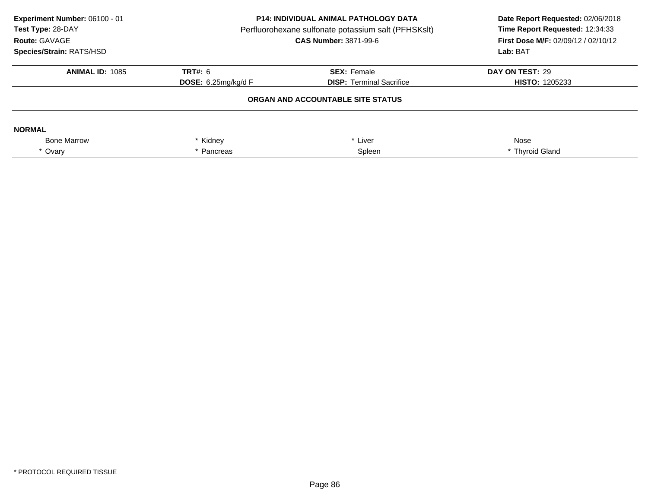| Experiment Number: 06100 - 01<br>Test Type: 28-DAY<br>Route: GAVAGE<br>Species/Strain: RATS/HSD | <b>P14: INDIVIDUAL ANIMAL PATHOLOGY DATA</b><br>Perfluorohexane sulfonate potassium salt (PFHSKslt)<br><b>CAS Number: 3871-99-6</b> |                                 | Date Report Requested: 02/06/2018<br>Time Report Requested: 12:34:33<br><b>First Dose M/F: 02/09/12 / 02/10/12</b><br>Lab: BAT |
|-------------------------------------------------------------------------------------------------|-------------------------------------------------------------------------------------------------------------------------------------|---------------------------------|--------------------------------------------------------------------------------------------------------------------------------|
| <b>ANIMAL ID: 1085</b>                                                                          | <b>TRT#: 6</b>                                                                                                                      | <b>SEX: Female</b>              | DAY ON TEST: 29                                                                                                                |
|                                                                                                 | <b>DOSE:</b> 6.25 $mq/kg/d$ F                                                                                                       | <b>DISP:</b> Terminal Sacrifice | <b>HISTO: 1205233</b>                                                                                                          |
|                                                                                                 |                                                                                                                                     |                                 |                                                                                                                                |
| <b>NORMAL</b>                                                                                   |                                                                                                                                     |                                 |                                                                                                                                |
| <b>Bone Marrow</b>                                                                              | Kidney                                                                                                                              | Liver                           | Nose                                                                                                                           |
| * Ovary                                                                                         | Pancreas                                                                                                                            | Spleen                          | * Thyroid Gland                                                                                                                |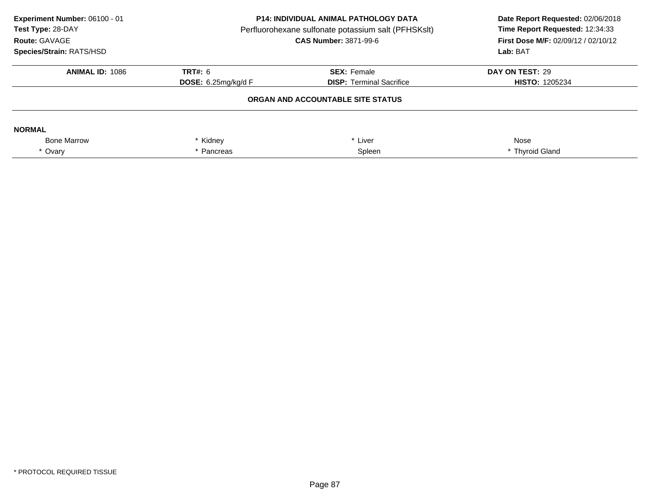| Experiment Number: 06100 - 01<br>Test Type: 28-DAY<br>Route: GAVAGE<br>Species/Strain: RATS/HSD | <b>P14: INDIVIDUAL ANIMAL PATHOLOGY DATA</b><br>Perfluorohexane sulfonate potassium salt (PFHSKslt)<br><b>CAS Number: 3871-99-6</b> |                                 | Date Report Requested: 02/06/2018<br>Time Report Requested: 12:34:33<br><b>First Dose M/F: 02/09/12 / 02/10/12</b><br>Lab: BAT |
|-------------------------------------------------------------------------------------------------|-------------------------------------------------------------------------------------------------------------------------------------|---------------------------------|--------------------------------------------------------------------------------------------------------------------------------|
| <b>ANIMAL ID: 1086</b>                                                                          | <b>TRT#: 6</b>                                                                                                                      | <b>SEX: Female</b>              | DAY ON TEST: 29                                                                                                                |
|                                                                                                 | <b>DOSE:</b> 6.25 $mq/kg/d$ F                                                                                                       | <b>DISP:</b> Terminal Sacrifice | <b>HISTO: 1205234</b>                                                                                                          |
|                                                                                                 |                                                                                                                                     |                                 |                                                                                                                                |
| <b>NORMAL</b>                                                                                   |                                                                                                                                     |                                 |                                                                                                                                |
| <b>Bone Marrow</b>                                                                              | Kidney                                                                                                                              | Liver                           | Nose                                                                                                                           |
| * Ovary                                                                                         | Pancreas                                                                                                                            | Spleen                          | * Thyroid Gland                                                                                                                |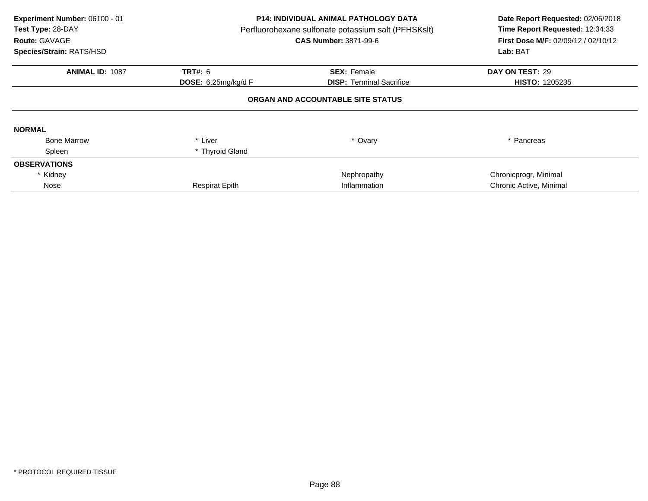| Experiment Number: 06100 - 01<br>Test Type: 28-DAY<br>Route: GAVAGE<br>Species/Strain: RATS/HSD | P14: INDIVIDUAL ANIMAL PATHOLOGY DATA<br>Perfluorohexane sulfonate potassium salt (PFHSKslt)<br><b>CAS Number: 3871-99-6</b> |                                   | Date Report Requested: 02/06/2018<br>Time Report Requested: 12:34:33<br>First Dose M/F: 02/09/12 / 02/10/12<br>Lab: BAT |
|-------------------------------------------------------------------------------------------------|------------------------------------------------------------------------------------------------------------------------------|-----------------------------------|-------------------------------------------------------------------------------------------------------------------------|
| <b>ANIMAL ID: 1087</b>                                                                          | <b>TRT#: 6</b>                                                                                                               | <b>SEX: Female</b>                | DAY ON TEST: 29                                                                                                         |
|                                                                                                 | DOSE: 6.25mg/kg/d F                                                                                                          | <b>DISP:</b> Terminal Sacrifice   | <b>HISTO: 1205235</b>                                                                                                   |
|                                                                                                 |                                                                                                                              | ORGAN AND ACCOUNTABLE SITE STATUS |                                                                                                                         |
| <b>NORMAL</b>                                                                                   |                                                                                                                              |                                   |                                                                                                                         |
| <b>Bone Marrow</b>                                                                              | * Liver                                                                                                                      | * Ovary                           | * Pancreas                                                                                                              |
| Spleen                                                                                          | * Thyroid Gland                                                                                                              |                                   |                                                                                                                         |
| <b>OBSERVATIONS</b>                                                                             |                                                                                                                              |                                   |                                                                                                                         |
| * Kidney                                                                                        |                                                                                                                              | Nephropathy                       | Chronicprogr, Minimal                                                                                                   |
| Nose                                                                                            | <b>Respirat Epith</b>                                                                                                        | Inflammation                      | Chronic Active, Minimal                                                                                                 |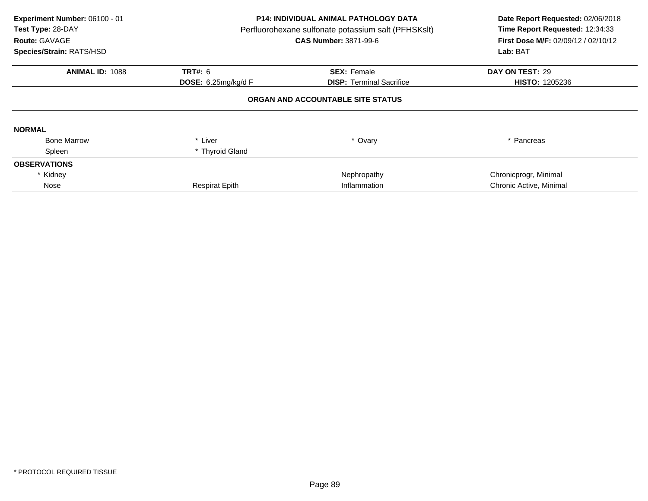| Experiment Number: 06100 - 01<br>Test Type: 28-DAY<br>Route: GAVAGE<br>Species/Strain: RATS/HSD | P14: INDIVIDUAL ANIMAL PATHOLOGY DATA<br>Perfluorohexane sulfonate potassium salt (PFHSKslt)<br><b>CAS Number: 3871-99-6</b> |                                   | Date Report Requested: 02/06/2018<br>Time Report Requested: 12:34:33<br>First Dose M/F: 02/09/12 / 02/10/12<br>Lab: BAT |
|-------------------------------------------------------------------------------------------------|------------------------------------------------------------------------------------------------------------------------------|-----------------------------------|-------------------------------------------------------------------------------------------------------------------------|
| <b>ANIMAL ID: 1088</b>                                                                          | <b>TRT#: 6</b>                                                                                                               | <b>SEX: Female</b>                | DAY ON TEST: 29                                                                                                         |
|                                                                                                 | DOSE: 6.25mg/kg/d F                                                                                                          | <b>DISP:</b> Terminal Sacrifice   | <b>HISTO: 1205236</b>                                                                                                   |
|                                                                                                 |                                                                                                                              | ORGAN AND ACCOUNTABLE SITE STATUS |                                                                                                                         |
| <b>NORMAL</b>                                                                                   |                                                                                                                              |                                   |                                                                                                                         |
| <b>Bone Marrow</b>                                                                              | * Liver                                                                                                                      | * Ovary                           | * Pancreas                                                                                                              |
| Spleen                                                                                          | * Thyroid Gland                                                                                                              |                                   |                                                                                                                         |
| <b>OBSERVATIONS</b>                                                                             |                                                                                                                              |                                   |                                                                                                                         |
| * Kidney                                                                                        |                                                                                                                              | Nephropathy                       | Chronicprogr, Minimal                                                                                                   |
| Nose                                                                                            | <b>Respirat Epith</b>                                                                                                        | Inflammation                      | Chronic Active, Minimal                                                                                                 |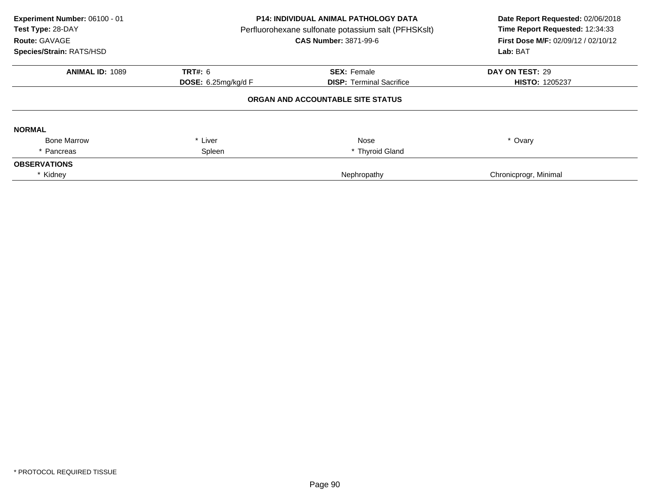| Experiment Number: 06100 - 01<br>Test Type: 28-DAY<br>Route: GAVAGE<br>Species/Strain: RATS/HSD | <b>P14: INDIVIDUAL ANIMAL PATHOLOGY DATA</b><br>Perfluorohexane sulfonate potassium salt (PFHSKslt)<br>CAS Number: 3871-99-6 |                                   | Date Report Requested: 02/06/2018<br>Time Report Requested: 12:34:33<br>First Dose M/F: 02/09/12 / 02/10/12<br>Lab: BAT |
|-------------------------------------------------------------------------------------------------|------------------------------------------------------------------------------------------------------------------------------|-----------------------------------|-------------------------------------------------------------------------------------------------------------------------|
| <b>ANIMAL ID: 1089</b>                                                                          | TRT#: 6                                                                                                                      | <b>SEX: Female</b>                | DAY ON TEST: 29                                                                                                         |
|                                                                                                 | <b>DOSE:</b> 6.25mg/kg/d F                                                                                                   | <b>DISP:</b> Terminal Sacrifice   | <b>HISTO: 1205237</b>                                                                                                   |
|                                                                                                 |                                                                                                                              | ORGAN AND ACCOUNTABLE SITE STATUS |                                                                                                                         |
| <b>NORMAL</b>                                                                                   |                                                                                                                              |                                   |                                                                                                                         |
| <b>Bone Marrow</b>                                                                              | Liver<br>$\star$                                                                                                             | <b>Nose</b>                       | * Ovary                                                                                                                 |
| Pancreas                                                                                        | Spleen                                                                                                                       | * Thyroid Gland                   |                                                                                                                         |
| <b>OBSERVATIONS</b>                                                                             |                                                                                                                              |                                   |                                                                                                                         |
| * Kidney                                                                                        |                                                                                                                              | Nephropathy                       | Chronicprogr, Minimal                                                                                                   |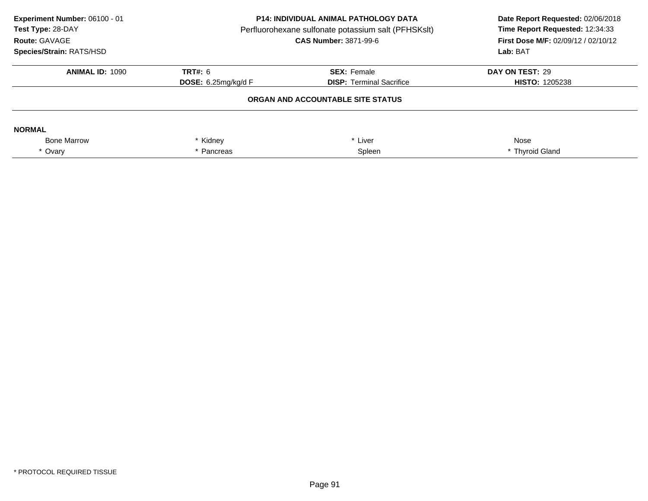| Experiment Number: 06100 - 01<br>Test Type: 28-DAY<br>Route: GAVAGE<br>Species/Strain: RATS/HSD | <b>P14: INDIVIDUAL ANIMAL PATHOLOGY DATA</b><br>Perfluorohexane sulfonate potassium salt (PFHSKslt)<br><b>CAS Number: 3871-99-6</b> |                                 | Date Report Requested: 02/06/2018<br>Time Report Requested: 12:34:33<br>First Dose M/F: 02/09/12 / 02/10/12<br>Lab: BAT |  |
|-------------------------------------------------------------------------------------------------|-------------------------------------------------------------------------------------------------------------------------------------|---------------------------------|-------------------------------------------------------------------------------------------------------------------------|--|
| <b>ANIMAL ID: 1090</b>                                                                          | <b>TRT#: 6</b>                                                                                                                      | <b>SEX: Female</b>              | DAY ON TEST: 29                                                                                                         |  |
|                                                                                                 | DOSE: $6.25mg/kg/dF$                                                                                                                | <b>DISP:</b> Terminal Sacrifice | <b>HISTO: 1205238</b>                                                                                                   |  |
| ORGAN AND ACCOUNTABLE SITE STATUS                                                               |                                                                                                                                     |                                 |                                                                                                                         |  |
| <b>NORMAL</b>                                                                                   |                                                                                                                                     |                                 |                                                                                                                         |  |
| <b>Bone Marrow</b>                                                                              | Kidney                                                                                                                              | Liver                           | Nose                                                                                                                    |  |
| * Ovary                                                                                         | Pancreas                                                                                                                            | Spleen                          | * Thyroid Gland                                                                                                         |  |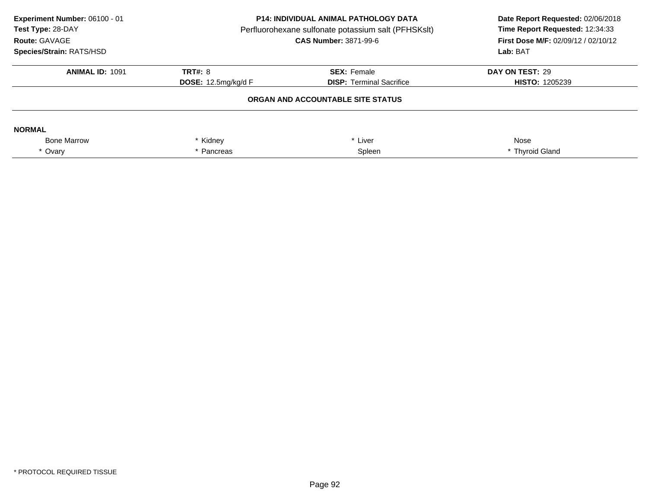| Experiment Number: 06100 - 01<br>Test Type: 28-DAY<br>Route: GAVAGE<br>Species/Strain: RATS/HSD | <b>P14: INDIVIDUAL ANIMAL PATHOLOGY DATA</b><br>Perfluorohexane sulfonate potassium salt (PFHSKslt)<br><b>CAS Number: 3871-99-6</b> |                                 | Date Report Requested: 02/06/2018<br>Time Report Requested: 12:34:33<br><b>First Dose M/F: 02/09/12 / 02/10/12</b><br>Lab: BAT |
|-------------------------------------------------------------------------------------------------|-------------------------------------------------------------------------------------------------------------------------------------|---------------------------------|--------------------------------------------------------------------------------------------------------------------------------|
| <b>ANIMAL ID: 1091</b>                                                                          | <b>TRT#: 8</b>                                                                                                                      | <b>SEX: Female</b>              | DAY ON TEST: 29                                                                                                                |
|                                                                                                 | <b>DOSE:</b> 12.5mg/kg/d $F$                                                                                                        | <b>DISP:</b> Terminal Sacrifice | <b>HISTO: 1205239</b>                                                                                                          |
|                                                                                                 |                                                                                                                                     |                                 |                                                                                                                                |
| <b>NORMAL</b>                                                                                   |                                                                                                                                     |                                 |                                                                                                                                |
| <b>Bone Marrow</b>                                                                              | Kidney                                                                                                                              | Liver                           | Nose                                                                                                                           |
| * Ovary                                                                                         | Pancreas                                                                                                                            | Spleen                          | * Thyroid Gland                                                                                                                |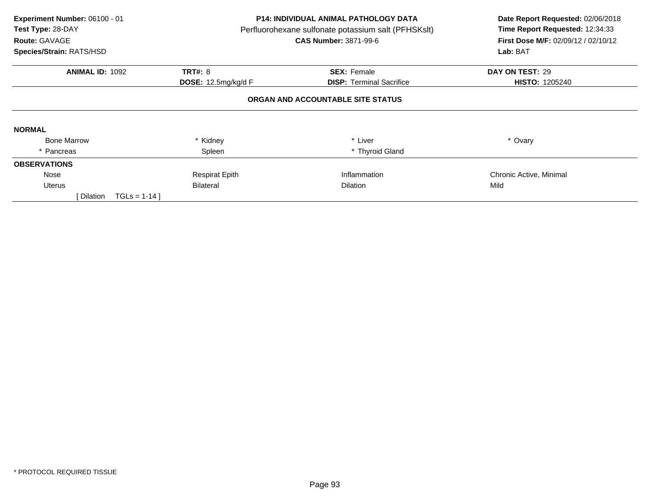| Experiment Number: 06100 - 01<br>Test Type: 28-DAY<br>Route: GAVAGE<br>Species/Strain: RATS/HSD | <b>P14: INDIVIDUAL ANIMAL PATHOLOGY DATA</b><br>Perfluorohexane sulfonate potassium salt (PFHSKslt)<br><b>CAS Number: 3871-99-6</b> |                                                       | Date Report Requested: 02/06/2018<br>Time Report Requested: 12:34:33<br><b>First Dose M/F: 02/09/12 / 02/10/12</b><br>Lab: BAT |
|-------------------------------------------------------------------------------------------------|-------------------------------------------------------------------------------------------------------------------------------------|-------------------------------------------------------|--------------------------------------------------------------------------------------------------------------------------------|
| <b>ANIMAL ID: 1092</b>                                                                          | <b>TRT#: 8</b><br><b>DOSE:</b> 12.5mg/kg/d F                                                                                        | <b>SEX: Female</b><br><b>DISP:</b> Terminal Sacrifice | DAY ON TEST: 29<br><b>HISTO: 1205240</b>                                                                                       |
|                                                                                                 |                                                                                                                                     | ORGAN AND ACCOUNTABLE SITE STATUS                     |                                                                                                                                |
| <b>NORMAL</b>                                                                                   |                                                                                                                                     |                                                       |                                                                                                                                |
| <b>Bone Marrow</b>                                                                              | Kidney                                                                                                                              | * Liver                                               | * Ovary                                                                                                                        |
| * Pancreas                                                                                      | Spleen                                                                                                                              | * Thyroid Gland                                       |                                                                                                                                |
| <b>OBSERVATIONS</b>                                                                             |                                                                                                                                     |                                                       |                                                                                                                                |
| Nose                                                                                            | <b>Respirat Epith</b>                                                                                                               | Inflammation                                          | Chronic Active, Minimal                                                                                                        |
| Uterus                                                                                          | Bilateral                                                                                                                           | <b>Dilation</b>                                       | Mild                                                                                                                           |
| [ Dilation<br>$TGLS = 1-14$                                                                     |                                                                                                                                     |                                                       |                                                                                                                                |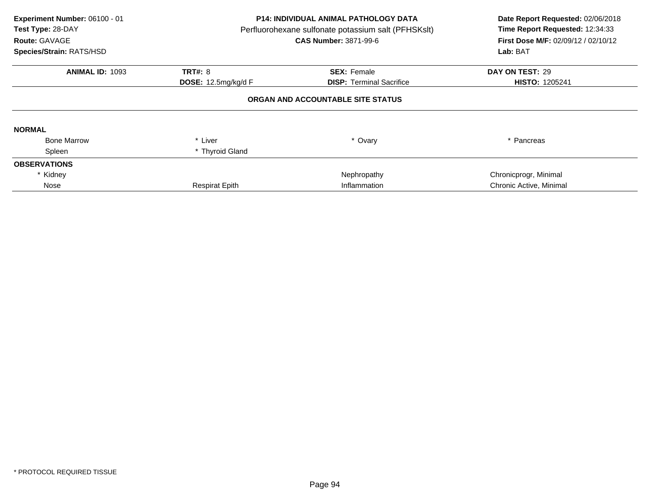| Experiment Number: 06100 - 01<br>Test Type: 28-DAY<br>Route: GAVAGE<br>Species/Strain: RATS/HSD | <b>P14: INDIVIDUAL ANIMAL PATHOLOGY DATA</b><br>Perfluorohexane sulfonate potassium salt (PFHSKslt)<br><b>CAS Number: 3871-99-6</b> |                                   | Date Report Requested: 02/06/2018<br>Time Report Requested: 12:34:33<br>First Dose M/F: 02/09/12 / 02/10/12<br>Lab: BAT |
|-------------------------------------------------------------------------------------------------|-------------------------------------------------------------------------------------------------------------------------------------|-----------------------------------|-------------------------------------------------------------------------------------------------------------------------|
| <b>ANIMAL ID: 1093</b>                                                                          | <b>TRT#: 8</b>                                                                                                                      | <b>SEX: Female</b>                | DAY ON TEST: 29                                                                                                         |
|                                                                                                 | <b>DOSE:</b> 12.5mg/kg/d F                                                                                                          | <b>DISP:</b> Terminal Sacrifice   | <b>HISTO: 1205241</b>                                                                                                   |
|                                                                                                 |                                                                                                                                     | ORGAN AND ACCOUNTABLE SITE STATUS |                                                                                                                         |
| <b>NORMAL</b>                                                                                   |                                                                                                                                     |                                   |                                                                                                                         |
| <b>Bone Marrow</b>                                                                              | * Liver                                                                                                                             | * Ovary                           | * Pancreas                                                                                                              |
| Spleen                                                                                          | * Thyroid Gland                                                                                                                     |                                   |                                                                                                                         |
| <b>OBSERVATIONS</b>                                                                             |                                                                                                                                     |                                   |                                                                                                                         |
| * Kidney                                                                                        |                                                                                                                                     | Nephropathy                       | Chronicprogr, Minimal                                                                                                   |
| Nose                                                                                            | <b>Respirat Epith</b>                                                                                                               | Inflammation                      | Chronic Active, Minimal                                                                                                 |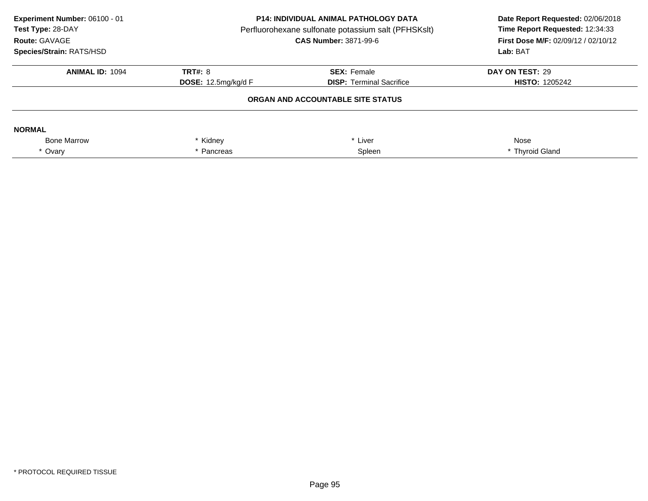| Experiment Number: 06100 - 01<br>Test Type: 28-DAY<br>Route: GAVAGE<br>Species/Strain: RATS/HSD | <b>P14: INDIVIDUAL ANIMAL PATHOLOGY DATA</b><br>Perfluorohexane sulfonate potassium salt (PFHSKslt)<br><b>CAS Number: 3871-99-6</b> |                                 | Date Report Requested: 02/06/2018<br>Time Report Requested: 12:34:33<br>First Dose M/F: 02/09/12 / 02/10/12<br>Lab: BAT |
|-------------------------------------------------------------------------------------------------|-------------------------------------------------------------------------------------------------------------------------------------|---------------------------------|-------------------------------------------------------------------------------------------------------------------------|
| <b>ANIMAL ID: 1094</b>                                                                          | TRT#: 8                                                                                                                             | <b>SEX: Female</b>              | DAY ON TEST: 29                                                                                                         |
|                                                                                                 | <b>DOSE:</b> 12.5mg/kg/d $F$                                                                                                        | <b>DISP:</b> Terminal Sacrifice | <b>HISTO: 1205242</b>                                                                                                   |
|                                                                                                 |                                                                                                                                     |                                 |                                                                                                                         |
| <b>NORMAL</b>                                                                                   |                                                                                                                                     |                                 |                                                                                                                         |
| <b>Bone Marrow</b>                                                                              | * Kidney                                                                                                                            | * Liver                         | Nose                                                                                                                    |
| * Ovary                                                                                         | Pancreas                                                                                                                            | Spleen                          | * Thyroid Gland                                                                                                         |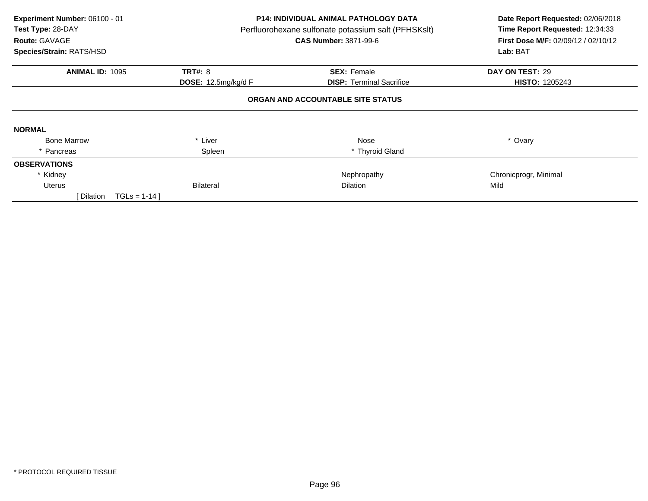| Experiment Number: 06100 - 01<br>Test Type: 28-DAY<br>Route: GAVAGE<br>Species/Strain: RATS/HSD |                                                | <b>P14: INDIVIDUAL ANIMAL PATHOLOGY DATA</b><br>Perfluorohexane sulfonate potassium salt (PFHSKslt)<br><b>CAS Number: 3871-99-6</b> | Date Report Requested: 02/06/2018<br>Time Report Requested: 12:34:33<br>First Dose M/F: 02/09/12 / 02/10/12<br>Lab: BAT |
|-------------------------------------------------------------------------------------------------|------------------------------------------------|-------------------------------------------------------------------------------------------------------------------------------------|-------------------------------------------------------------------------------------------------------------------------|
| <b>ANIMAL ID: 1095</b>                                                                          | <b>TRT#: 8</b><br><b>DOSE:</b> 12.5mg/kg/d $F$ | <b>SEX: Female</b><br><b>DISP:</b> Terminal Sacrifice                                                                               | DAY ON TEST: 29<br><b>HISTO: 1205243</b>                                                                                |
|                                                                                                 |                                                | ORGAN AND ACCOUNTABLE SITE STATUS                                                                                                   |                                                                                                                         |
| <b>NORMAL</b>                                                                                   |                                                |                                                                                                                                     |                                                                                                                         |
| <b>Bone Marrow</b>                                                                              | * Liver                                        | <b>Nose</b>                                                                                                                         | * Ovary                                                                                                                 |
| * Pancreas                                                                                      | Spleen                                         | * Thyroid Gland                                                                                                                     |                                                                                                                         |
| <b>OBSERVATIONS</b>                                                                             |                                                |                                                                                                                                     |                                                                                                                         |
| * Kidney                                                                                        |                                                | Nephropathy                                                                                                                         | Chronicprogr, Minimal                                                                                                   |
| <b>Uterus</b>                                                                                   | <b>Bilateral</b>                               | <b>Dilation</b>                                                                                                                     | Mild                                                                                                                    |
| Dilation<br>$TGLS = 1-14$                                                                       |                                                |                                                                                                                                     |                                                                                                                         |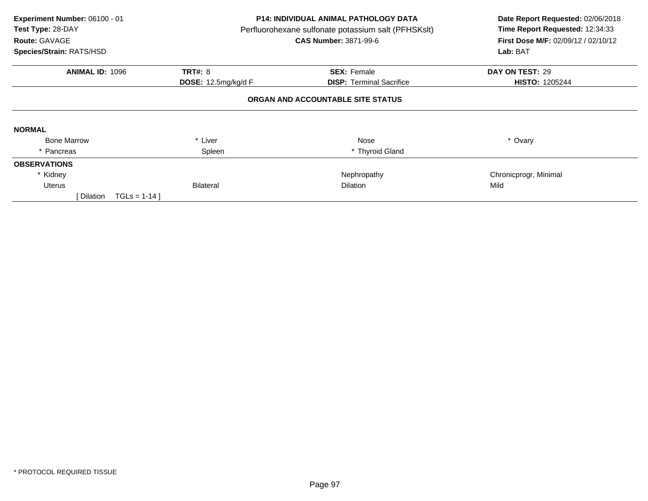| Experiment Number: 06100 - 01<br>Test Type: 28-DAY<br>Route: GAVAGE<br>Species/Strain: RATS/HSD |                                                | <b>P14: INDIVIDUAL ANIMAL PATHOLOGY DATA</b><br>Perfluorohexane sulfonate potassium salt (PFHSKslt)<br><b>CAS Number: 3871-99-6</b> | Date Report Requested: 02/06/2018<br>Time Report Requested: 12:34:33<br>First Dose M/F: 02/09/12 / 02/10/12<br>Lab: BAT |
|-------------------------------------------------------------------------------------------------|------------------------------------------------|-------------------------------------------------------------------------------------------------------------------------------------|-------------------------------------------------------------------------------------------------------------------------|
| <b>ANIMAL ID: 1096</b>                                                                          | <b>TRT#: 8</b><br><b>DOSE:</b> 12.5mg/kg/d $F$ | <b>SEX: Female</b><br><b>DISP:</b> Terminal Sacrifice                                                                               | DAY ON TEST: 29<br><b>HISTO: 1205244</b>                                                                                |
|                                                                                                 |                                                | ORGAN AND ACCOUNTABLE SITE STATUS                                                                                                   |                                                                                                                         |
| <b>NORMAL</b>                                                                                   |                                                |                                                                                                                                     |                                                                                                                         |
| <b>Bone Marrow</b>                                                                              | * Liver                                        | <b>Nose</b>                                                                                                                         | * Ovary                                                                                                                 |
| * Pancreas                                                                                      | Spleen                                         | * Thyroid Gland                                                                                                                     |                                                                                                                         |
| <b>OBSERVATIONS</b>                                                                             |                                                |                                                                                                                                     |                                                                                                                         |
| * Kidney                                                                                        |                                                | Nephropathy                                                                                                                         | Chronicprogr, Minimal                                                                                                   |
| <b>Uterus</b>                                                                                   | <b>Bilateral</b>                               | <b>Dilation</b>                                                                                                                     | Mild                                                                                                                    |
| Dilation<br>$TGLS = 1-14$                                                                       |                                                |                                                                                                                                     |                                                                                                                         |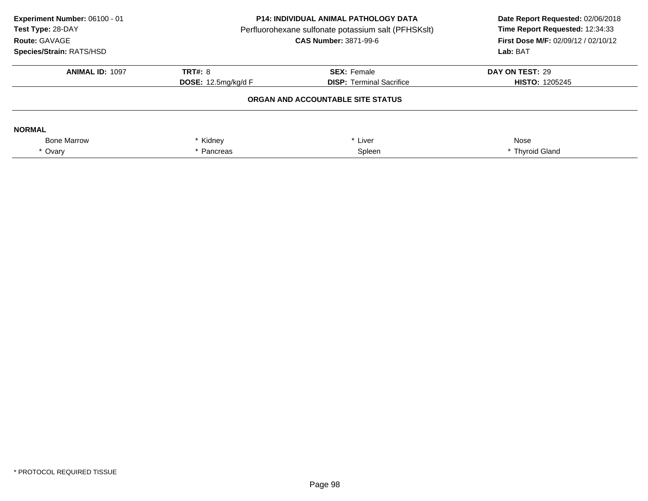| Experiment Number: 06100 - 01<br>Test Type: 28-DAY<br>Route: GAVAGE<br>Species/Strain: RATS/HSD | <b>P14: INDIVIDUAL ANIMAL PATHOLOGY DATA</b><br>Perfluorohexane sulfonate potassium salt (PFHSKslt)<br><b>CAS Number: 3871-99-6</b> |                                   | Date Report Requested: 02/06/2018<br>Time Report Requested: 12:34:33<br><b>First Dose M/F: 02/09/12 / 02/10/12</b><br>Lab: BAT |
|-------------------------------------------------------------------------------------------------|-------------------------------------------------------------------------------------------------------------------------------------|-----------------------------------|--------------------------------------------------------------------------------------------------------------------------------|
| <b>ANIMAL ID: 1097</b>                                                                          | <b>TRT#: 8</b>                                                                                                                      | <b>SEX: Female</b>                | DAY ON TEST: 29                                                                                                                |
|                                                                                                 | <b>DOSE:</b> 12.5mg/kg/d $F$                                                                                                        | <b>DISP:</b> Terminal Sacrifice   | <b>HISTO: 1205245</b>                                                                                                          |
|                                                                                                 |                                                                                                                                     | ORGAN AND ACCOUNTABLE SITE STATUS |                                                                                                                                |
| <b>NORMAL</b>                                                                                   |                                                                                                                                     |                                   |                                                                                                                                |
| <b>Bone Marrow</b>                                                                              | Kidney                                                                                                                              | Liver                             | Nose                                                                                                                           |
| * Ovary                                                                                         | Pancreas                                                                                                                            | Spleen                            | * Thyroid Gland                                                                                                                |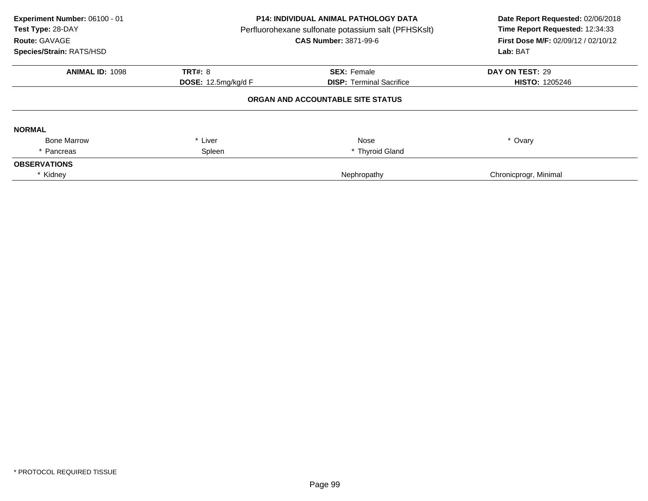| Experiment Number: 06100 - 01<br>Test Type: 28-DAY<br>Route: GAVAGE<br>Species/Strain: RATS/HSD | P14: INDIVIDUAL ANIMAL PATHOLOGY DATA<br>Perfluorohexane sulfonate potassium salt (PFHSKslt)<br><b>CAS Number: 3871-99-6</b> |                                   | Date Report Requested: 02/06/2018<br>Time Report Requested: 12:34:33<br>First Dose M/F: 02/09/12 / 02/10/12<br>Lab: BAT |
|-------------------------------------------------------------------------------------------------|------------------------------------------------------------------------------------------------------------------------------|-----------------------------------|-------------------------------------------------------------------------------------------------------------------------|
| <b>ANIMAL ID: 1098</b>                                                                          | <b>TRT#: 8</b>                                                                                                               | <b>SEX: Female</b>                | DAY ON TEST: 29                                                                                                         |
|                                                                                                 | <b>DOSE: 12.5mg/kg/d F</b>                                                                                                   | <b>DISP: Terminal Sacrifice</b>   | <b>HISTO: 1205246</b>                                                                                                   |
|                                                                                                 |                                                                                                                              | ORGAN AND ACCOUNTABLE SITE STATUS |                                                                                                                         |
| <b>NORMAL</b>                                                                                   |                                                                                                                              |                                   |                                                                                                                         |
| <b>Bone Marrow</b>                                                                              | * Liver                                                                                                                      | Nose                              | * Ovary                                                                                                                 |
| * Pancreas                                                                                      | Spleen                                                                                                                       | * Thyroid Gland                   |                                                                                                                         |
| <b>OBSERVATIONS</b>                                                                             |                                                                                                                              |                                   |                                                                                                                         |
| * Kidney                                                                                        |                                                                                                                              | Nephropathy                       | Chronicprogr, Minimal                                                                                                   |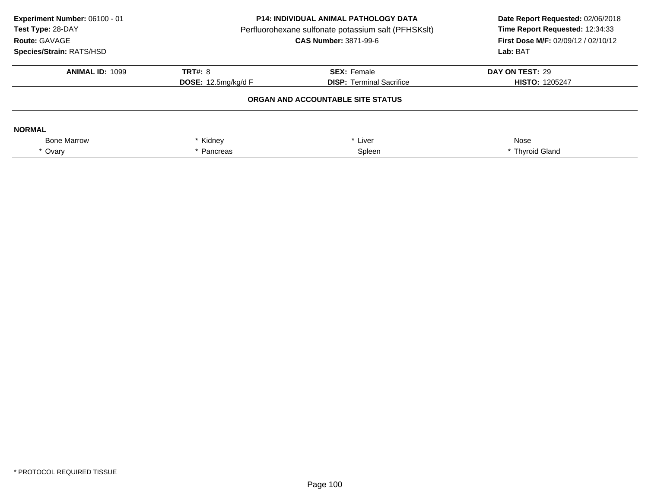| Experiment Number: 06100 - 01<br>Test Type: 28-DAY<br>Route: GAVAGE<br>Species/Strain: RATS/HSD | <b>P14: INDIVIDUAL ANIMAL PATHOLOGY DATA</b><br>Perfluorohexane sulfonate potassium salt (PFHSKslt)<br><b>CAS Number: 3871-99-6</b> |                                   | Date Report Requested: 02/06/2018<br>Time Report Requested: 12:34:33<br>First Dose M/F: 02/09/12 / 02/10/12<br>Lab: BAT |
|-------------------------------------------------------------------------------------------------|-------------------------------------------------------------------------------------------------------------------------------------|-----------------------------------|-------------------------------------------------------------------------------------------------------------------------|
| <b>ANIMAL ID: 1099</b>                                                                          | <b>TRT#: 8</b>                                                                                                                      | <b>SEX: Female</b>                | DAY ON TEST: 29                                                                                                         |
|                                                                                                 | <b>DOSE:</b> 12.5mg/kg/d F                                                                                                          | <b>DISP:</b> Terminal Sacrifice   | <b>HISTO: 1205247</b>                                                                                                   |
|                                                                                                 |                                                                                                                                     | ORGAN AND ACCOUNTABLE SITE STATUS |                                                                                                                         |
| <b>NORMAL</b>                                                                                   |                                                                                                                                     |                                   |                                                                                                                         |
| <b>Bone Marrow</b>                                                                              | Kidney                                                                                                                              | Liver                             | Nose                                                                                                                    |
| * Ovary                                                                                         | Pancreas                                                                                                                            | Spleen                            | * Thyroid Gland                                                                                                         |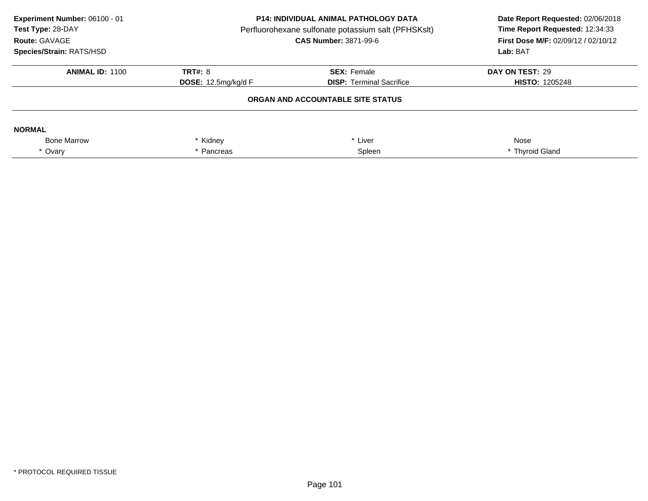| Experiment Number: 06100 - 01<br>Test Type: 28-DAY<br>Route: GAVAGE<br>Species/Strain: RATS/HSD | <b>P14: INDIVIDUAL ANIMAL PATHOLOGY DATA</b><br>Perfluorohexane sulfonate potassium salt (PFHSKslt)<br><b>CAS Number: 3871-99-6</b> |                                   | Date Report Requested: 02/06/2018<br>Time Report Requested: 12:34:33<br><b>First Dose M/F: 02/09/12 / 02/10/12</b><br>Lab: BAT |
|-------------------------------------------------------------------------------------------------|-------------------------------------------------------------------------------------------------------------------------------------|-----------------------------------|--------------------------------------------------------------------------------------------------------------------------------|
| <b>ANIMAL ID: 1100</b>                                                                          | <b>TRT#: 8</b>                                                                                                                      | <b>SEX: Female</b>                | DAY ON TEST: 29                                                                                                                |
|                                                                                                 | <b>DOSE:</b> 12.5mg/kg/d $F$                                                                                                        | <b>DISP:</b> Terminal Sacrifice   | <b>HISTO: 1205248</b>                                                                                                          |
|                                                                                                 |                                                                                                                                     | ORGAN AND ACCOUNTABLE SITE STATUS |                                                                                                                                |
| <b>NORMAL</b>                                                                                   |                                                                                                                                     |                                   |                                                                                                                                |
| <b>Bone Marrow</b>                                                                              | Kidney                                                                                                                              | Liver                             | Nose                                                                                                                           |
| * Ovary                                                                                         | Pancreas                                                                                                                            | Spleen                            | * Thyroid Gland                                                                                                                |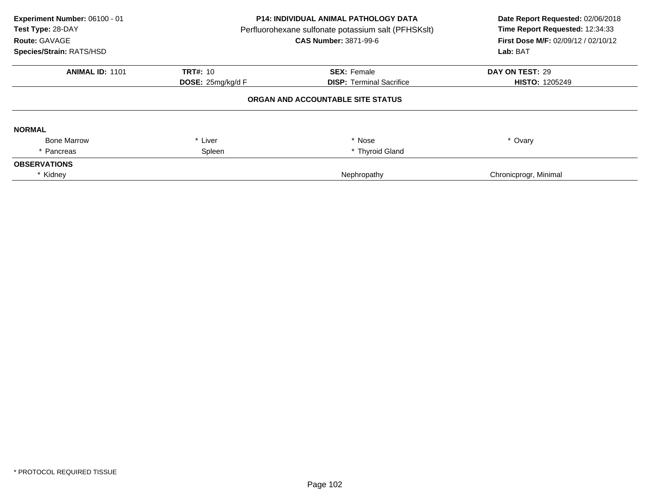| Experiment Number: 06100 - 01<br>Test Type: 28-DAY<br>Route: GAVAGE<br>Species/Strain: RATS/HSD | <b>P14: INDIVIDUAL ANIMAL PATHOLOGY DATA</b><br>Perfluorohexane sulfonate potassium salt (PFHSKslt)<br><b>CAS Number: 3871-99-6</b> |                                   | Date Report Requested: 02/06/2018<br>Time Report Requested: 12:34:33<br>First Dose M/F: 02/09/12 / 02/10/12<br>Lab: BAT |
|-------------------------------------------------------------------------------------------------|-------------------------------------------------------------------------------------------------------------------------------------|-----------------------------------|-------------------------------------------------------------------------------------------------------------------------|
| <b>ANIMAL ID: 1101</b>                                                                          | <b>TRT#: 10</b>                                                                                                                     | <b>SEX: Female</b>                | DAY ON TEST: 29                                                                                                         |
|                                                                                                 | <b>DOSE:</b> $25$ mg/kg/d $F$                                                                                                       | <b>DISP: Terminal Sacrifice</b>   | <b>HISTO: 1205249</b>                                                                                                   |
|                                                                                                 |                                                                                                                                     | ORGAN AND ACCOUNTABLE SITE STATUS |                                                                                                                         |
| <b>NORMAL</b>                                                                                   |                                                                                                                                     |                                   |                                                                                                                         |
| <b>Bone Marrow</b>                                                                              | * Liver                                                                                                                             | * Nose                            | * Ovary                                                                                                                 |
| * Pancreas                                                                                      | Spleen                                                                                                                              | * Thyroid Gland                   |                                                                                                                         |
| <b>OBSERVATIONS</b>                                                                             |                                                                                                                                     |                                   |                                                                                                                         |
| * Kidney                                                                                        |                                                                                                                                     | Nephropathy                       | Chronicprogr, Minimal                                                                                                   |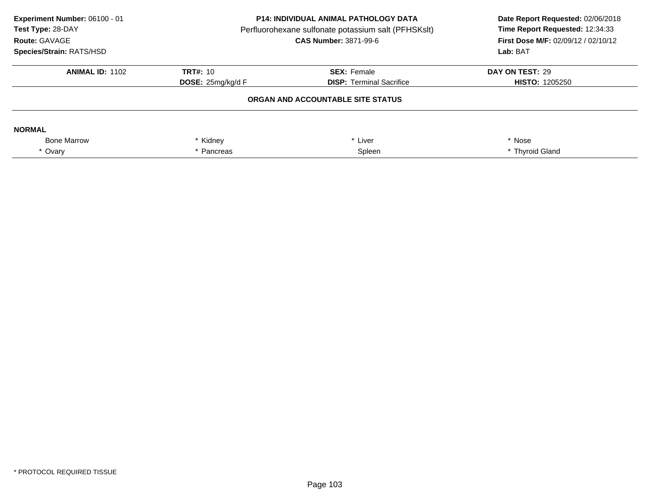| Experiment Number: 06100 - 01<br>Test Type: 28-DAY<br>Route: GAVAGE<br>Species/Strain: RATS/HSD | <b>P14: INDIVIDUAL ANIMAL PATHOLOGY DATA</b><br>Perfluorohexane sulfonate potassium salt (PFHSKslt)<br><b>CAS Number: 3871-99-6</b> |                                   | Date Report Requested: 02/06/2018<br>Time Report Requested: 12:34:33<br><b>First Dose M/F: 02/09/12 / 02/10/12</b><br>Lab: BAT |
|-------------------------------------------------------------------------------------------------|-------------------------------------------------------------------------------------------------------------------------------------|-----------------------------------|--------------------------------------------------------------------------------------------------------------------------------|
| <b>ANIMAL ID: 1102</b>                                                                          | TRT#: 10                                                                                                                            | <b>SEX: Female</b>                | DAY ON TEST: 29                                                                                                                |
|                                                                                                 | <b>DOSE:</b> $25mg/kg/dF$                                                                                                           | <b>DISP:</b> Terminal Sacrifice   | <b>HISTO: 1205250</b>                                                                                                          |
|                                                                                                 |                                                                                                                                     | ORGAN AND ACCOUNTABLE SITE STATUS |                                                                                                                                |
| <b>NORMAL</b>                                                                                   |                                                                                                                                     |                                   |                                                                                                                                |
| <b>Bone Marrow</b>                                                                              | Kidney                                                                                                                              | Liver                             | * Nose                                                                                                                         |
| * Ovary                                                                                         | Pancreas                                                                                                                            | Spleen                            | * Thyroid Gland                                                                                                                |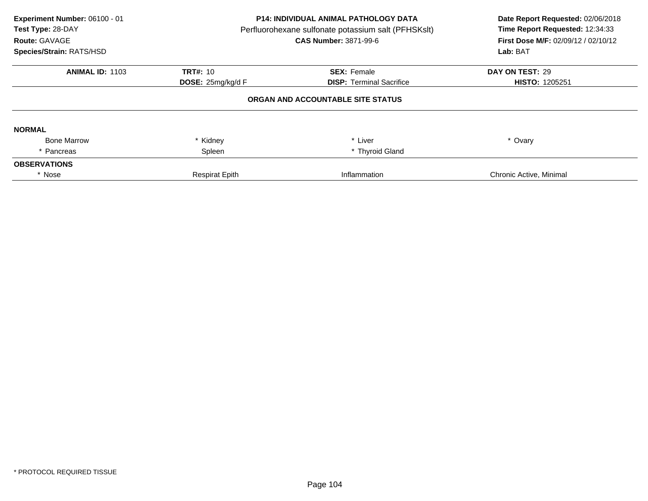| Experiment Number: 06100 - 01<br>Test Type: 28-DAY<br>Route: GAVAGE<br>Species/Strain: RATS/HSD | <b>P14: INDIVIDUAL ANIMAL PATHOLOGY DATA</b><br>Perfluorohexane sulfonate potassium salt (PFHSKslt)<br><b>CAS Number: 3871-99-6</b> |                                   | Date Report Requested: 02/06/2018<br>Time Report Requested: 12:34:33<br>First Dose M/F: 02/09/12 / 02/10/12<br>Lab: BAT |
|-------------------------------------------------------------------------------------------------|-------------------------------------------------------------------------------------------------------------------------------------|-----------------------------------|-------------------------------------------------------------------------------------------------------------------------|
| <b>ANIMAL ID: 1103</b>                                                                          | TRT#: 10                                                                                                                            | <b>SEX: Female</b>                | DAY ON TEST: 29                                                                                                         |
|                                                                                                 | <b>DOSE:</b> 25mg/kg/d F                                                                                                            | <b>DISP:</b> Terminal Sacrifice   | <b>HISTO: 1205251</b>                                                                                                   |
|                                                                                                 |                                                                                                                                     | ORGAN AND ACCOUNTABLE SITE STATUS |                                                                                                                         |
| <b>NORMAL</b>                                                                                   |                                                                                                                                     |                                   |                                                                                                                         |
| <b>Bone Marrow</b>                                                                              | Kidney                                                                                                                              | * Liver                           | * Ovary                                                                                                                 |
| Pancreas                                                                                        | Spleen                                                                                                                              | * Thyroid Gland                   |                                                                                                                         |
| <b>OBSERVATIONS</b>                                                                             |                                                                                                                                     |                                   |                                                                                                                         |
| * Nose                                                                                          | <b>Respirat Epith</b>                                                                                                               | Inflammation                      | Chronic Active, Minimal                                                                                                 |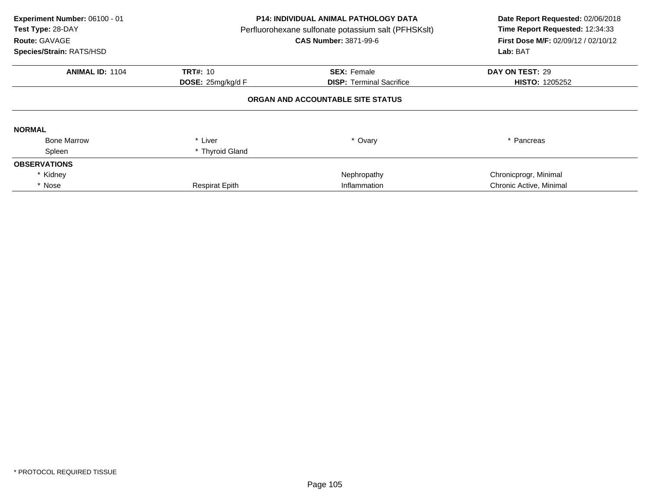| Experiment Number: 06100 - 01<br>Test Type: 28-DAY<br>Route: GAVAGE<br>Species/Strain: RATS/HSD | <b>P14: INDIVIDUAL ANIMAL PATHOLOGY DATA</b><br>Perfluorohexane sulfonate potassium salt (PFHSKslt)<br><b>CAS Number: 3871-99-6</b> |                                   | Date Report Requested: 02/06/2018<br>Time Report Requested: 12:34:33<br><b>First Dose M/F: 02/09/12 / 02/10/12</b><br>Lab: BAT |
|-------------------------------------------------------------------------------------------------|-------------------------------------------------------------------------------------------------------------------------------------|-----------------------------------|--------------------------------------------------------------------------------------------------------------------------------|
| <b>ANIMAL ID: 1104</b>                                                                          | <b>TRT#: 10</b>                                                                                                                     | <b>SEX: Female</b>                | DAY ON TEST: 29                                                                                                                |
|                                                                                                 | DOSE: 25mg/kg/d F                                                                                                                   | <b>DISP:</b> Terminal Sacrifice   | <b>HISTO: 1205252</b>                                                                                                          |
|                                                                                                 |                                                                                                                                     | ORGAN AND ACCOUNTABLE SITE STATUS |                                                                                                                                |
| <b>NORMAL</b>                                                                                   |                                                                                                                                     |                                   |                                                                                                                                |
| <b>Bone Marrow</b>                                                                              | * Liver                                                                                                                             | * Ovary                           | * Pancreas                                                                                                                     |
| Spleen                                                                                          | * Thyroid Gland                                                                                                                     |                                   |                                                                                                                                |
| <b>OBSERVATIONS</b>                                                                             |                                                                                                                                     |                                   |                                                                                                                                |
| * Kidney                                                                                        |                                                                                                                                     | Nephropathy                       | Chronicprogr, Minimal                                                                                                          |
| * Nose                                                                                          | <b>Respirat Epith</b>                                                                                                               | Inflammation                      | Chronic Active, Minimal                                                                                                        |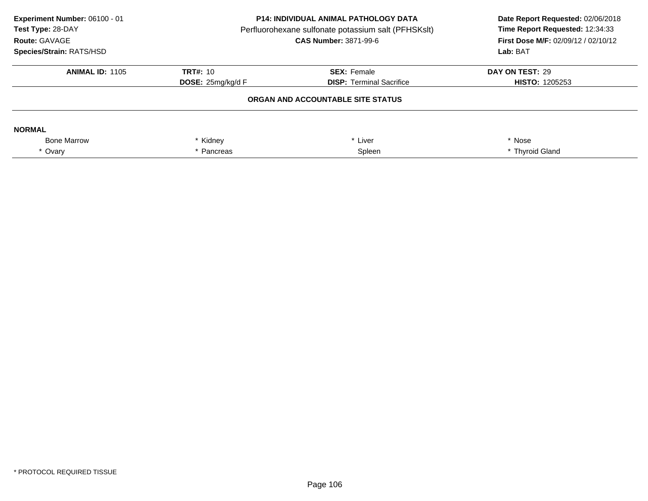| Experiment Number: 06100 - 01<br>Test Type: 28-DAY<br>Route: GAVAGE<br>Species/Strain: RATS/HSD | <b>P14: INDIVIDUAL ANIMAL PATHOLOGY DATA</b><br>Perfluorohexane sulfonate potassium salt (PFHSKslt)<br><b>CAS Number: 3871-99-6</b> |                                   | Date Report Requested: 02/06/2018<br>Time Report Requested: 12:34:33<br><b>First Dose M/F: 02/09/12 / 02/10/12</b><br>Lab: BAT |
|-------------------------------------------------------------------------------------------------|-------------------------------------------------------------------------------------------------------------------------------------|-----------------------------------|--------------------------------------------------------------------------------------------------------------------------------|
| <b>ANIMAL ID: 1105</b>                                                                          | TRT#: 10                                                                                                                            | <b>SEX: Female</b>                | DAY ON TEST: 29                                                                                                                |
|                                                                                                 | <b>DOSE:</b> $25mg/kg/dF$                                                                                                           | <b>DISP:</b> Terminal Sacrifice   | <b>HISTO: 1205253</b>                                                                                                          |
|                                                                                                 |                                                                                                                                     | ORGAN AND ACCOUNTABLE SITE STATUS |                                                                                                                                |
| <b>NORMAL</b>                                                                                   |                                                                                                                                     |                                   |                                                                                                                                |
| <b>Bone Marrow</b>                                                                              | Kidney                                                                                                                              | Liver                             | * Nose                                                                                                                         |
| * Ovary                                                                                         | Pancreas                                                                                                                            | Spleen                            | * Thyroid Gland                                                                                                                |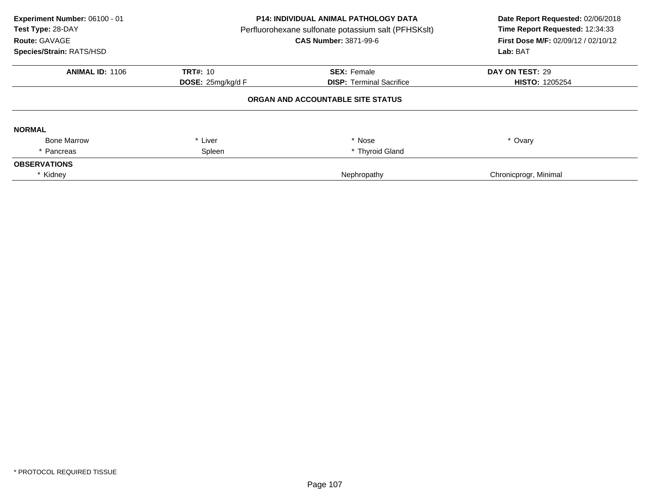| Experiment Number: 06100 - 01<br>Test Type: 28-DAY<br>Route: GAVAGE<br>Species/Strain: RATS/HSD | P14: INDIVIDUAL ANIMAL PATHOLOGY DATA<br>Perfluorohexane sulfonate potassium salt (PFHSKslt)<br><b>CAS Number: 3871-99-6</b> |                                   | Date Report Requested: 02/06/2018<br>Time Report Requested: 12:34:33<br>First Dose M/F: 02/09/12 / 02/10/12<br>Lab: BAT |
|-------------------------------------------------------------------------------------------------|------------------------------------------------------------------------------------------------------------------------------|-----------------------------------|-------------------------------------------------------------------------------------------------------------------------|
| <b>ANIMAL ID: 1106</b>                                                                          | <b>TRT#: 10</b>                                                                                                              | <b>SEX: Female</b>                | DAY ON TEST: 29                                                                                                         |
|                                                                                                 | DOSE: 25mg/kg/d F                                                                                                            | <b>DISP:</b> Terminal Sacrifice   | <b>HISTO: 1205254</b>                                                                                                   |
|                                                                                                 |                                                                                                                              | ORGAN AND ACCOUNTABLE SITE STATUS |                                                                                                                         |
| <b>NORMAL</b>                                                                                   |                                                                                                                              |                                   |                                                                                                                         |
| <b>Bone Marrow</b>                                                                              | * Liver                                                                                                                      | * Nose                            | * Ovary                                                                                                                 |
| * Pancreas                                                                                      | Spleen                                                                                                                       | * Thyroid Gland                   |                                                                                                                         |
| <b>OBSERVATIONS</b>                                                                             |                                                                                                                              |                                   |                                                                                                                         |
| * Kidney                                                                                        |                                                                                                                              | Nephropathy                       | Chronicprogr, Minimal                                                                                                   |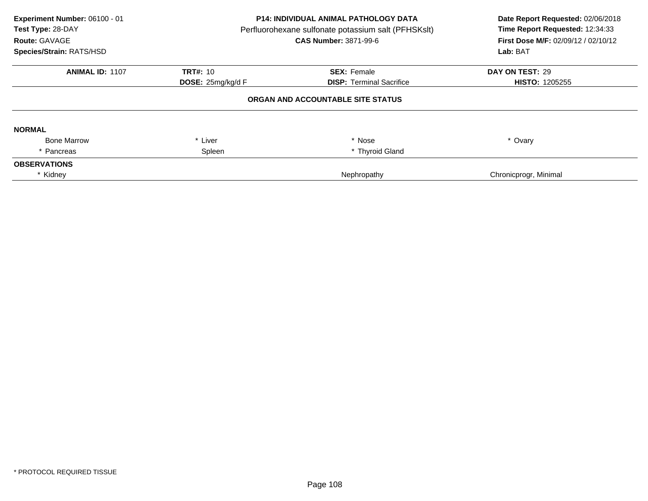| Experiment Number: 06100 - 01<br>Test Type: 28-DAY<br>Route: GAVAGE<br>Species/Strain: RATS/HSD | <b>P14: INDIVIDUAL ANIMAL PATHOLOGY DATA</b><br>Perfluorohexane sulfonate potassium salt (PFHSKslt)<br><b>CAS Number: 3871-99-6</b> |                                   | Date Report Requested: 02/06/2018<br>Time Report Requested: 12:34:33<br>First Dose M/F: 02/09/12 / 02/10/12<br>Lab: BAT |
|-------------------------------------------------------------------------------------------------|-------------------------------------------------------------------------------------------------------------------------------------|-----------------------------------|-------------------------------------------------------------------------------------------------------------------------|
| <b>ANIMAL ID: 1107</b>                                                                          | <b>TRT#: 10</b>                                                                                                                     | <b>SEX: Female</b>                | DAY ON TEST: 29                                                                                                         |
|                                                                                                 | <b>DOSE:</b> $25$ mg/kg/d $F$                                                                                                       | <b>DISP: Terminal Sacrifice</b>   | <b>HISTO: 1205255</b>                                                                                                   |
|                                                                                                 |                                                                                                                                     | ORGAN AND ACCOUNTABLE SITE STATUS |                                                                                                                         |
| <b>NORMAL</b>                                                                                   |                                                                                                                                     |                                   |                                                                                                                         |
| <b>Bone Marrow</b>                                                                              | * Liver                                                                                                                             | * Nose                            | * Ovary                                                                                                                 |
| * Pancreas                                                                                      | Spleen                                                                                                                              | * Thyroid Gland                   |                                                                                                                         |
| <b>OBSERVATIONS</b>                                                                             |                                                                                                                                     |                                   |                                                                                                                         |
| * Kidney                                                                                        |                                                                                                                                     | Nephropathy                       | Chronicprogr, Minimal                                                                                                   |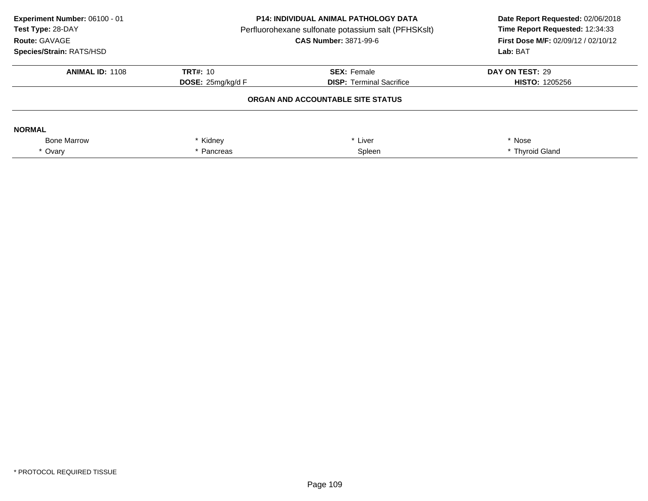| Experiment Number: 06100 - 01<br>Test Type: 28-DAY<br>Route: GAVAGE<br>Species/Strain: RATS/HSD | <b>P14: INDIVIDUAL ANIMAL PATHOLOGY DATA</b><br>Perfluorohexane sulfonate potassium salt (PFHSKslt)<br><b>CAS Number: 3871-99-6</b> |                                   | Date Report Requested: 02/06/2018<br>Time Report Requested: 12:34:33<br><b>First Dose M/F: 02/09/12 / 02/10/12</b><br>Lab: BAT |
|-------------------------------------------------------------------------------------------------|-------------------------------------------------------------------------------------------------------------------------------------|-----------------------------------|--------------------------------------------------------------------------------------------------------------------------------|
| <b>ANIMAL ID: 1108</b>                                                                          | TRT#: 10                                                                                                                            | <b>SEX: Female</b>                | DAY ON TEST: 29                                                                                                                |
|                                                                                                 | <b>DOSE:</b> $25mg/kg/dF$                                                                                                           | <b>DISP:</b> Terminal Sacrifice   | <b>HISTO: 1205256</b>                                                                                                          |
|                                                                                                 |                                                                                                                                     | ORGAN AND ACCOUNTABLE SITE STATUS |                                                                                                                                |
| <b>NORMAL</b>                                                                                   |                                                                                                                                     |                                   |                                                                                                                                |
| <b>Bone Marrow</b>                                                                              | Kidney                                                                                                                              | Liver                             | * Nose                                                                                                                         |
| * Ovary                                                                                         | Spleen<br>Pancreas                                                                                                                  |                                   | * Thyroid Gland                                                                                                                |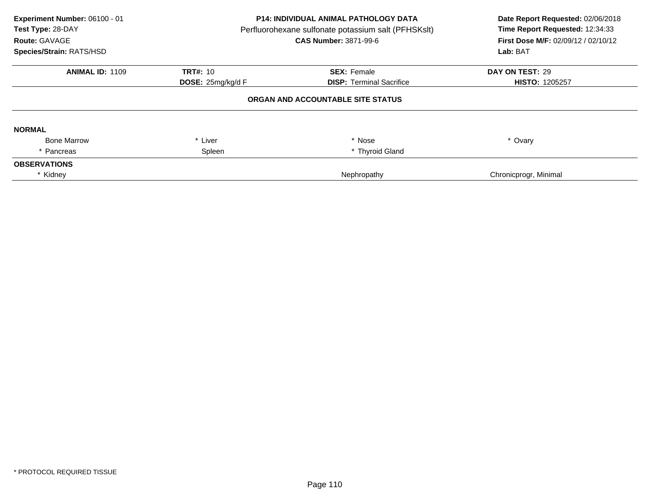| Experiment Number: 06100 - 01<br>Test Type: 28-DAY<br>Route: GAVAGE<br>Species/Strain: RATS/HSD | P14: INDIVIDUAL ANIMAL PATHOLOGY DATA<br>Perfluorohexane sulfonate potassium salt (PFHSKslt)<br><b>CAS Number: 3871-99-6</b> |                                   | Date Report Requested: 02/06/2018<br>Time Report Requested: 12:34:33<br>First Dose M/F: 02/09/12 / 02/10/12<br>Lab: BAT |  |
|-------------------------------------------------------------------------------------------------|------------------------------------------------------------------------------------------------------------------------------|-----------------------------------|-------------------------------------------------------------------------------------------------------------------------|--|
| <b>ANIMAL ID: 1109</b>                                                                          | <b>TRT#: 10</b>                                                                                                              | <b>SEX: Female</b>                | DAY ON TEST: 29                                                                                                         |  |
|                                                                                                 | DOSE: 25mg/kg/d F                                                                                                            | <b>DISP:</b> Terminal Sacrifice   | <b>HISTO: 1205257</b>                                                                                                   |  |
|                                                                                                 |                                                                                                                              | ORGAN AND ACCOUNTABLE SITE STATUS |                                                                                                                         |  |
| <b>NORMAL</b>                                                                                   |                                                                                                                              |                                   |                                                                                                                         |  |
| <b>Bone Marrow</b>                                                                              | * Liver                                                                                                                      | * Nose                            | * Ovary                                                                                                                 |  |
| * Pancreas                                                                                      | Spleen                                                                                                                       | * Thyroid Gland                   |                                                                                                                         |  |
| <b>OBSERVATIONS</b>                                                                             |                                                                                                                              |                                   |                                                                                                                         |  |
| * Kidney                                                                                        |                                                                                                                              | Nephropathy                       | Chronicprogr, Minimal                                                                                                   |  |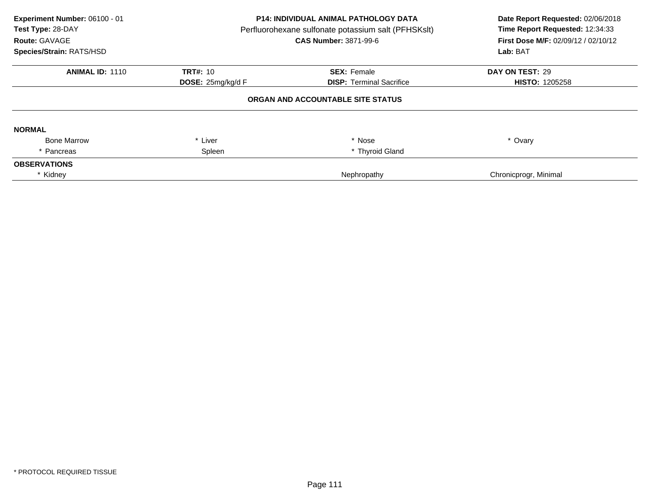| Experiment Number: 06100 - 01<br>Test Type: 28-DAY<br>Route: GAVAGE<br>Species/Strain: RATS/HSD | <b>P14: INDIVIDUAL ANIMAL PATHOLOGY DATA</b><br>Perfluorohexane sulfonate potassium salt (PFHSKslt)<br><b>CAS Number: 3871-99-6</b> |                                   | Date Report Requested: 02/06/2018<br>Time Report Requested: 12:34:33<br>First Dose M/F: 02/09/12 / 02/10/12<br>Lab: BAT |  |
|-------------------------------------------------------------------------------------------------|-------------------------------------------------------------------------------------------------------------------------------------|-----------------------------------|-------------------------------------------------------------------------------------------------------------------------|--|
| <b>ANIMAL ID: 1110</b>                                                                          | <b>TRT#: 10</b>                                                                                                                     | <b>SEX: Female</b>                | DAY ON TEST: 29                                                                                                         |  |
|                                                                                                 | <b>DOSE:</b> $25$ mg/kg/d $F$                                                                                                       | <b>DISP: Terminal Sacrifice</b>   | <b>HISTO: 1205258</b>                                                                                                   |  |
|                                                                                                 |                                                                                                                                     | ORGAN AND ACCOUNTABLE SITE STATUS |                                                                                                                         |  |
| <b>NORMAL</b>                                                                                   |                                                                                                                                     |                                   |                                                                                                                         |  |
| <b>Bone Marrow</b>                                                                              | * Liver                                                                                                                             | * Nose                            | * Ovary                                                                                                                 |  |
| * Pancreas                                                                                      | Spleen                                                                                                                              | * Thyroid Gland                   |                                                                                                                         |  |
| <b>OBSERVATIONS</b>                                                                             |                                                                                                                                     |                                   |                                                                                                                         |  |
| * Kidney                                                                                        |                                                                                                                                     | Nephropathy                       | Chronicprogr, Minimal                                                                                                   |  |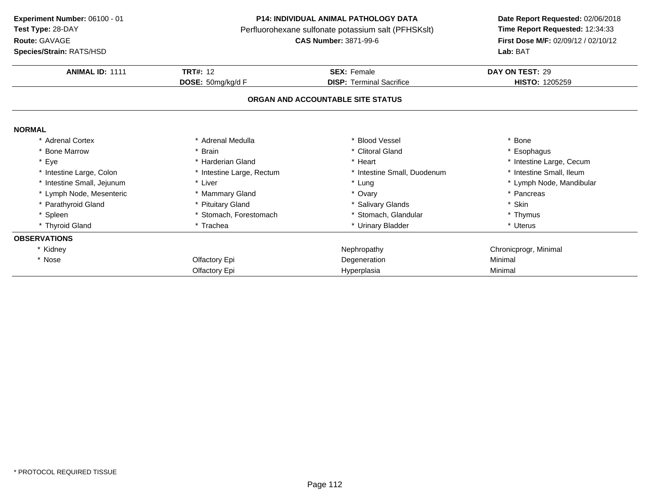**Experiment Number:** 06100 - 01**Test Type:** 28-DAYPerfluorohexane sulfonate potassium salt (PFHSKslt)<br>**CAS Number:** 3871-99-6 **Route:** GAVAGE**Species/Strain:** RATS/HSD**Lab:** BAT

### **P14: INDIVIDUAL ANIMAL PATHOLOGY DATA**

 **Date Report Requested:** 02/06/2018 **First Dose M/F:** 02/09/12 / 02/10/12<br>Lab: BAT

| <b>ANIMAL ID: 1111</b>     | <b>TRT#: 12</b>           | <b>SEX: Female</b>                | DAY ON TEST: 29          |
|----------------------------|---------------------------|-----------------------------------|--------------------------|
|                            | DOSE: 50mg/kg/d F         | <b>DISP:</b> Terminal Sacrifice   | <b>HISTO: 1205259</b>    |
|                            |                           | ORGAN AND ACCOUNTABLE SITE STATUS |                          |
| <b>NORMAL</b>              |                           |                                   |                          |
| * Adrenal Cortex           | * Adrenal Medulla         | * Blood Vessel                    | * Bone                   |
| * Bone Marrow              | * Brain                   | * Clitoral Gland                  | * Esophagus              |
| * Eye                      | * Harderian Gland         | * Heart                           | * Intestine Large, Cecum |
| * Intestine Large, Colon   | * Intestine Large, Rectum | * Intestine Small, Duodenum       | * Intestine Small, Ileum |
| * Intestine Small, Jejunum | * Liver                   | * Lung                            | * Lymph Node, Mandibular |
| * Lymph Node, Mesenteric   | * Mammary Gland           | * Ovary                           | * Pancreas               |
| * Parathyroid Gland        | * Pituitary Gland         | * Salivary Glands                 | * Skin                   |
| * Spleen                   | * Stomach, Forestomach    | * Stomach, Glandular              | * Thymus                 |
| * Thyroid Gland            | * Trachea                 | * Urinary Bladder                 | * Uterus                 |
| <b>OBSERVATIONS</b>        |                           |                                   |                          |
| * Kidney                   |                           | Nephropathy                       | Chronicprogr, Minimal    |
| * Nose                     | Olfactory Epi             | Degeneration                      | Minimal                  |
|                            | Olfactory Epi             | Hyperplasia                       | Minimal                  |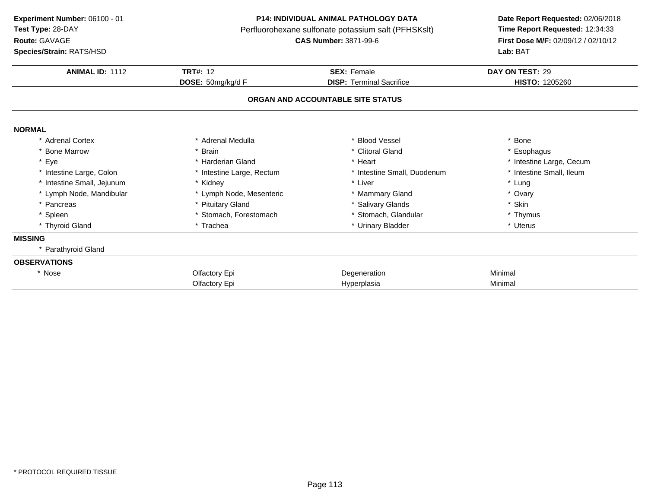**ANIMAL ID:** <sup>1112</sup> **TRT#:** <sup>12</sup> **SEX:** Female **DAY ON TEST:** <sup>29</sup> **DOSE:** 50mg/kg/d F**DISP:** Terminal Sacrifice **HISTO:** 1205260 **ORGAN AND ACCOUNTABLE SITE STATUSNORMAL** \* Adrenal Cortex\* Adrenal Medulla<br>\* Brain a the set of the set of the set of the set of the set of the set of the set of the set of the set of the set o<br>Set of the set of the set of the set of the set of the set of the set of the set of the set of the set of the s \* Bone Marrow \* Brain \* Clitoral Gland \* Esophagus \* Eyee the second of the second term in the second term in the second term in the second term in the second term in the second term in the second term in the second term in the second term in the second term in the second term \* Intestine Small, Ileum \* Intestine Large, Colon\* Intestine Large, Rectum<br>\* Kidney \* Intestine Small, Duodenum \* \* Intest<br>\* Liver \* \* Lung \* Intestine Small, Jejunum \* Kidney \* Liver \* Lung \* Lymph Node, Mandibular \* Lymph Node, Mesenteric \* Mammary Gland\* Ovary<br>\* Skin \* Pancreas \* Pituitary Gland\* Salivary Glands<br>
\* Stomach, Glandular<br>
\* Thymus \* Spleen\* Stomach, Forestomach \* \* Stomach, Glandular \* Thymus \* Thymus \* Thymus \* Thymus \* Thymus \* Thymus \* Uterus \* Uterus \* Uterus \* Uterus \* Uterus \* Uterus \* Uterus \* Uterus \* Uterus \* Uterus \* Uterus \* Uterus \* Uterus \* Ute \* Thyroid Glandd **a** \* Trachea \* Trachea \* \* Urinary Bladder \* Urinary Bradder \* \* Uterus **MISSING** \* Parathyroid Gland**OBSERVATIONS**\* Nosee and the Colombia Colfactory Epi and the Colombia Degeneration and the Minimal Minimal Olfactory Epi Hyperplasia Minimal **Experiment Number:** 06100 - 01 **P14: INDIVIDUAL ANIMAL PATHOLOGY DATA Date Report Requested:** 02/06/2018 **Test Type:** 28-DAYPerfluorohexane sulfonate potassium salt (PFHSKslt)<br>**CAS Number:** 3871-99-6 **Route:** GAVAGE**First Dose M/F:** 02/09/12 / 02/10/12<br>**Lab:** BAT **Species/Strain:** RATS/HSD**Lab:** BAT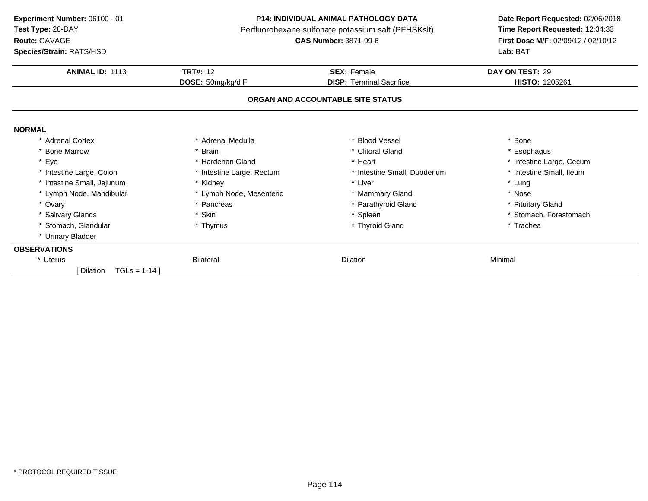**ANIMAL ID:** <sup>1113</sup> **TRT#:** <sup>12</sup> **SEX:** Female **DAY ON TEST:** <sup>29</sup> **DOSE:** 50mg/kg/d F**DISP:** Terminal Sacrifice **HISTO:** 1205261 **ORGAN AND ACCOUNTABLE SITE STATUSNORMAL** \* Adrenal Cortex\* Adrenal Medulla<br>\* Brain a the set of the set of the set of the set of the set of the set of the set of the set of the set of the set o<br>Set of the set of the set of the set of the set of the set of the set of the set of the set of the set of the s \* Bone Marrow \* Brain \* Clitoral Gland \* Esophagus \* Eyee the second of the second term in the second term in the second term in the second term in the second term in the second term in the second term in the second term in the second term in the second term in the second term \* Intestine Small, Ileum \* Intestine Large, Colon\* Intestine Large, Rectum<br>\* Kidney \* Intestine Small, Duodenum \* \* Intest<br>
\* Liver \* \* Lung \* Intestine Small, Jejunum \* Kidney \* Liver \* Lung \* Lymph Node, Mandibular \* Lymph Node, Mesenteric\* Lymph Node, Mesenteric \* \* Mammary Gland \* Nose \* Ovary\* Pancreas \* Parathyroid Gland<br>
\* Skin \* Steen \* Steen \* Steen \* Steen \* Steen \* Steen \* Steen \* Steen \* Steen \* Steen \* Steen \* Steen \* Steen \* Steen \* Steen \* Steen \* Steen \* Steen \* Steen \* Steen \* Steen \* Steen \* Steen \* Pituitary Gland \* Salivary Glandss \* Skin \* Skin \* Spleen \* Spleen \* Spleen \* Stomach, Forestomach \* Thymus \* Stomach, Forestomach \* Thymus \* Trachea \* Stomach, Glandular **\*** Thymus \* Thyroid Gland \* Trachea \* Urinary Bladder **OBSERVATIONS**\* Uteruss and the Bilateral Bilateral control of the Dilation n Minimal  $[$  Dilation  $TGLs = 1-14$   $]$ **Experiment Number:** 06100 - 01 **P14: INDIVIDUAL ANIMAL PATHOLOGY DATA Date Report Requested:** 02/06/2018 **Test Type:** 28-DAYPerfluorohexane sulfonate potassium salt (PFHSKslt)<br>**CAS Number:** 3871-99-6 **Route:** GAVAGE**First Dose M/F:** 02/09/12 / 02/10/12<br>**Lab:** BAT **Species/Strain:** RATS/HSD**Lab:** BAT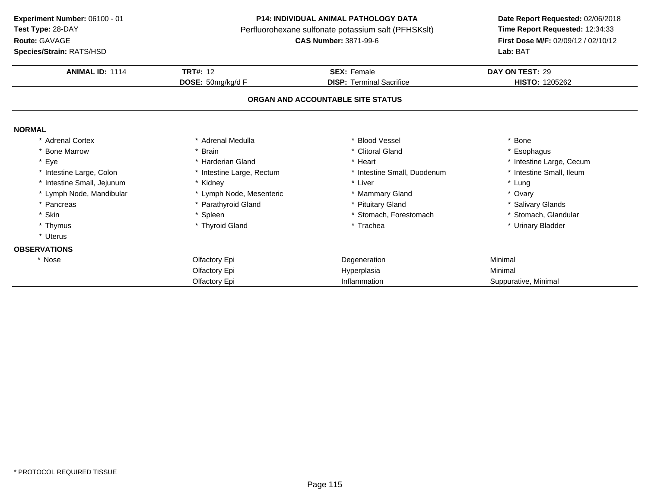**Route:** GAVAGE

**Species/Strain:** RATS/HSD

#### **P14: INDIVIDUAL ANIMAL PATHOLOGY DATA**

Perfluorohexane sulfonate potassium salt (PFHSKslt)<br>**CAS Number:** 3871-99-6

# **Date Report Requested:** 02/06/2018 **First Dose M/F:** 02/09/12 / 02/10/12<br>Lab: BAT

| <b>Species/Strain: RATS/HSD</b> |                           |                                   | Lab: BAT                 |
|---------------------------------|---------------------------|-----------------------------------|--------------------------|
| <b>ANIMAL ID: 1114</b>          | <b>TRT#: 12</b>           | <b>SEX: Female</b>                | DAY ON TEST: 29          |
|                                 | DOSE: 50mg/kg/d F         | <b>DISP: Terminal Sacrifice</b>   | <b>HISTO: 1205262</b>    |
|                                 |                           | ORGAN AND ACCOUNTABLE SITE STATUS |                          |
| <b>NORMAL</b>                   |                           |                                   |                          |
| * Adrenal Cortex                | * Adrenal Medulla         | * Blood Vessel                    | * Bone                   |
| * Bone Marrow                   | * Brain                   | * Clitoral Gland                  | * Esophagus              |
| * Eye                           | * Harderian Gland         | * Heart                           | * Intestine Large, Cecum |
| * Intestine Large, Colon        | * Intestine Large, Rectum | * Intestine Small, Duodenum       | * Intestine Small, Ileum |
| * Intestine Small, Jejunum      | * Kidney                  | * Liver                           | * Lung                   |
| * Lymph Node, Mandibular        | * Lymph Node, Mesenteric  | * Mammary Gland                   | * Ovary                  |
| * Pancreas                      | * Parathyroid Gland       | * Pituitary Gland                 | * Salivary Glands        |
| * Skin                          | * Spleen                  | * Stomach, Forestomach            | * Stomach, Glandular     |
| * Thymus                        | * Thyroid Gland           | * Trachea                         | * Urinary Bladder        |
| * Uterus                        |                           |                                   |                          |
| <b>OBSERVATIONS</b>             |                           |                                   |                          |
| * Nose                          | Olfactory Epi             | Degeneration                      | Minimal                  |
|                                 | Olfactory Epi             | Hyperplasia                       | Minimal                  |
|                                 | Olfactory Epi             | Inflammation                      | Suppurative, Minimal     |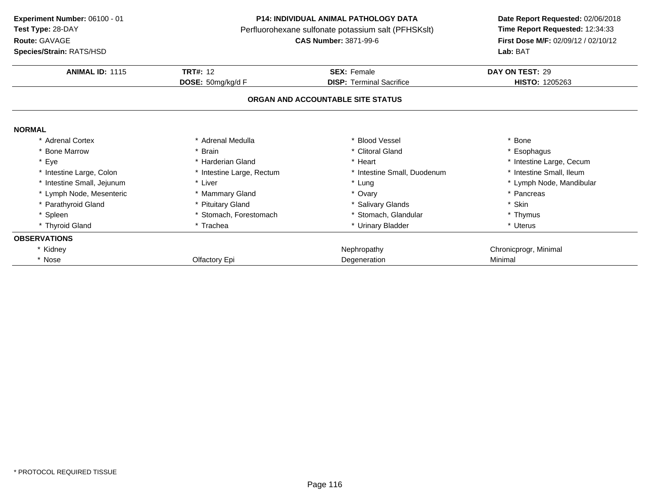**Route:** GAVAGE

**Species/Strain:** RATS/HSD

### **P14: INDIVIDUAL ANIMAL PATHOLOGY DATA**

Perfluorohexane sulfonate potassium salt (PFHSKslt)<br>**CAS Number:** 3871-99-6

## **Date Report Requested:** 02/06/2018 **First Dose M/F:** 02/09/12 / 02/10/12<br>Lab: BAT **Lab:** BAT

| <b>ANIMAL ID: 1115</b>     | <b>TRT#: 12</b>           | <b>SEX: Female</b>                | DAY ON TEST: 29          |
|----------------------------|---------------------------|-----------------------------------|--------------------------|
|                            | DOSE: 50mg/kg/d F         | <b>DISP:</b> Terminal Sacrifice   | <b>HISTO: 1205263</b>    |
|                            |                           | ORGAN AND ACCOUNTABLE SITE STATUS |                          |
| <b>NORMAL</b>              |                           |                                   |                          |
| * Adrenal Cortex           | * Adrenal Medulla         | * Blood Vessel                    | * Bone                   |
| * Bone Marrow              | * Brain                   | * Clitoral Gland                  | * Esophagus              |
| * Eye                      | * Harderian Gland         | * Heart                           | * Intestine Large, Cecum |
| * Intestine Large, Colon   | * Intestine Large, Rectum | * Intestine Small, Duodenum       | * Intestine Small, Ileum |
| * Intestine Small, Jejunum | * Liver                   | * Lung                            | * Lymph Node, Mandibular |
| * Lymph Node, Mesenteric   | * Mammary Gland           | * Ovary                           | * Pancreas               |
| * Parathyroid Gland        | * Pituitary Gland         | * Salivary Glands                 | * Skin                   |
| * Spleen                   | * Stomach, Forestomach    | * Stomach, Glandular              | * Thymus                 |
| * Thyroid Gland            | * Trachea                 | * Urinary Bladder                 | * Uterus                 |
| <b>OBSERVATIONS</b>        |                           |                                   |                          |
| * Kidney                   |                           | Nephropathy                       | Chronicprogr, Minimal    |
| * Nose                     | Olfactory Epi             | Degeneration                      | Minimal                  |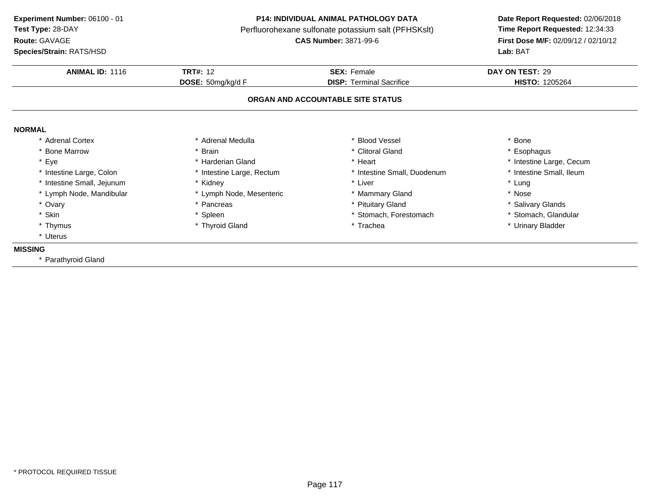**Route:** GAVAGE

**Species/Strain:** RATS/HSD

#### **P14: INDIVIDUAL ANIMAL PATHOLOGY DATA**

Perfluorohexane sulfonate potassium salt (PFHSKslt)<br>**CAS Number:** 3871-99-6

## **Date Report Requested:** 02/06/2018 **First Dose M/F:** 02/09/12 / 02/10/12<br>Lab: BAT **Lab:** BAT

| <b>ANIMAL ID: 1116</b>     | <b>TRT#: 12</b>           | <b>SEX: Female</b>                | DAY ON TEST: 29          |
|----------------------------|---------------------------|-----------------------------------|--------------------------|
|                            | DOSE: 50mg/kg/d F         | <b>DISP: Terminal Sacrifice</b>   | <b>HISTO: 1205264</b>    |
|                            |                           | ORGAN AND ACCOUNTABLE SITE STATUS |                          |
| <b>NORMAL</b>              |                           |                                   |                          |
| * Adrenal Cortex           | * Adrenal Medulla         | <b>Blood Vessel</b>               | Bone                     |
| <b>Bone Marrow</b>         | <b>Brain</b>              | * Clitoral Gland                  | Esophagus                |
| Eye                        | Harderian Gland           | Heart                             | * Intestine Large, Cecum |
| * Intestine Large, Colon   | * Intestine Large, Rectum | * Intestine Small, Duodenum       | * Intestine Small, Ileum |
| * Intestine Small, Jejunum | * Kidney                  | * Liver                           | * Lung                   |
| * Lymph Node, Mandibular   | * Lymph Node, Mesenteric  | * Mammary Gland                   | * Nose                   |
| * Ovary                    | Pancreas                  | <b>Pituitary Gland</b>            | * Salivary Glands        |
| * Skin                     | Spleen                    | * Stomach, Forestomach            | * Stomach, Glandular     |
| * Thymus                   | * Thyroid Gland           | * Trachea                         | * Urinary Bladder        |
| * Uterus                   |                           |                                   |                          |
| <b>MISSING</b>             |                           |                                   |                          |
| * Parathyroid Gland        |                           |                                   |                          |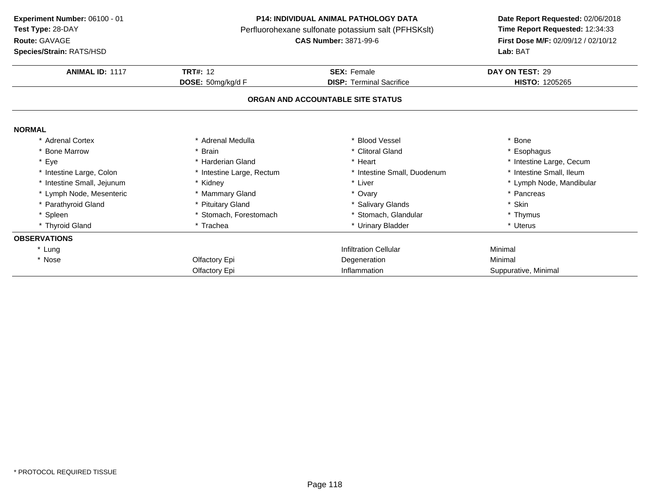**ANIMAL ID:** <sup>1117</sup> **TRT#:** <sup>12</sup> **SEX:** Female **DAY ON TEST:** <sup>29</sup> **DOSE:** 50mg/kg/d F**DISP:** Terminal Sacrifice **HISTO:** 1205265 **ORGAN AND ACCOUNTABLE SITE STATUSNORMAL** \* Adrenal Cortex \* Adrenal Medullaa the set of the set of the set of the set of the set of the set of the set of the set of the set of the set o<br>Set of the set of the set of the set of the set of the set of the set of the set of the set of the set of the s \* Bone Marrow \* Brain \* Clitoral Gland \* Esophagus \* Eyee the second of the second term in the second term in the second term in the second term in the second term in the second term in the second term in the second term in the second term in the second term in the second term \* Intestine Small, Ileum \* Intestine Large, Colon\* Intestine Large, Rectum<br>\* Kidney \* Intestine Small, Duodenum<br>\* Liver \* Intestine Small, Jejunum\* Liver \* Lymph Node, Mandibular<br>\* Ovary \* Nancreas \* Pancreas \* Pancreas \* Pancreas \* Pancreas \* Pancreas \* Pancreas \* 2016 \* Lymph Node, Mesenteric \* Mammary Gland \* Ovary \* Pancreas \* Parathyroid Glandd **the set of the set of the set of the set of the set of the set of the set of the set of the set of the set of the set of the set of the set of the set of the set of the set of the set of the set of the set of the set of** \* Spleen\* Stomach, Forestomach \* \* Stomach, Glandular \* Thymus \* Thymus \* Thymus \* Thymus \* Thymus \* Uterus \* Uterus \* Thyroid Glandd **a** \* Trachea \* Trachea \* \* Urinary Bladder \* Urinary Bradder \* \* Uterus **OBSERVATIONS**\* Lungg is a controller to the controller of the controller of the controller of the Minimal of the Minimal of the controller of the controller of the controller of the controller of the controller of the controller of the contr \* Nosee and the Colombia Colfactory Epi and the Colombia Degeneration and the Minimal Minimal Olfactory Epi Inflammation Suppurative, Minimal **Experiment Number:** 06100 - 01 **P14: INDIVIDUAL ANIMAL PATHOLOGY DATA Date Report Requested:** 02/06/2018 **Test Type:** 28-DAYPerfluorohexane sulfonate potassium salt (PFHSKslt)<br>**CAS Number:** 3871-99-6 **Route:** GAVAGE**First Dose M/F:** 02/09/12 / 02/10/12<br>**Lab:** BAT **Species/Strain:** RATS/HSD**Lab:** BAT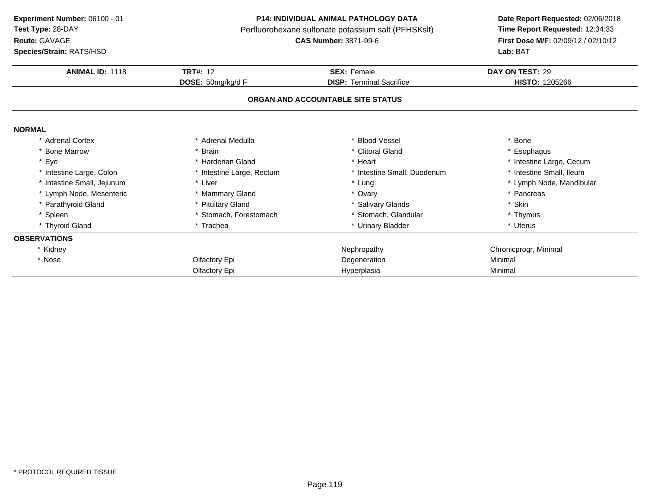**Route:** GAVAGE

**Species/Strain:** RATS/HSD

#### **P14: INDIVIDUAL ANIMAL PATHOLOGY DATA**

Perfluorohexane sulfonate potassium salt (PFHSKslt)<br>**CAS Number:** 3871-99-6

## **Date Report Requested:** 02/06/2018 **First Dose M/F:** 02/09/12 / 02/10/12<br>Lab: BAT **Lab:** BAT

| <b>ANIMAL ID: 1118</b>     | <b>TRT#: 12</b>           | <b>SEX: Female</b>                | DAY ON TEST: 29          |
|----------------------------|---------------------------|-----------------------------------|--------------------------|
|                            | <b>DOSE:</b> 50mg/kg/d F  | <b>DISP:</b> Terminal Sacrifice   | <b>HISTO: 1205266</b>    |
|                            |                           | ORGAN AND ACCOUNTABLE SITE STATUS |                          |
| <b>NORMAL</b>              |                           |                                   |                          |
| * Adrenal Cortex           | * Adrenal Medulla         | * Blood Vessel                    | * Bone                   |
| * Bone Marrow              | * Brain                   | * Clitoral Gland                  | * Esophagus              |
| Eye                        | * Harderian Gland         | * Heart                           | * Intestine Large, Cecum |
| * Intestine Large, Colon   | * Intestine Large, Rectum | * Intestine Small, Duodenum       | * Intestine Small, Ileum |
| * Intestine Small, Jejunum | * Liver                   | * Lung                            | * Lymph Node, Mandibular |
| * Lymph Node, Mesenteric   | * Mammary Gland           | * Ovary                           | * Pancreas               |
| Parathyroid Gland          | * Pituitary Gland         | * Salivary Glands                 | * Skin                   |
| * Spleen                   | * Stomach, Forestomach    | * Stomach, Glandular              | * Thymus                 |
| * Thyroid Gland            | * Trachea                 | * Urinary Bladder                 | * Uterus                 |
| <b>OBSERVATIONS</b>        |                           |                                   |                          |
| * Kidney                   |                           | Nephropathy                       | Chronicprogr, Minimal    |
| * Nose                     | Olfactory Epi             | Degeneration                      | Minimal                  |
|                            | Olfactory Epi             | Hyperplasia                       | Minimal                  |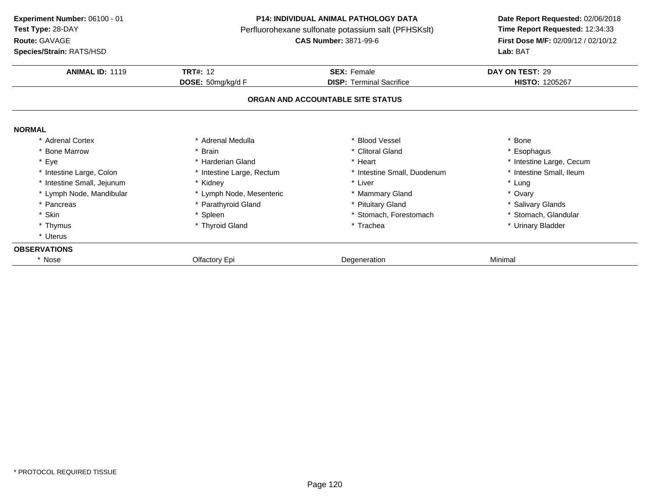**ANIMAL ID:** <sup>1119</sup> **TRT#:** <sup>12</sup> **SEX:** Female **DAY ON TEST:** <sup>29</sup> **DOSE:** 50mg/kg/d F**DISP:** Terminal Sacrifice **HISTO:** 1205267 **ORGAN AND ACCOUNTABLE SITE STATUSNORMAL** \* Adrenal Cortex\* Adrenal Medulla<br>\* Brain a the set of the set of the set of the set of the set of the set of the set of the set of the set of the set o<br>Set of the set of the set of the set of the set of the set of the set of the set of the set of the set of the s \* Bone Marrow \* Brain \* Clitoral Gland \* Esophagus \* Eyee the second of the second term in the second term in the second term in the second term in the second term in the second term in the second term in the second term in the second term in the second term in the second term \* Intestine Small, Ileum \* Intestine Large, Colon\* Intestine Large, Rectum<br>\* Kidney \* Intestine Small, Duodenum \* \* Intest<br>
\* Liver \* \* Lung \* Intestine Small, Jejunum \* Kidney \* Liver \* Lung \* Lymph Node, Mandibular \* Lymph Node, Mesenteric\* Lymph Node, Mesenteric \* \* Mammary Gland \* Ovary \* Pancreas \* Parathyroid Gland\* Pituitary Gland<br>
\* Stomach, Forestomach<br>
\* Stomach, Glandular \* Skinn that is the set of the Spleen term in the store of the store of the store of the store of the store of the store of the store of the store of the store of the store of the store of the store of the store of the store of \* Thymus \* Thyroid Gland\* Trachea \* Vinary Bladder \* Uterus**OBSERVATIONSExperiment Number:** 06100 - 01 **P14: INDIVIDUAL ANIMAL PATHOLOGY DATA Date Report Requested:** 02/06/2018 **Test Type:** 28-DAYPerfluorohexane sulfonate potassium salt (PFHSKslt)<br>**CAS Number:** 3871-99-6 **Route:** GAVAGE**First Dose M/F:** 02/09/12 / 02/10/12<br>**Lab:** BAT **Species/Strain:** RATS/HSD**Lab:** BAT

e and the Degeneration Colfactory Epi and the Degeneration Color Degeneration Minimal

\* Nose